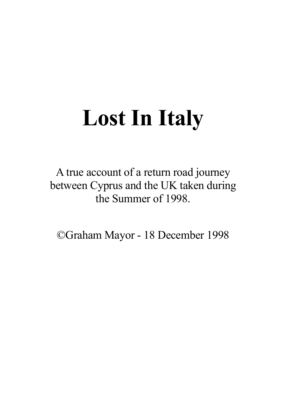# **Lost In Italy**

A true account of a return road journey between Cyprus and the UK taken during the Summer of 1998.

©Graham Mayor - 18 December 1998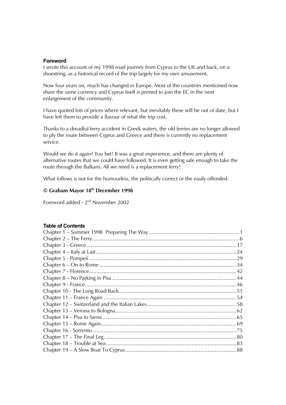#### **Foreword**

I wrote this account of my 1998 road journey from Cyprus to the UK and back, on a shoestring, as a historical record of the trip largely for my own amusement.

Now four years on, much has changed in Europe. Most of the countries mentioned now share the same currency and Cyprus itself is primed to join the EC in the next enlargement of the community.

I have quoted lots of prices where relevant, but inevitably these will be out of date, but I have left them to provide a flavour of what the trip cost.

Thanks to a dreadful ferry accident in Greek waters, the old ferries are no longer allowed to ply the route between Cyprus and Greece and there is currently no replacement service.

Would we do it again? You bet! It was a great experience, and there are plenty of alternative routes that we could have followed. It is even getting safe enough to take the route through the Balkans. All we need is a replacement ferry!

What follows is not for the humourless, the politically correct or the easily offended.

# **© Graham Mayor 18th December 1998**

Foreword added - 2nd November 2002

#### **Table of Contents**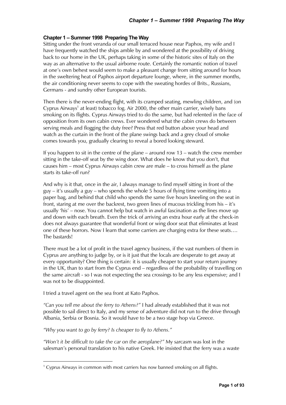#### <span id="page-2-0"></span>**Chapter 1 – Summer 1998 Preparing The Way**

Sitting under the front veranda of our small terraced house near Paphos, my wife and I have frequently watched the ships amble by and wondered at the possibility of driving back to our home in the UK, perhaps taking in some of the historic sites of Italy on the way as an alternative to the usual airborne route. Certainly the romantic notion of travel at one's own behest would seem to make a pleasant change from sitting around for hours in the sweltering heat of Paphos airport departure lounge, where, in the summer months, the air conditioning never seems to cope with the sweating hordes of Brits., Russians, Germans - and sundry other European tourists.

Then there is the never-ending flight, with its cramped seating, mewling children, and (on Cyprus Airways<sup>1</sup> at least) tobacco fog. Air 2000, the other main carrier, wisely bans smoking on its flights. Cyprus Airways tried to do the same, but had relented in the face of opposition from its own cabin crews. Ever wondered what the cabin crews do between serving meals and flogging the duty free? Press that red button above your head and watch as the curtain in the front of the plane swings back and a grey cloud of smoke comes towards you, gradually clearing to reveal a bored looking steward.

If you happen to sit in the centre of the plane – around row 13 – watch the crew member sitting in the take-off seat by the wing door. What does he know that you don't, that causes him – most Cyprus Airways cabin crew are male – to cross himself as the plane starts its take-off run?

And why is it that, once in the air, I always manage to find myself sitting in front of the  $g_{\mu\nu}$  – it's usually a guy – who spends the whole 5 hours of flying time vomiting into a paper bag, and behind that child who spends the same five hours kneeling on the seat in front, staring at me over the backrest, two green lines of mucous trickling from his – it's usually 'his' – nose. You cannot help but watch in awful fascination as the lines move up and down with each breath. Even the trick of arriving an extra hour early at the check-in does not always guarantee that wonderful front or wing door seat that eliminates at least one of these horrors. Now I learn that some carriers are charging extra for these seats…. The bastards!

There must be a lot of profit in the travel agency business, if the vast numbers of them in Cyprus are anything to judge by, or is it just that the locals are desperate to get away at every opportunity? One thing is certain: it is usually cheaper to start your return journey in the UK, than to start from the Cyprus end – regardless of the probability of travelling on the same aircraft - so I was not expecting the sea crossings to be any less expensive; and I was not to be disappointed.

I tried a travel agent on the sea front at Kato Paphos.

*"Can you tell me about the ferry to Athens?"* I had already established that it was not possible to sail direct to Italy, and my sense of adventure did not run to the drive through Albania, Serbia or Bosnia. So it would have to be a two stage hop via Greece.

*"Why you want to go by ferry? Is cheaper to fly to Athens."* 

-

*"Won't it be difficult to take the car on the aeroplane?"* My sarcasm was lost in the salesman's personal translation to his native Greek. He insisted that the ferry was a waste

<sup>&</sup>lt;sup>1</sup> Cyprus Airways in common with most carriers has now banned smoking on all flights.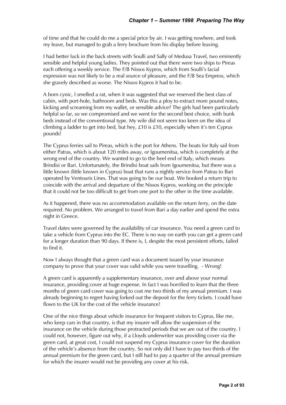of time and that he could do me a special price by air. I was getting nowhere, and took my leave, but managed to grab a ferry brochure from his display before leaving.

I had better luck in the back streets with Soulli and Sally of Medusa Travel, two eminently sensible and helpful young ladies. They pointed out that there were two ships to Pireas each offering a weekly service. The F/B Nissos Kypros, which from Soulli's facial expression was not likely to be a real source of pleasure, and the F/B Sea Empress, which she gravely described as worse. The Nissos Kypros it had to be.

A born cynic, I smelled a rat, when it was suggested that we reserved the best class of cabin, with port-hole, bathroom and beds. Was this a ploy to extract more pound notes, kicking and screaming from my wallet, or sensible advice? The girls had been particularly helpful so far, so we compromised and we went for the second best choice, with bunk beds instead of the conventional type. My wife did not seem too keen on the idea of climbing a ladder to get into bed, but hey, £10 is £10, especially when it's ten Cyprus pounds!

The Cyprus ferries sail to Pireas, which is the port for Athens. The boats for Italy sail from either Patras, which is about 120 miles away, or Igoumenitsa, which is completely at the wrong end of the country. We wanted to go to the heel end of Italy, which means Brindisi or Bari. Unfortunately, the Brindisi boat sails from Igoumenitsa, but there was a little known (little known in Cyprus) boat that runs a nightly service from Patras to Bari operated by Ventouris Lines. That was going to be our boat. We booked a return trip to coincide with the arrival and departure of the Nissos Kypros, working on the principle that it could not be too difficult to get from one port to the other in the time available.

As it happened, there was no accommodation available on the return ferry, on the date required. No problem. We arranged to travel from Bari a day earlier and spend the extra night in Greece.

Travel dates were governed by the availability of car insurance. You need a green card to take a vehicle from Cyprus into the EC. There is no way on earth you can get a green card for a longer duration than 90 days. If there is, I, despite the most persistent efforts, failed to find it.

Now I always thought that a green card was a document issued by your insurance company to prove that your cover was valid while you were travelling. - Wrong!

A green card is apparently a supplementary insurance, over and above your normal insurance, providing cover at huge expense. In fact I was horrified to learn that the three months of green card cover was going to cost me two thirds of my annual premium. I was already beginning to regret having forked out the deposit for the ferry tickets. I could have flown to the UK for the cost of the vehicle insurance!

One of the nice things about vehicle insurance for frequent visitors to Cyprus, like me, who keep cars in that country, is that my insurer will allow the suspension of the insurance on the vehicle during those protracted periods that we are out of the country. I could not, however, figure out why, if a Lloyds underwriter was providing cover via the green card, at great cost, I could not suspend my Cyprus insurance cover for the duration of the vehicle's absence from the country. So not only did I have to pay two thirds of the annual premium for the green card, but I still had to pay a quarter of the annual premium for which the insurer would not be providing any cover at his risk.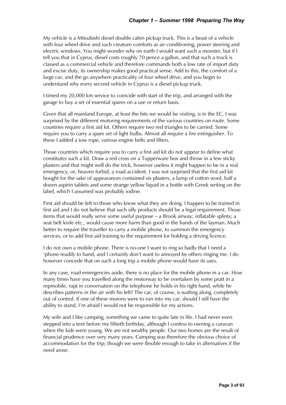My vehicle is a Mitsubishi diesel double cabin pickup truck. This is a beast of a vehicle with four wheel drive and such creature comforts as air conditioning, power steering and electric windows. You might wonder why on earth I would want such a monster, but if I tell you that in Cyprus, diesel costs roughly 70 pence a gallon, and that such a truck is classed as a commercial vehicle and therefore commands both a low rate of import duty and excise duty, its ownership makes good practical sense. Add to this, the comfort of a large car, and the go anywhere practicality of four wheel drive, and you begin to understand why every second vehicle in Cyprus is a diesel pickup truck.

I timed my 20,000 km service to coincide with start of the trip, and arranged with the garage to buy a set of essential spares on a use or return basis.

Given that all mainland Europe, at least the bits we would be visiting, is in the EC, I was surprised by the different motoring requirements of the various countries on route. Some countries require a first aid kit. Others require two red triangles to be carried. Some require you to carry a spare set of light bulbs. Almost all require a fire extinguisher. To these I added a tow rope, various engine belts and filters.

Those countries which require you to carry a first aid kit do not appear to define what constitutes such a kit. Draw a red cross on a Tupperware box and throw in a few sticky plasters and that might well do the trick, however useless it might happen to be in a real emergency, or, heaven forbid, a road accident. I was not surprised that the first aid kit bought for the sake of appearances contained six plasters, a lump of cotton wool, half a dozen aspirin tablets and some strange yellow liquid in a bottle with Greek writing on the label, which I assumed was probably iodine.

First aid should be left to those who know what they are doing. I happen to be trained in first aid and I do not believe that such silly products should be a legal requirement. Those items that would really serve some useful purpose – a Brook airway; inflatable splints; a seat belt knife etc., would cause more harm than good in the hands of the layman. Much better to require the traveller to carry a mobile phone, to summon the emergency services, or to add first aid training to the requirement for holding a driving licence.

I do not own a mobile phone. There is no-one I want to ring so badly that I need a 'phone readily to hand, and I certainly don't want to annoyed by others ringing me. I do however concede that on such a long trip a mobile phone would have its uses.

In any case, road emergencies aside, there is no place for the mobile phone in a car. How many times have you travelled along the motorway to be overtaken by some pratt in a repmobile, rapt in conversation on the telephone he holds in his right hand, while he describes patterns in the air with his left? The car, of course, is wafting along, completely out of control. If one of these morons were to run into my car, should I still have the ability to stand, I'm afraid I would not be responsible for my actions.

My wife and I like camping, something we came to quite late in life. I had never even stepped into a tent before my fiftieth birthday, although I confess to owning a caravan when the kids were young. We are not wealthy people. Our two homes are the result of financial prudence over very many years. Camping was therefore the obvious choice of accommodation for the trip; though we were flexible enough to take in alternatives if the need arose.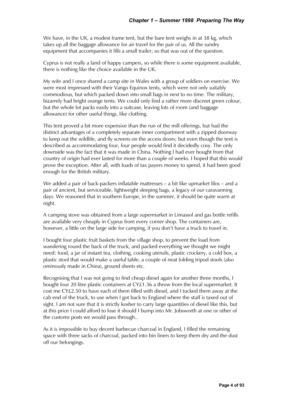We have, in the UK, a modest frame tent, but the bare tent weighs in at 38 kg, which takes up all the baggage allowance for air travel for the pair of us. All the sundry equipment that accompanies it fills a small trailer; so that was out of the question.

Cyprus is not really a land of happy campers, so while there is some equipment available, there is nothing like the choice available in the UK.

My wife and I once shared a camp site in Wales with a group of soldiers on exercise. We were most impressed with their Vango Equinox tents, which were not only suitably commodious, but which packed down into small bags in next to no time. The military, bizarrely had bright orange tents. We could only find a rather more discreet green colour, but the whole lot packs easily into a suitcase, leaving lots of room (and baggage allowance) for other useful things, like clothing.

This tent proved a bit more expensive than the run of the mill offerings, but had the distinct advantages of a completely separate inner compartment with a zipped doorway to keep out the wildlife, and fly screens on the access doors; but even though the tent is described as accommodating four, four people would find it decidedly cosy. The only downside was the fact that it was made in China. Nothing I had ever bought from that country of origin had ever lasted for more than a couple of weeks. I hoped that this would prove the exception. After all, with loads of tax payers money to spend, it had been good enough for the British military.

We added a pair of back-packers inflatable mattresses – a bit like upmarket lilos – and a pair of ancient, but serviceable, lightweight sleeping bags, a legacy of our caravanning days. We reasoned that in southern Europe, in the summer, it should be quite warm at night.

A camping stove was obtained from a large supermarket in Limassol and gas bottle refills are available very cheaply in Cyprus from every corner shop. The containers are, however, a little on the large side for camping, if you don't have a truck to travel in.

I bought four plastic fruit baskets from the village shop, to prevent the load from wandering round the back of the truck, and packed everything we thought we might need: food, a jar of instant tea, clothing, cooking utensils, plastic crockery, a cold box, a plastic stool that would make a useful table, a couple of neat folding tripod stools (also ominously made in China), ground sheets etc.

Recognising that I was not going to find cheap diesel again for another three months, I bought four 20 litre plastic containers at CY£1.36 a throw from the local supermarket. It cost me CY£2.50 to have each of them filled with diesel, and I tucked them away at the cab end of the truck, to use when I got back to England where the stuff is taxed out of sight. I am not sure that it is strictly kosher to carry large quantities of diesel like this, but at this price I could afford to lose it should I bump into Mr. Jobsworth at one or other of the customs posts we would pass through..

As it is impossible to buy decent barbecue charcoal in England, I filled the remaining space with three sacks of charcoal, packed into bin liners to keep them dry and the dust off our belongings.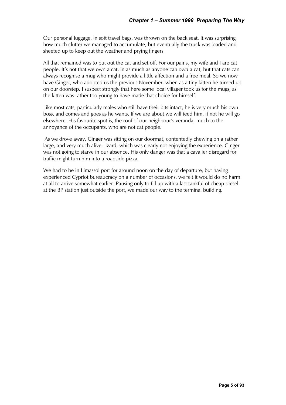Our personal luggage, in soft travel bags, was thrown on the back seat. It was surprising how much clutter we managed to accumulate, but eventually the truck was loaded and sheeted up to keep out the weather and prying fingers.

All that remained was to put out the cat and set off. For our pains, my wife and I are cat people. It's not that we own a cat, in as much as anyone can *own* a cat, but that cats can always recognise a mug who might provide a little affection and a free meal. So we now have Ginger, who adopted us the previous November, when as a tiny kitten he turned up on our doorstep. I suspect strongly that here some local villager took us for the mugs, as the kitten was rather too young to have made that choice for himself.

Like most cats, particularly males who still have their bits intact, he is very much his own boss, and comes and goes as he wants. If we are about we will feed him, if not he will go elsewhere. His favourite spot is, the roof of our neighbour's veranda, much to the annoyance of the occupants, who are not cat people.

 As we drove away, Ginger was sitting on our doormat, contentedly chewing on a rather large, and very much alive, lizard, which was clearly not enjoying the experience. Ginger was not going to starve in our absence. His only danger was that a cavalier disregard for traffic might turn him into a roadside pizza.

We had to be in Limassol port for around noon on the day of departure, but having experienced Cypriot bureaucracy on a number of occasions, we felt it would do no harm at all to arrive somewhat earlier. Pausing only to fill up with a last tankful of cheap diesel at the BP station just outside the port, we made our way to the terminal building.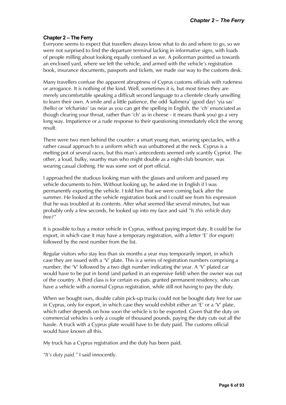# <span id="page-7-0"></span>**Chapter 2 – The Ferry**

Everyone seems to expect that travellers always know what to do and where to go, so we were not surprised to find the departure terminal lacking in informative signs, with loads of people milling about looking equally confused as we. A policeman pointed us towards an enclosed yard, where we left the vehicle, and armed with the vehicle's registration book, insurance documents, passports and tickets, we made our way to the customs desk.

Many travellers confuse the apparent abruptness of Cyprus customs officials with rudeness or arrogance. It is nothing of the kind. Well, sometimes it is, but most times they are merely uncomfortable speaking a difficult second language to a clientele clearly unwilling to learn their own. A smile and a little patience, the odd 'kalimera' (good day) 'yia sas' (hello) or 'efcharisto' (as near as you can get the spelling in English, the 'ch' enunciated as though clearing your throat, rather than 'ch' as in cheese - it means thank you) go a very long way. Impatience or a rude response to their questioning immediately elicit the wrong result.

There were two men behind the counter: a smart young man, wearing spectacles, with a rather casual approach to a uniform which was unbuttoned at the neck. Cyprus is a melting pot of several races, but this man's antecedents seemed only scantily Cypriot. The other, a loud, bulky, swarthy man who might double as a night-club bouncer, was wearing casual clothing. He was some sort of port official.

I approached the studious looking man with the glasses and uniform and passed my vehicle documents to him. Without looking up, he asked me in English if I was permanently exporting the vehicle. I told him that we were coming back after the summer. He looked at the vehicle registration book and I could see from his expression that he was troubled at its contents. After what seemed like several minutes, but was probably only a few seconds, he looked up into my face and said *"Is this vehicle duty free?"* 

It is possible to buy a motor vehicle in Cyprus, without paying import duty. It could be for export, in which case it may have a temporary registration, with a letter 'E' (for export) followed by the next number from the list.

Regular visitors who stay less than six months a year may temporarily import, in which case they are issued with a 'V' plate. This is a series of registration numbers comprising a number, the 'V' followed by a two digit number indicating the year. A 'V' plated car would have to be put in bond (and parked in an expensive field) when the owner was out of the country. A third class is for certain ex-pats. granted permanent residency, who can have a vehicle with a normal Cyprus registration, while still not having to pay the duty.

When we bought ours, double cabin pick-up trucks could not be bought duty free for use in Cyprus, only for export, in which case they would exhibit either an 'E' or a 'V' plate, which rather depends on how soon the vehicle is to be exported. Given that the duty on commercial vehicles is only a couple of thousand pounds, paying the duty cuts out all the hassle. A truck with a Cyprus plate would have to be duty paid. The customs official would have known all this.

My truck has a Cyprus registration and the duty has been paid.

*"It's duty paid."* I said innocently.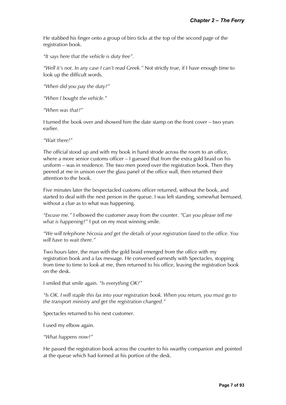He stabbed his finger onto a group of biro ticks at the top of the second page of the registration book.

*"It says here that the vehicle is duty free".* 

*"Well it's not. In any case I can't read Greek."* Not strictly true, if I have enough time to look up the difficult words.

*"When did you pay the duty?"* 

*"When I bought the vehicle."* 

*"When was that?"* 

I turned the book over and showed him the date stamp on the front cover – two years earlier.

*"Wait there!"* 

The official stood up and with my book in hand strode across the room to an office, where a more senior customs officer – I guessed that from the extra gold braid on his uniform – was in residence. The two men pored over the registration book. Then they peered at me in unison over the glass panel of the office wall, then returned their attention to the book.

Five minutes later the bespectacled customs officer returned, without the book, and started to deal with the next person in the queue. I was left standing, somewhat bemused, without a clue as to what was happening.

*"Excuse me."* I elbowed the customer away from the counter. *"Can you please tell me what is happening?"* I put on my most winning smile.

*"We will telephone Nicosia and get the details of your registration faxed to the office. You will have to wait there."* 

Two hours later, the man with the gold braid emerged from the office with my registration book and a fax message. He conversed earnestly with Spectacles, stopping from time to time to look at me, then returned to his office, leaving the registration book on the desk.

I smiled that smile again. *"Is everything OK?"*

*"Is OK. I will staple this fax into your registration book. When you return, you must go to the transport ministry and get the registration changed."*

Spectacles returned to his next customer.

I used my elbow again.

*"What happens now?"* 

He passed the registration book across the counter to his swarthy companion and pointed at the queue which had formed at his portion of the desk.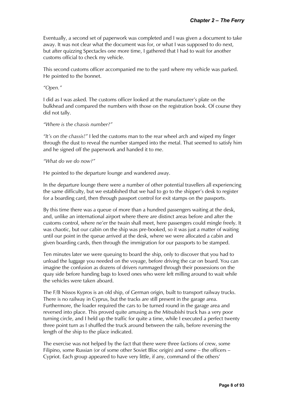Eventually, a second set of paperwork was completed and I was given a document to take away. It was not clear what the document was for, or what I was supposed to do next, but after quizzing Spectacles one more time, I gathered that I had to wait for another customs official to check my vehicle.

This second customs officer accompanied me to the yard where my vehicle was parked. He pointed to the bonnet.

#### *"Open."*

I did as I was asked. The customs officer looked at the manufacturer's plate on the bulkhead and compared the numbers with those on the registration book. Of course they did not tally.

#### *"Where is the chassis number?"*

*"It's on the chassis!"* I led the customs man to the rear wheel arch and wiped my finger through the dust to reveal the number stamped into the metal. That seemed to satisfy him and he signed off the paperwork and handed it to me.

#### *"What do we do now?"*

He pointed to the departure lounge and wandered away.

In the departure lounge there were a number of other potential travellers all experiencing the same difficulty, but we established that we had to go to the shipper's desk to register for a boarding card, then through passport control for exit stamps on the passports.

By this time there was a queue of more than a hundred passengers waiting at the desk, and, unlike an international airport where there are distinct areas before and after the customs control, where ne'er the twain shall meet, here passengers could mingle freely. It was chaotic, but our cabin on the ship was pre-booked, so it was just a matter of waiting until our point in the queue arrived at the desk, where we were allocated a cabin and given boarding cards, then through the immigration for our passports to be stamped.

Ten minutes later we were queuing to board the ship, only to discover that you had to unload the luggage you needed on the voyage, before driving the car on board. You can imagine the confusion as dozens of drivers rummaged through their possessions on the quay side before handing bags to loved ones who were left milling around to wait while the vehicles were taken aboard.

The F/B Nissos Kypros is an old ship, of German origin, built to transport railway trucks. There is no railway in Cyprus, but the tracks are still present in the garage area. Furthermore, the loader required the cars to be turned round in the garage area and reversed into place. This proved quite amusing as the Mitsubishi truck has a very poor turning circle, and I held up the traffic for quite a time, while I executed a perfect twenty three point turn as I shuffled the truck around between the rails, before reversing the length of the ship to the place indicated.

The exercise was not helped by the fact that there were three factions of crew, some Filipino, some Russian (or of some other Soviet Bloc origin) and some – the officers – Cypriot. Each group appeared to have very little, if any, command of the others'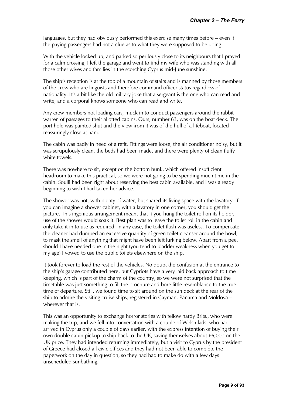languages, but they had obviously performed this exercise many times before – even if the paying passengers had not a clue as to what they were supposed to be doing.

With the vehicle locked up, and parked so perilously close to its neighbours that I prayed for a calm crossing, I left the garage and went to find my wife who was standing with all those other wives and families in the scorching Cyprus mid-June sunshine.

The ship's reception is at the top of a mountain of stairs and is manned by those members of the crew who are linguists and therefore command officer status regardless of nationality. It's a bit like the old military joke that a sergeant is the one who can read and write, and a corporal knows someone who can read and write.

Any crew members not loading cars, muck in to conduct passengers around the rabbit warren of passages to their allotted cabins. Ours, number 63, was on the boat deck. The port hole was painted shut and the view from it was of the hull of a lifeboat, located reassuringly close at hand.

The cabin was badly in need of a refit. Fittings were loose, the air conditioner noisy, but it was scrupulously clean, the beds had been made, and there were plenty of clean fluffy white towels.

There was nowhere to sit, except on the bottom bunk, which offered insufficient headroom to make this practical, so we were not going to be spending much time in the cabin. Soulli had been right about reserving the best cabin available, and I was already beginning to wish I had taken her advice.

The shower was hot, with plenty of water, but shared its living space with the lavatory. If you can imagine a shower cabinet, with a lavatory in one corner, you should get the picture. This ingenious arrangement meant that if you hung the toilet roll on its holder, use of the shower would soak it. Best plan was to leave the toilet roll in the cabin and only take it in to use as required. In any case, the toilet flush was useless. To compensate the cleaner had dumped an excessive quantity of green toilet cleanser around the bowl, to mask the smell of anything that might have been left lurking below. Apart from a pee, should I have needed one in the night (you tend to bladder weakness when you get to my age) I vowed to use the public toilets elsewhere on the ship.

It took forever to load the rest of the vehicles. No doubt the confusion at the entrance to the ship's garage contributed here, but Cypriots have a very laid back approach to time keeping, which is part of the charm of the country, so we were not surprised that the timetable was just something to fill the brochure and bore little resemblance to the true time of departure. Still, we found time to sit around on the sun deck at the rear of the ship to admire the visiting cruise ships, registered in Cayman, Panama and Moldova – wherever that is.

This was an opportunity to exchange horror stories with fellow hardy Brits., who were making the trip, and we fell into conversation with a couple of Welsh lads, who had arrived in Cyprus only a couple of days earlier, with the express intention of buying their own double cabin pickup to ship back to the UK, saving themselves about £6,000 on the UK price. They had intended returning immediately, but a visit to Cyprus by the president of Greece had closed all civic offices and they had not been able to complete the paperwork on the day in question, so they had had to make do with a few days unscheduled sunbathing.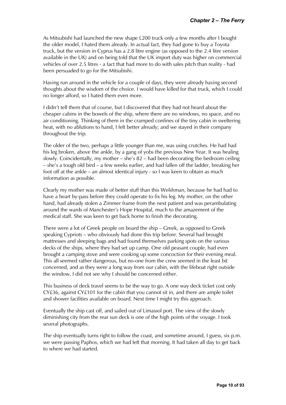As Mitsubishi had launched the new shape L200 truck only a few months after I bought the older model, I hated them already. In actual fact, they had gone to buy a Toyota truck, but the version in Cyprus has a 2.8 litre engine (as opposed to the 2.4 litre version available in the UK) and on being told that the UK import duty was higher on commercial vehicles of over 2.5 litres - a fact that had more to do with sales pitch than reality - had been persuaded to go for the Mitsubishi.

Having run around in the vehicle for a couple of days, they were already having second thoughts about the wisdom of the choice. I would have killed for that truck, which I could no longer afford, so I hated them even more.

I didn't tell them that of course, but I discovered that they had not heard about the cheaper cabins in the bowels of the ship, where there are no windows, no space, and no air conditioning. Thinking of them in the cramped confines of the tiny cabin in sweltering heat, with no ablutions to hand, I felt better already; and we stayed in their company throughout the trip.

The older of the two, perhaps a little younger than me, was using crutches. He had had his leg broken, above the ankle, by a gang of yobs the previous New Year. It was healing slowly. Coincidentally, my mother – she's 82 – had been decorating the bedroom ceiling – she's a tough old bird – a few weeks earlier, and had fallen off the ladder, breaking her foot off at the ankle – an almost identical injury - so I was keen to obtain as much information as possible.

Clearly my mother was made of better stuff than this Welshman, because he had had to have a heart by-pass before they could operate to fix his leg. My mother, on the other hand, had already stolen a Zimmer frame from the next patient and was perambulating around the wards of Manchester's Hope Hospital, much to the amazement of the medical staff. She was keen to get back home to finish the decorating.

There were a lot of Greek people on board the ship – Greek, as opposed to Greek speaking Cypriots – who obviously had done this trip before. Several had brought mattresses and sleeping bags and had found themselves parking spots on the various decks of the ships, where they had set up camp. One old peasant couple, had even brought a camping stove and were cooking up some concoction for their evening meal. This all seemed rather dangerous, but no-one from the crew seemed in the least bit concerned, and as they were a long way from our cabin, with the lifeboat right outside the window, I did not see why I should be concerned either.

This business of deck travel seems to be the way to go. A one way deck ticket cost only CY£36, against CY£101 for the cabin that you cannot sit in, and there are ample toilet and shower facilities available on board. Next time I might try this approach.

Eventually the ship cast off, and sailed out of Limassol port. The view of the slowly diminishing city from the rear sun deck is one of the high points of the voyage. I took several photographs.

The ship eventually turns right to follow the coast, and sometime around, I guess, six p.m. we were passing Paphos, which we had left that morning. It had taken all day to get back to where we had started.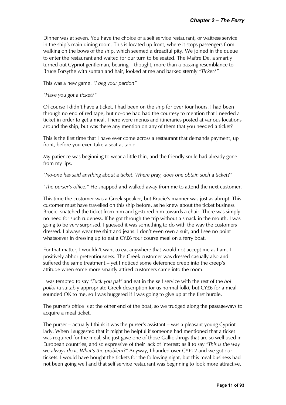Dinner was at seven. You have the choice of a self service restaurant, or waitress service in the ship's main dining room. This is located up front, where it stops passengers from walking on the bows of the ship, which seemed a dreadful pity. We joined in the queue to enter the restaurant and waited for our turn to be seated. The Maître De, a smartly turned out Cypriot gentleman, bearing, I thought, more than a passing resemblance to Bruce Forsythe with suntan and hair, looked at me and barked sternly *"Ticket?"* 

This was a new game. *"I beg your pardon"*

#### *"Have you got a ticket?"*

Of course I didn't have a ticket. I had been on the ship for over four hours. I had been through no end of red tape, but no-one had had the courtesy to mention that I needed a ticket in order to get a meal. There were menus and itineraries posted at various locations around the ship, but was there any mention on any of them that you needed a ticket?

This is the first time that I have ever come across a restaurant that demands payment, up front, before you even take a seat at table.

My patience was beginning to wear a little thin, and the friendly smile had already gone from my lips.

*"No-one has said anything about a ticket. Where pray, does one obtain such a ticket?"* 

*"The purser's office."* He snapped and walked away from me to attend the next customer.

This time the customer was a Greek speaker, but Brucie's manner was just as abrupt. This customer must have travelled on this ship before, as he knew about the ticket business. Brucie, snatched the ticket from him and gestured him towards a chair. There was simply no need for such rudeness. If he got through the trip without a smack in the mouth, I was going to be very surprised. I guessed it was something to do with the way the customers dressed. I always wear tee shirt and jeans. I don't even own a suit, and I see no point whatsoever in dressing up to eat a CY£6 four course meal on a ferry boat.

For that matter, I wouldn't want to eat anywhere that would not accept me as I am. I positively abhor pretentiousness. The Greek customer was dressed casually also and suffered the same treatment – yet I noticed some deference creep into the creep's attitude when some more smartly attired customers came into the room.

I was tempted to say *"Fuck you pal"* and eat in the self service with the rest of the *hoi polloi* (a suitably appropriate Greek description for us normal folk), but CY£6 for a meal sounded OK to me, so I was buggered if I was going to give up at the first hurdle.

The purser's office is at the other end of the boat, so we trudged along the passageways to acquire a meal ticket.

The purser – actually I think it was the purser's assistant – was a pleasant young Cypriot lady. When I suggested that it might be helpful if someone had mentioned that a ticket was required for the meal, she just gave one of those Gallic shrugs that are so well used in European countries, and so expressive of their lack of interest; as if to say *"This is the way we always do it. What's the problem?"* Anyway, I handed over CY£12 and we got our tickets. I would have bought the tickets for the following night, but this meal business had not been going well and that self service restaurant was beginning to look more attractive.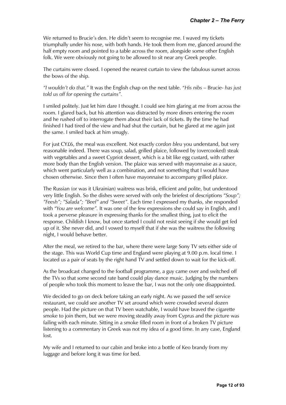We returned to Brucie's den. He didn't seem to recognise me. I waved my tickets triumphally under his nose, with both hands. He took them from me, glanced around the half empty room and pointed to a table across the room, alongside some other English folk. We were obviously not going to be allowed to sit near any Greek people.

The curtains were closed. I opened the nearest curtain to view the fabulous sunset across the bows of the ship.

*"I wouldn't do that."* It was the English chap on the next table. "*His nibs* – Brucie- *has just told us off for opening the curtains".* 

I smiled politely. Just let him dare I thought. I could see him glaring at me from across the room. I glared back, but his attention was distracted by more diners entering the room and he rushed off to interrogate them about their lack of tickets. By the time he had finished I had tired of the view and had shut the curtain, but he glared at me again just the same. I smiled back at him smugly.

For just CY£6, the meal was excellent. Not exactly *cordon bleu* you understand, but very reasonable indeed. There was soup, salad, grilled plaice, followed by (overcooked) steak with vegetables and a sweet Cypriot dessert, which is a bit like egg custard, with rather more body than the English version. The plaice was served with mayonnaise as a sauce, which went particularly well as a combination, and not something that I would have chosen otherwise. Since then I often have mayonnaise to accompany grilled plaice.

The Russian (or was it Ukrainian) waitress was brisk, efficient and polite, but understood very little English. So the dishes were served with only the briefest of descriptions *"Soup"; "Feesh"; "Salada"; "Beef" and "Sweet".* Each time I expressed my thanks, she responded with "*You are welcome".* It was one of the few expressions she could say in English, and I took a perverse pleasure in expressing thanks for the smallest thing, just to elicit the response. Childish I know, but once started I could not resist seeing if she would get fed up of it. She never did, and I vowed to myself that if she was the waitress the following night, I would behave better.

After the meal, we retired to the bar, where there were large Sony TV sets either side of the stage. This was World Cup time and England were playing at 9.00 p.m. local time. I located us a pair of seats by the right hand TV and settled down to wait for the kick-off.

As the broadcast changed to the football programme, a guy came over and switched off the TVs so that some second rate band could play dance music. Judging by the numbers of people who took this moment to leave the bar, I was not the only one disappointed.

We decided to go on deck before taking an early night. As we passed the self service restaurant, we could see another TV set around which were crowded several dozen people. Had the picture on that TV been watchable, I would have braved the cigarette smoke to join them, but we were moving steadily away from Cyprus and the picture was failing with each minute. Sitting in a smoke filled room in front of a broken TV picture listening to a commentary in Greek was not my idea of a good time. In any case, England lost.

My wife and I returned to our cabin and broke into a bottle of Keo brandy from my luggage and before long it was time for bed.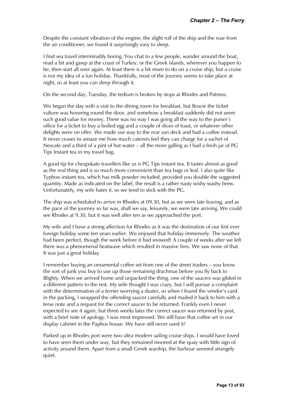Despite the constant vibration of the engine, the slight roll of the ship and the roar from the air conditioner, we found it surprisingly easy to sleep.

I find sea travel interminably boring. You chat to a few people, wander around the boat, read a bit and gawp at the coast of Turkey, or the Greek islands, wherever you happen to be, then start all over again. At least there is a bit more to do on a cruise ship, but a cruise is not my idea of a fun holiday. Thankfully, most of the journey seems to take place at night, so at least you can sleep through it.

On the second day, Tuesday, the tedium is broken by stops at Rhodes and Patmos.

We began the day with a visit to the dining room for breakfast, but Brucie the ticket vulture was hovering round the door, and somehow a breakfast suddenly did not seem such good value for money. There was no way I was going all the way to the purser's office for a ticket to buy a boiled egg and a couple of slices of toast, or whatever other delights were on offer. We made our way to the rear sun deck and had a coffee instead. It never ceases to amaze me how much caterers feel they can charge for a sachet of Nescafe and a third of a pint of hot water – all the more galling as I had a fresh jar of PG Tips Instant tea in my travel bag.

A good tip for cheapskate travellers like us is PG Tips instant tea. It tastes almost as good as the real thing and is so much more convenient than tea bags or leaf. I also quite like Typhoo instant tea, which has milk powder included, provided you double the suggested quantity. Made as indicated on the label, the result is a rather nasty wishy washy brew. Unfortunately, my wife hates it, so we tend to stick with the PG.

The ship was scheduled to arrive in Rhodes at 09.30, but as we were late leaving, and as the pace of the journey so far was, shall we say, leisurely, we were late arriving. We could see Rhodes at 9.30, but it was well after ten as we approached the port.

My wife and I have a strong affection for Rhodes as it was the destination of our first ever foreign holiday some ten years earlier. We enjoyed that holiday immensely. The weather had been perfect, though the week before it had snowed! A couple of weeks after we left there was a phenomenal heatwave which resulted in massive fires. We saw none of that. It was just a great holiday.

I remember buying an ornamental coffee set from one of the street traders – you know the sort of junk you buy to use up those remaining drachmas before you fly back to Blighty. When we arrived home and unpacked the thing, one of the saucers was gilded in a different pattern to the rest. My wife thought I was crazy, but I will pursue a complaint with the determination of a terrier worrying a duster, so when I found the vendor's card in the packing, I wrapped the offending saucer carefully and mailed it back to him with a terse note and a request for the correct saucer to be returned. Frankly even I never expected to see it again, but three weeks later the correct saucer was returned by post, with a brief note of apology. I was most impressed. We still have that coffee set in our display cabinet in the Paphos house. We have still never used it!

Parked up in Rhodes port were two ultra modern sailing cruise ships. I would have loved to have seen them under way, but they remained moored at the quay with little sign of activity around them. Apart from a small Greek warship, the harbour seemed strangely quiet.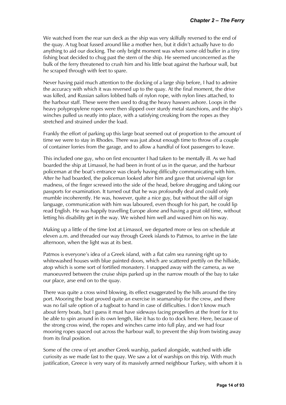We watched from the rear sun deck as the ship was very skilfully reversed to the end of the quay. A tug boat fussed around like a mother hen, but it didn't actually have to do anything to aid our docking. The only bright moment was when some old buffer in a tiny fishing boat decided to chug past the stern of the ship. He seemed unconcerned as the bulk of the ferry threatened to crush him and his little boat against the harbour wall, but he scraped through with feet to spare.

Never having paid much attention to the docking of a large ship before, I had to admire the accuracy with which it was reversed up to the quay. At the final moment, the drive was killed, and Russian sailors lobbed balls of nylon rope, with nylon lines attached, to the harbour staff. These were then used to drag the heavy hawsers ashore. Loops in the heavy polypropylene ropes were then slipped over sturdy metal stanchions, and the ship's winches pulled us neatly into place, with a satisfying creaking from the ropes as they stretched and strained under the load.

Frankly the effort of parking up this large boat seemed out of proportion to the amount of time we were to stay in Rhodes. There was just about enough time to throw off a couple of container lorries from the garage, and to allow a handful of foot passengers to leave.

This included one guy, who on first encounter I had taken to be mentally ill. As we had boarded the ship at Limassol, he had been in front of us in the queue, and the harbour policeman at the boat's entrance was clearly having difficulty communicating with him. After he had boarded, the policeman looked after him and gave that universal sign for madness, of the finger screwed into the side of the head, before shrugging and taking our passports for examination. It turned out that he was profoundly deaf and could only mumble incoherently. He was, however, quite a nice guy, but without the skill of sign language, communication with him was laboured, even though for his part, he could lip read English. He was happily travelling Europe alone and having a great old time, without letting his disability get in the way. We wished him well and waved him on his way.

Making up a little of the time lost at Limassol, we departed more or less on schedule at eleven a.m. and threaded our way through Greek islands to Patmos, to arrive in the late afternoon, when the light was at its best.

Patmos is everyone's idea of a Greek island, with a flat calm sea running right up to whitewashed houses with blue painted doors, which are scattered prettily on the hillside, atop which is some sort of fortified monastery. I snapped away with the camera, as we manoeuvred between the cruise ships parked up in the narrow mouth of the bay to take our place, arse end on to the quay.

There was quite a cross wind blowing, its effect exaggerated by the hills around the tiny port. Mooring the boat proved quite an exercise in seamanship for the crew, and there was no fail safe option of a tugboat to hand in case of difficulties. I don't know much about ferry boats, but I guess it must have sideways facing propellers at the front for it to be able to spin around in its own length, like it has to do to dock here. Here, because of the strong cross wind, the ropes and winches came into full play, and we had four mooring ropes spaced out across the harbour wall, to prevent the ship from twisting away from its final position.

Some of the crew of yet another Greek warship, parked alongside, watched with idle curiosity as we made fast to the quay. We saw a lot of warships on this trip. With much justification, Greece is very wary of its massively armed neighbour Turkey, with whom it is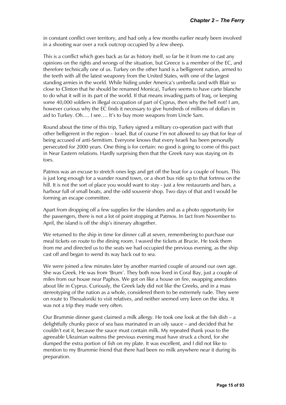in constant conflict over territory, and had only a few months earlier nearly been involved in a shooting war over a rock outcrop occupied by a few sheep.

This is a conflict which goes back as far as history itself, so far be it from me to cast any opinions on the rights and wrongs of the situation, but Greece is a member of the EC, and therefore technically one of us. Turkey on the other hand is a belligerent nation, armed to the teeth with all the latest weaponry from the United States, with one of the largest standing armies in the world. While hiding under America's umbrella (and with Blair so close to Clinton that he should be renamed Monica), Turkey seems to have carte blanche to do what it will in its part of the world. If that means invading parts of Iraq, or keeping some 40,000 soldiers in illegal occupation of part of Cyprus, then why the hell not? I am, however curious why the EC finds it necessary to give hundreds of millions of dollars in aid to Turkey. Oh…. I see…. It's to buy more weapons from Uncle Sam.

Round about the time of this trip, Turkey signed a military co-operation pact with that other belligerent in the region – Israel. But of course I'm not allowed to say that for fear of being accused of anti-Semitism. Everyone knows that every Israeli has been personally persecuted for 2000 years. One thing is for certain: no good is going to come of this pact in Near Eastern relations. Hardly surprising then that the Greek navy was staying on its toes.

Patmos was an excuse to stretch ones legs and get off the boat for a couple of hours. This is just long enough for a wander round town, or a short bus ride up to that fortress on the hill. It is not the sort of place you would want to stay - just a few restaurants and bars, a harbour full of small boats, and the odd souvenir shop. Two days of that and I would be forming an escape committee.

Apart from dropping off a few supplies for the islanders and as a photo opportunity for the passengers, there is not a lot of point stopping at Patmos. In fact from November to April, the island is off the ship's itinerary altogether.

We returned to the ship in time for dinner call at seven, remembering to purchase our meal tickets on route to the dining room. I waved the tickets at Brucie. He took them from me and directed us to the seats we had occupied the previous evening, as the ship cast off and began to wend its way back out to sea.

We were joined a few minutes later by another married couple of around our own age. She was Greek. He was from 'Brum'. They both now lived in Coral Bay, just a couple of miles from our house near Paphos. We got on like a house on fire, swapping anecdotes about life in Cyprus. Curiously, the Greek lady did not like the Greeks, and in a mass stereotyping of the nation as a whole, considered them to be extremely rude. They were on route to Thessaloniki to visit relatives, and neither seemed very keen on the idea. It was not a trip they made very often.

Our Brummie dinner guest claimed a milk allergy. He took one look at the fish dish – a delightfully chunky piece of sea bass marinated in an oily sauce – and decided that he couldn't eat it, because the sauce must contain milk. My repeated thank yous to the agreeable Ukrainian waitress the previous evening must have struck a chord, for she dumped the extra portion of fish on my plate. It was excellent, and I did not like to mention to my Brummie friend that there had been no milk anywhere near it during its preparation.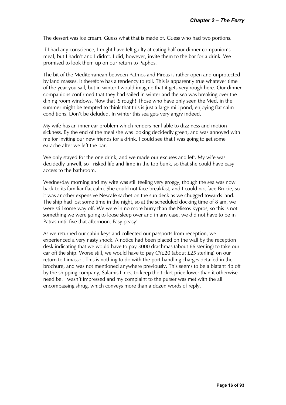The dessert was ice cream. Guess what that is made of. Guess who had two portions.

If I had any conscience, I might have felt guilty at eating half our dinner companion's meal, but I hadn't and I didn't. I did, however, invite them to the bar for a drink. We promised to look them up on our return to Paphos.

The bit of the Mediterranean between Patmos and Pireas is rather open and unprotected by land masses. It therefore has a tendency to roll. This is apparently true whatever time of the year you sail, but in winter I would imagine that it gets very rough here. Our dinner companions confirmed that they had sailed in winter and the sea was breaking over the dining room windows. Now that IS rough! Those who have only seen the Med. in the summer might be tempted to think that this is just a large mill pond, enjoying flat calm conditions. Don't be deluded. In winter this sea gets very angry indeed.

My wife has an inner ear problem which renders her liable to dizziness and motion sickness. By the end of the meal she was looking decidedly green, and was annoyed with me for inviting our new friends for a drink. I could see that I was going to get some earache after we left the bar.

We only stayed for the one drink, and we made our excuses and left. My wife was decidedly unwell, so I risked life and limb in the top bunk, so that she could have easy access to the bathroom.

Wednesday morning and my wife was still feeling very groggy, though the sea was now back to its familiar flat calm. She could not face breakfast, and I could not face Brucie, so it was another expensive Nescafe sachet on the sun deck as we chugged towards land. The ship had lost some time in the night, so at the scheduled docking time of 8 am, we were still some way off. We were in no more hurry than the Nissos Kypros, so this is not something we were going to loose sleep over and in any case, we did not have to be in Patras until five that afternoon. Easy peasy!

As we returned our cabin keys and collected our passports from reception, we experienced a very nasty shock. A notice had been placed on the wall by the reception desk indicating that we would have to pay 3000 drachmas (about £6 sterling) to take our car off the ship. Worse still, we would have to pay CY£20 (about £25 sterling) on our return to Limassol. This is nothing to do with the port handling charges detailed in the brochure, and was not mentioned anywhere previously. This seems to be a blatant rip off by the shipping company, Salamis Lines, to keep the ticket price lower than it otherwise need be. I wasn't impressed and my complaint to the purser was met with the all encompassing shrug, which conveys more than a dozen words of reply.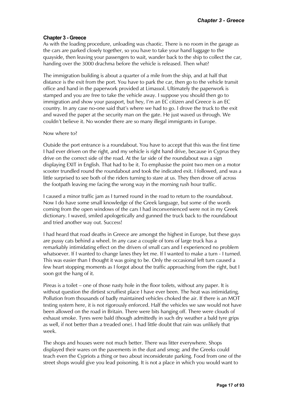# <span id="page-18-0"></span>**Chapter 3 - Greece**

As with the loading procedure, unloading was chaotic. There is no room in the garage as the cars are parked closely together, so you have to take your hand luggage to the quayside, then leaving your passengers to wait, wander back to the ship to collect the car, handing over the 3000 drachma before the vehicle is released. Then what?

The immigration building is about a quarter of a mile from the ship, and at half that distance is the exit from the port. You have to park the car, then go to the vehicle transit office and hand in the paperwork provided at Limassol. Ultimately the paperwork is stamped and you are free to take the vehicle away. I suppose you should then go to immigration and show your passport, but hey, I'm an EC citizen and Greece is an EC country. In any case no-one said that's where we had to go. I drove the truck to the exit and waved the paper at the security man on the gate. He just waved us through. We couldn't believe it. No wonder there are so many illegal immigrants in Europe.

#### Now where to?

Outside the port entrance is a roundabout. You have to accept that this was the first time I had ever driven on the right, and my vehicle is right hand drive, because in Cyprus they drive on the correct side of the road. At the far side of the roundabout was a sign displaying EXIT in English. That had to be it. To emphasise the point two men on a motor scooter trundled round the roundabout and took the indicated exit. I followed, and was a little surprised to see both of the riders turning to stare at us. They then drove off across the footpath leaving me facing the wrong way in the morning rush hour traffic.

I caused a minor traffic jam as I turned round in the road to return to the roundabout. Now I do have some small knowledge of the Greek language, but some of the words coming from the open windows of the cars I had inconvenienced were not in my Greek dictionary. I waved, smiled apologetically and gunned the truck back to the roundabout and tried another way out. Success!

I had heard that road deaths in Greece are amongst the highest in Europe, but these guys are pussy cats behind a wheel. In any case a couple of tons of large truck has a remarkably intimidating effect on the drivers of small cars and I experienced no problem whatsoever. If I wanted to change lanes they let me. If I wanted to make a turn - I turned. This was easier than I thought it was going to be. Only the occasional left turn caused a few heart stopping moments as I forgot about the traffic approaching from the right, but I soon got the hang of it.

Pireas is a toilet – one of those nasty hole in the floor toilets, without any paper. It is without question the dirtiest scruffiest place I have ever been. The heat was intimidating. Pollution from thousands of badly maintained vehicles choked the air. If there is an MOT testing system here, it is not rigorously enforced. Half the vehicles we saw would not have been allowed on the road in Britain. There were bits hanging off. There were clouds of exhaust smoke. Tyres were bald (though admittedly in such dry weather a bald tyre grips as well, if not better than a treaded one). I had little doubt that rain was unlikely that week.

The shops and houses were not much better. There was litter everywhere. Shops displayed their wares on the pavements in the dust and smog; and the Greeks could teach even the Cypriots a thing or two about inconsiderate parking. Food from one of the street shops would give you lead poisoning. It is not a place in which you would want to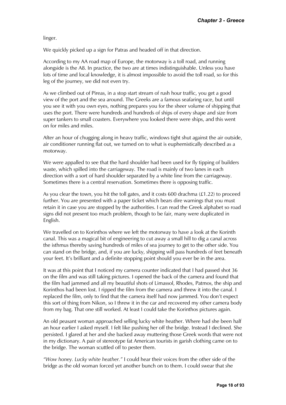linger.

We quickly picked up a sign for Patras and headed off in that direction.

According to my AA road map of Europe, the motorway is a toll road, and running alongside is the A8. In practice, the two are at times indistinguishable. Unless you have lots of time and local knowledge, it is almost impossible to avoid the toll road, so for this leg of the journey, we did not even try.

As we climbed out of Pireas, in a stop start stream of rush hour traffic, you get a good view of the port and the sea around. The Greeks are a famous seafaring race, but until you see it with you own eyes, nothing prepares you for the sheer volume of shipping that uses the port. There were hundreds and hundreds of ships of every shape and size from super tankers to small coasters. Everywhere you looked there were ships, and this went on for miles and miles.

After an hour of chugging along in heavy traffic, windows tight shut against the air outside, air conditioner running flat out, we turned on to what is euphemistically described as a motorway.

We were appalled to see that the hard shoulder had been used for fly tipping of builders waste, which spilled into the carriageway. The road is mainly of two lanes in each direction with a sort of hard shoulder separated by a white line from the carriageway. Sometimes there is a central reservation. Sometimes there is opposing traffic.

As you clear the town, you hit the toll gates, and it costs 600 drachma (£1.22) to proceed further. You are presented with a paper ticket which bears dire warnings that you must retain it in case you are stopped by the authorities. I can read the Greek alphabet so road signs did not present too much problem, though to be fair, many were duplicated in English.

We travelled on to Korinthos where we left the motorway to have a look at the Korinth canal. This was a magical bit of engineering to cut away a small hill to dig a canal across the isthmus thereby saving hundreds of miles of sea journey to get to the other side. You can stand on the bridge, and, if you are lucky, shipping will pass hundreds of feet beneath your feet. It's brilliant and a definite stopping point should you ever be in the area.

It was at this point that I noticed my camera counter indicated that I had passed shot 36 on the film and was still taking pictures. I opened the back of the camera and found that the film had jammed and all my beautiful shots of Limassol, Rhodes, Patmos, the ship and Korinthos had been lost. I ripped the film from the camera and threw it into the canal. I replaced the film, only to find that the camera itself had now jammed. You don't expect this sort of thing from Nikon, so I threw it in the car and recovered my other camera body from my bag. That one still worked. At least I could take the Korinthos pictures again.

An old peasant woman approached selling lucky white heather. Where had she been half an hour earlier I asked myself. I felt like pushing her off the bridge. Instead I declined. She persisted. I glared at her and she backed away muttering those Greek words that were not in my dictionary. A pair of stereotype fat American tourists in garish clothing came on to the bridge. The woman scuttled off to pester them.

*"Wow honey. Lucky white heather."* I could hear their voices from the other side of the bridge as the old woman forced yet another bunch on to them. I could swear that she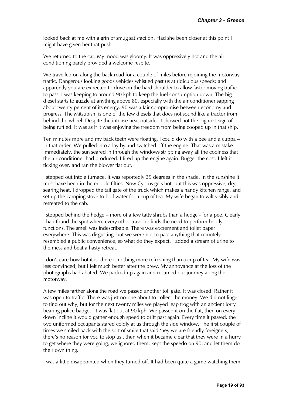looked back at me with a grin of smug satisfaction. Had she been closer at this point I might have given her that push.

We returned to the car. My mood was gloomy. It was oppressively hot and the air conditioning barely provided a welcome respite.

We travelled on along the back road for a couple of miles before rejoining the motorway traffic. Dangerous looking goods vehicles whistled past us at ridiculous speeds; and apparently you are expected to drive on the hard shoulder to allow faster moving traffic to pass. I was keeping to around 90 kph to keep the fuel consumption down. The big diesel starts to guzzle at anything above 80, especially with the air conditioner sapping about twenty percent of its energy. 90 was a fair compromise between economy and progress. The Mitsubishi is one of the few diesels that does not sound like a tractor from behind the wheel. Despite the intense heat outside, it showed not the slightest sign of being ruffled. It was as if it was enjoying the freedom from being cooped up in that ship.

Ten minutes more and my back teeth were floating. I could do with a pee and a cuppa – in that order. We pulled into a lay by and switched off the engine. That was a mistake. Immediately, the sun seared in through the windows stripping away all the coolness that the air conditioner had produced. I fired up the engine again. Bugger the cost. I left it ticking over, and ran the blower flat out.

I stepped out into a furnace. It was reportedly 39 degrees in the shade. In the sunshine it must have been in the middle fifties. Now Cyprus gets hot, but this was oppressive, dry, searing heat. I dropped the tail gate of the truck which makes a handy kitchen range, and set up the camping stove to boil water for a cup of tea. My wife began to wilt visibly and retreated to the cab.

I stepped behind the hedge – more of a few tatty shrubs than a hedge - for a pee. Clearly I had found the spot where every other traveller finds the need to perform bodily functions. The smell was indescribable. There was excrement and toilet paper everywhere. This was disgusting, but we were not to pass anything that remotely resembled a public convenience, so what do they expect. I added a stream of urine to the mess and beat a hasty retreat.

I don't care how hot it is, there is nothing more refreshing than a cup of tea. My wife was less convinced, but I felt much better after the brew. My annoyance at the loss of the photographs had abated. We packed up again and resumed our journey along the motorway.

A few miles farther along the road we passed another toll gate. It was closed. Rather it was open to traffic. There was just no-one about to collect the money. We did not linger to find out why, but for the next twenty miles we played leap frog with an ancient lorry bearing police badges. It was flat out at 90 kph. We passed it on the flat, then on every down incline it would gather enough speed to drift past again. Every time it passed, the two uniformed occupants stared coldly at us through the side window. The first couple of times we smiled back with the sort of smile that said 'hey we are friendly foreigners; there's no reason for you to stop us', then when it became clear that they were in a hurry to get where they were going, we ignored them, kept the speedo on 90, and let them do their own thing.

I was a little disappointed when they turned off. It had been quite a game watching them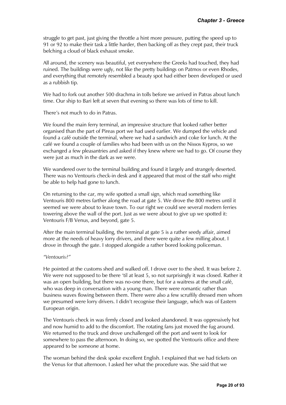struggle to get past, just giving the throttle a hint more pressure, putting the speed up to 91 or 92 to make their task a little harder, then backing off as they crept past, their truck belching a cloud of black exhaust smoke.

All around, the scenery was beautiful, yet everywhere the Greeks had touched, they had ruined. The buildings were ugly, not like the pretty buildings on Patmos or even Rhodes, and everything that remotely resembled a beauty spot had either been developed or used as a rubbish tip.

We had to fork out another 500 drachma in tolls before we arrived in Patras about lunch time. Our ship to Bari left at seven that evening so there was lots of time to kill.

There's not much to do in Patras.

We found the main ferry terminal, an impressive structure that looked rather better organised than the part of Pireas port we had used earlier. We dumped the vehicle and found a café outside the terminal, where we had a sandwich and coke for lunch. At the café we found a couple of families who had been with us on the Nissos Kypros, so we exchanged a few pleasantries and asked if they knew where we had to go. Of course they were just as much in the dark as we were.

We wandered over to the terminal building and found it largely and strangely deserted. There was no Ventouris check-in desk and it appeared that most of the staff who might be able to help had gone to lunch.

On returning to the car, my wife spotted a small sign, which read something like Ventouris 800 metres farther along the road at gate 5. We drove the 800 metres until it seemed we were about to leave town. To our right we could see several modern ferries towering above the wall of the port. Just as we were about to give up we spotted it: Ventouris F/B Venus, and beyond, gate 5.

After the main terminal building, the terminal at gate 5 is a rather seedy affair, aimed more at the needs of heavy lorry drivers, and there were quite a few milling about. I drove in through the gate. I stopped alongside a rather bored looking policeman.

#### *"Ventouris?"*

He pointed at the customs shed and walked off. I drove over to the shed. It was before 2. We were not supposed to be there 'til at least 5, so not surprisingly it was closed. Rather it was an open building, but there was no-one there, but for a waitress at the small café, who was deep in conversation with a young man. There were romantic rather than business waves flowing between them. There were also a few scruffily dressed men whom we presumed were lorry drivers. I didn't recognise their language, which was of Eastern European origin.

The Ventouris check in was firmly closed and looked abandoned. It was oppressively hot and now humid to add to the discomfort. The rotating fans just moved the fug around. We returned to the truck and drove unchallenged off the port and went to look for somewhere to pass the afternoon. In doing so, we spotted the Ventouris office and there appeared to be someone at home.

The woman behind the desk spoke excellent English. I explained that we had tickets on the Venus for that afternoon. I asked her what the procedure was. She said that we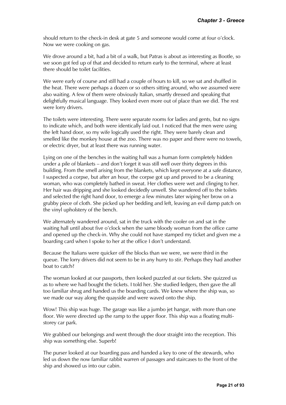should return to the check-in desk at gate 5 and someone would come at four o'clock. Now we were cooking on gas.

We drove around a bit, had a bit of a walk, but Patras is about as interesting as Bootle, so we soon got fed up of that and decided to return early to the terminal, where at least there should be toilet facilities.

We were early of course and still had a couple of hours to kill, so we sat and shuffled in the heat. There were perhaps a dozen or so others sitting around, who we assumed were also waiting. A few of them were obviously Italian, smartly dressed and speaking that delightfully musical language. They looked even more out of place than we did. The rest were lorry drivers.

The toilets were interesting. There were separate rooms for ladies and gents, but no signs to indicate which, and both were identically laid out. I noticed that the men were using the left hand door, so my wife logically used the right. They were barely clean and smelled like the monkey house at the zoo. There was no paper and there were no towels, or electric dryer, but at least there was running water.

Lying on one of the benches in the waiting hall was a human form completely hidden under a pile of blankets – and don't forget it was still well over thirty degrees in this building. From the smell arising from the blankets, which kept everyone at a safe distance, I suspected a corpse, but after an hour, the corpse got up and proved to be a cleaning woman, who was completely bathed in sweat. Her clothes were wet and clinging to her. Her hair was dripping and she looked decidedly unwell. She wandered off to the toilets and selected the right hand door, to emerge a few minutes later wiping her brow on a grubby piece of cloth. She picked up her bedding and left, leaving an evil damp patch on the vinyl upholstery of the bench.

We alternately wandered around, sat in the truck with the cooler on and sat in the waiting hall until about five o'clock when the same bloody woman from the office came and opened up the check-in. Why she could not have stamped my ticket and given me a boarding card when I spoke to her at the office I don't understand.

Because the Italians were quicker off the blocks than we were, we were third in the queue. The lorry drivers did not seem to be in any hurry to stir. Perhaps they had another boat to catch?

The woman looked at our passports, then looked puzzled at our tickets. She quizzed us as to where we had bought the tickets. I told her. She studied ledgers, then gave the all too familiar shrug and handed us the boarding cards. We knew where the ship was, so we made our way along the quayside and were waved onto the ship.

Wow! This ship was huge. The garage was like a jumbo jet hangar, with more than one floor. We were directed up the ramp to the upper floor. This ship was a floating multistorey car park.

We grabbed our belongings and went through the door straight into the reception. This ship was something else. Superb!

The purser looked at our boarding pass and handed a key to one of the stewards, who led us down the now familiar rabbit warren of passages and staircases to the front of the ship and showed us into our cabin.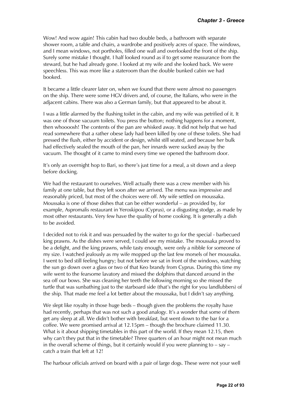Wow! And wow again! This cabin had two double beds, a bathroom with separate shower room, a table and chairs, a wardrobe and positively acres of space. The windows, and I mean windows, not portholes, filled one wall and overlooked the front of the ship. Surely some mistake I thought. I half looked round as if to get some reassurance from the steward, but he had already gone. I looked at my wife and she looked back. We were speechless. This was more like a stateroom than the double bunked cabin we had booked.

It became a little clearer later on, when we found that there were almost no passengers on the ship. There were some HGV drivers and, of course, the Italians, who were in the adjacent cabins. There was also a German family, but that appeared to be about it.

I was a little alarmed by the flushing toilet in the cabin, and my wife was petrified of it. It was one of those vacuum toilets. You press the button; nothing happens for a moment, then whoooosh! The contents of the pan are whisked away. It did not help that we had read somewhere that a rather obese lady had been killed by one of these toilets. She had pressed the flush, either by accident or design, whilst still seated, and because her bulk had effectively sealed the mouth of the pan, her innards were sucked away by the vacuum. The thought of it came to mind every time we opened the bathroom door.

It's only an overnight hop to Bari, so there's just time for a meal, a sit down and a sleep before docking.

We had the restaurant to ourselves. Well actually there was a crew member with his family at one table, but they left soon after we arrived. The menu was impressive and reasonably priced, but most of the choices were off. My wife settled on moussaka. Moussaka is one of those dishes that can be either wonderful – as provided by, for example, Aspromalis restaurant in Yeroskipou (Cyprus), or a disgusting stodge, as made by most other restaurants. Very few have the quality of home cooking. It is generally a dish to be avoided.

I decided not to risk it and was persuaded by the waiter to go for the special - barbecued king prawns. As the dishes were served, I could see my mistake. The moussaka proved to be a delight, and the king prawns, while tasty enough, were only a nibble for someone of my size. I watched jealously as my wife mopped up the last few morsels of her moussaka. I went to bed still feeling hungry; but not before we sat in front of the windows, watching the sun go down over a glass or two of that Keo brandy from Cyprus. During this time my wife went to the fearsome lavatory and missed the dolphins that danced around in the sea off our bows. She was cleaning her teeth the following morning so she missed the turtle that was sunbathing just to the starboard side (that's the right for you landlubbers) of the ship. That made me feel a lot better about the moussaka, but I didn't say anything.

We slept like royalty in those huge beds – though given the problems the royalty have had recently, perhaps that was not such a good analogy. It's a wonder that some of them get any sleep at all. We didn't bother with breakfast, but went down to the bar for a coffee. We were promised arrival at 12.15pm – though the brochure claimed 11.30. What is it about shipping timetables in this part of the world. If they mean 12.15, then why can't they put that in the timetable? Three quarters of an hour might not mean much in the overall scheme of things, but it certainly would if you were planning to – say – catch a train that left at 12!

The harbour officials arrived on board with a pair of large dogs. These were not your well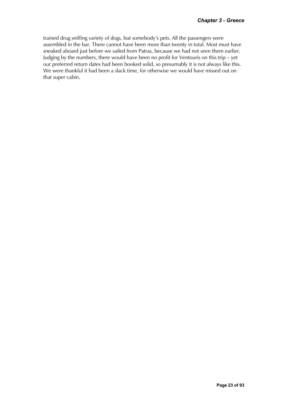trained drug sniffing variety of dogs, but somebody's pets. All the passengers were assembled in the bar. There cannot have been more than twenty in total. Most must have sneaked aboard just before we sailed from Patras, because we had not seen them earlier. Judging by the numbers, there would have been no profit for Ventouris on this trip – yet our preferred return dates had been booked solid, so presumably it is not always like this. We were thankful it had been a slack time, for otherwise we would have missed out on that super cabin.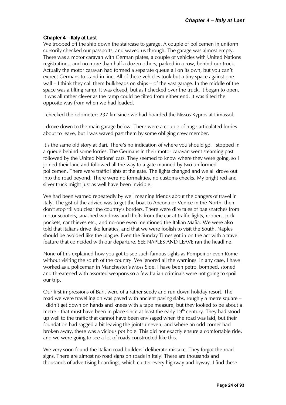#### <span id="page-25-0"></span>**Chapter 4 – Italy at Last**

We trooped off the ship down the staircase to garage. A couple of policemen in uniform cursorily checked our passports, and waved us through. The garage was almost empty. There was a motor caravan with German plates, a couple of vehicles with United Nations registrations, and no more than half a dozen others, parked in a row, behind our truck. Actually the motor caravan had formed a separate queue all on its own, but you can't expect Germans to stand in line. All of these vehicles took but a tiny space against one wall – I think they call them bulkheads on ships – of the vast garage. In the middle of the space was a tilting ramp. It was closed, but as I checked over the truck, it began to open. It was all rather clever as the ramp could be tilted from either end. It was tilted the opposite way from when we had loaded.

I checked the odometer: 237 km since we had boarded the Nissos Kypros at Limassol.

I drove down to the main garage below. There were a couple of huge articulated lorries about to leave, but I was waved past them by some obliging crew member.

It's the same old story at Bari. There's no indication of where you should go. I stopped in a queue behind some lorries. The Germans in their motor caravan went steaming past followed by the United Nations' cars. They seemed to know where they were going, so I joined their lane and followed all the way to a gate manned by two uniformed policemen. There were traffic lights at the gate. The lights changed and we all drove out into the road beyond. There were no formalities, no customs checks. My bright red and silver truck might just as well have been invisible.

We had been warned repeatedly by well meaning friends about the dangers of travel in Italy. The gist of the advice was to get the boat to Ancona or Venice in the North, then don't stop 'til you clear the country's borders. There were dire tales of bag snatches from motor scooters, smashed windows and thefts from the car at traffic lights, robbers, pick pockets, car thieves etc., and no-one even mentioned the Italian Mafia. We were also told that Italians drive like lunatics, and that we were foolish to visit the South. Naples should be avoided like the plague. Even the Sunday Times got in on the act with a travel feature that coincided with our departure. SEE NAPLES AND LEAVE ran the headline.

None of this explained how you got to see such famous sights as Pompeii or even Rome without visiting the south of the country. We ignored all the warnings. In any case, I have worked as a policeman in Manchester's Moss Side. I have been petrol bombed, stoned and threatened with assorted weapons so a few Italian criminals were not going to spoil our trip.

Our first impressions of Bari, were of a rather seedy and run down holiday resort. The road we were travelling on was paved with ancient paving slabs, roughly a metre square – I didn't get down on hands and knees with a tape measure, but they looked to be about a metre - that must have been in place since at least the early  $19<sup>th</sup>$  century. They had stood up well to the traffic that cannot have been envisaged when the road was laid, but their foundation had sagged a bit leaving the joints uneven; and where an odd corner had broken away, there was a vicious pot hole. This did not exactly ensure a comfortable ride, and we were going to see a lot of roads constructed like this.

We very soon found the Italian road builders' deliberate mistake. They forgot the road signs. There are almost no road signs on roads in Italy! There are thousands and thousands of advertising hoardings, which clutter every highway and byway. I find these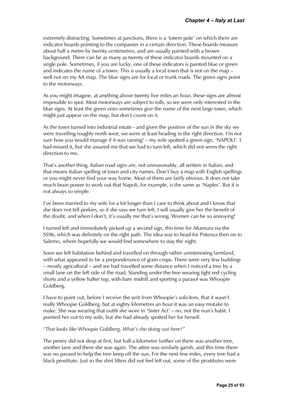extremely distracting. Sometimes at junctions, there is a 'totem pole' on which there are indicator boards pointing to the companies in a certain direction. These boards measure about half a metre by twenty centimetres, and are usually painted with a brown background. There can be as many as twenty of these indicator boards mounted on a single pole. Sometimes, if you are lucky, one of these indicators is painted blue or green and indicates the name of a town. This is usually a local town that is not on the map – well not on my AA map. The blue signs are for local or trunk roads. The green signs point to the motorways.

As you might imagine, at anything above twenty five miles an hour, these signs are almost impossible to spot. Most motorways are subject to tolls, so we were only interested in the blue signs. At least the green ones sometimes give the name of the next large town, which might just appear on the map, but don't count on it.

As the town turned into industrial estate - and given the position of the sun in the sky we were travelling roughly north west, we were at least heading in the right direction. I'm not sure how you would manage if it was raining! – my wife spotted a green sign. 'NAPOLI'. I had missed it, but she assured me that we had to turn left, which did not seem the right direction to me.

That's another thing. Italian road signs are, not unreasonably, all written in Italian, and that means Italian spelling of town and city names. Don't buy a map with English spellings or you might never find your way home. Most of them are fairly obvious. It does not take much brain power to work out that Napoli, for example, is the same as 'Naples'. But it is not always so simple.

I've been married to my wife for a lot longer than I care to think about and I know that she does not tell porkies, so if she says we turn left, I will usually give her the benefit of the doubt, and when I don't, it's usually me that's wrong. Women can be so annoying!

I turned left and immediately picked up a second sign, this time for Altamura via the SS96, which was definitely on the right path. The idea was to head for Potenza then on to Salerno, where hopefully we would find somewhere to stay the night.

Soon we left habitation behind and travelled on through rather uninteresting farmland, with what appeared to be a preponderance of grain crops. There were very few buildings – mostly agricultural – and we had travelled some distance when I noticed a tree by a small lane on the left side of the road. Standing under the tree wearing tight red cycling shorts and a yellow halter top, with bare midriff and sporting a parasol was Whoopie Goldberg.

I have to point out, before I receive the writ from Whoopie's solicitors, that it wasn't really Whoopie Goldberg, but at eighty kilometres an hour it was an easy mistake to make. She was wearing that outfit she wore in 'Sister Act' – no, not the nun's habit. I pointed her out to my wife, but she had already spotted her for herself.

# *"That looks like Whoopie Goldberg. What's she doing out here?"*

The penny did not drop at first, but half a kilometre further on there was another tree, another lane and there she was again. The attire was similarly garish, and this time there was no parasol to help the tree keep off the sun. For the next few miles, every tree had a black prostitute. Just so the shirt lifters did not feel left out, some of the prostitutes were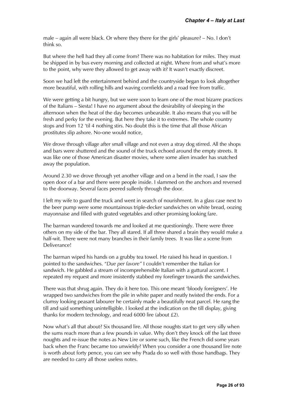male – again all were black. Or where they there for the girls' pleasure? – No. I don't think so.

But where the hell had they all come from? There was no habitation for miles. They must be shipped in by bus every morning and collected at night. Where from and what's more to the point, why were they allowed to get away with it? It wasn't exactly discreet.

Soon we had left the entertainment behind and the countryside began to look altogether more beautiful, with rolling hills and waving cornfields and a road free from traffic.

We were getting a bit hungry, but we were soon to learn one of the most bizarre practices of the Italians – Siesta! I have no argument about the desirability of sleeping in the afternoon when the heat of the day becomes unbearable. It also means that you will be fresh and perky for the evening. But here they take it to extremes. The whole country stops and from 12 'til 4 nothing stirs. No doubt this is the time that all those African prostitutes slip ashore. No-one would notice,

We drove through village after small village and not even a stray dog stirred. All the shops and bars were shuttered and the sound of the truck echoed around the empty streets. It was like one of those American disaster movies, where some alien invader has snatched away the population.

Around 2.30 we drove through yet another village and on a bend in the road, I saw the open door of a bar and there were people inside. I slammed on the anchors and reversed to the doorway. Several faces peered sullenly through the door.

I left my wife to guard the truck and went in search of nourishment. In a glass case next to the beer pump were some mountainous triple-decker sandwiches on white bread, oozing mayonnaise and filled with grated vegetables and other promising looking fare.

The barman wandered towards me and looked at me questioningly. There were three others on my side of the bar. They all stared. If all three shared a brain they would make a half-wit. There were not many branches in their family trees. It was like a scene from Deliverance!

The barman wiped his hands on a grubby tea towel. He raised his head in question. I pointed to the sandwiches. "*Due per favore"* I couldn't remember the Italian for sandwich. He gabbled a stream of incomprehensible Italian with a guttural accent. I repeated my request and more insistently stabbed my forefinger towards the sandwiches.

There was that shrug again. They do it here too. This one meant 'bloody foreigners'. He wrapped two sandwiches from the pile in white paper and neatly twisted the ends. For a clumsy looking peasant labourer he certainly made a beautifully neat parcel. He rang the till and said something unintelligible. I looked at the indication on the till display, giving thanks for modern technology, and read 6000 lire (about £2).

Now what's all that about? Six thousand lire. All those noughts start to get very silly when the sums reach more than a few pounds in value. Why don't they knock off the last three noughts and re-issue the notes as New Lire or some such, like the French did some years back when the Franc became too unwieldy? When you consider a one thousand lire note is worth about forty pence, you can see why Prada do so well with those handbags. They are needed to carry all those useless notes.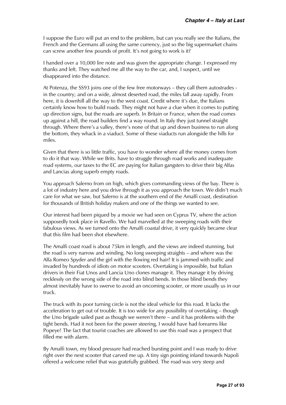I suppose the Euro will put an end to the problem, but can you really see the Italians, the French and the Germans all using the same currency, just so the big supermarket chains can screw another few pounds of profit. It's not going to work is it?

I handed over a 10,000 lire note and was given the appropriate change. I expressed my thanks and left. They watched me all the way to the car, and, I suspect, until we disappeared into the distance.

At Potenza, the SS93 joins one of the few free motorways – they call them autostrades in the country; and on a wide, almost deserted road, the miles fall away rapidly. From here, it is downhill all the way to the west coast. Credit where it's due, the Italians certainly know how to build roads. They might not have a clue when it comes to putting up direction signs, but the roads are superb. In Britain or France, when the road comes up against a hill, the road builders find a way round. In Italy they just tunnel straight through. Where there's a valley, there's none of that up and down business to run along the bottom, they whack in a viaduct. Some of these viaducts run alongside the hills for miles.

Given that there is so little traffic, you have to wonder where all the money comes from to do it that way. While we Brits. have to struggle through road works and inadequate road systems, our taxes to the EC are paying for Italian gangsters to drive their big Alfas and Lancias along superb empty roads.

You approach Salerno from on high, which gives commanding views of the bay. There is a lot of industry here and you drive through it as you approach the town. We didn't much care for what we saw, but Salerno is at the southern end of the Amalfi coast, destination for thousands of British holiday makers and one of the things we wanted to see.

Our interest had been piqued by a movie we had seen on Cyprus TV, where the action supposedly took place in Ravello. We had marvelled at the sweeping roads with their fabulous views. As we turned onto the Amalfi coastal drive, it very quickly became clear that this film had been shot elsewhere.

The Amalfi coast road is about 75km in length, and the views are indeed stunning, but the road is very narrow and winding. No long sweeping straights – and where was the Alfa Romeo Spyder and the girl with the flowing red hair? It is jammed with traffic and invaded by hundreds of idiots on motor scooters. Overtaking is impossible, but Italian drivers in their Fiat Unos and Lancia Uno clones manage it. They manage it by driving recklessly on the wrong side of the road into blind bends. In those blind bends they almost inevitably have to swerve to avoid an oncoming scooter, or more usually us in our truck.

The truck with its poor turning circle is not the ideal vehicle for this road. It lacks the acceleration to get out of trouble. It is too wide for any possibility of overtaking – though the Uno brigade sailed past as though we weren't there – and it has problems with the tight bends. Had it not been for the power steering, I would have had forearms like Popeye! The fact that tourist coaches are allowed to use this road was a prospect that filled me with alarm.

By Amalfi town, my blood pressure had reached bursting point and I was ready to drive right over the next scooter that carved me up. A tiny sign pointing inland towards Napoli offered a welcome relief that was gratefully grabbed. The road was very steep and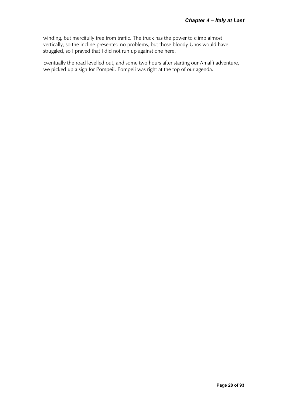winding, but mercifully free from traffic. The truck has the power to climb almost vertically, so the incline presented no problems, but those bloody Unos would have struggled, so I prayed that I did not run up against one here.

Eventually the road levelled out, and some two hours after starting our Amalfi adventure, we picked up a sign for Pompeii. Pompeii was right at the top of our agenda.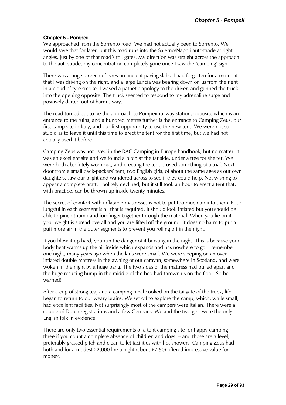# <span id="page-30-0"></span>**Chapter 5 - Pompeii**

We approached from the Sorrento road. We had not actually been to Sorrento. We would save that for later, but this road runs into the Salerno/Napoli autostrade at right angles, just by one of that road's toll gates. My direction was straight across the approach to the autostrade, my concentration completely gone once I saw the 'camping' sign.

There was a huge screech of tyres on ancient paving slabs. I had forgotten for a moment that I was driving on the right, and a large Lancia was bearing down on us from the right in a cloud of tyre smoke. I waved a pathetic apology to the driver, and gunned the truck into the opening opposite. The truck seemed to respond to my adrenaline surge and positively darted out of harm's way.

The road turned out to be the approach to Pompeii railway station, opposite which is an entrance to the ruins, and a hundred metres further is the entrance to Camping Zeus, our first camp site in Italy, and our first opportunity to use the new tent. We were not so stupid as to leave it until this time to erect the tent for the first time, but we had not actually used it before.

Camping Zeus was not listed in the RAC Camping in Europe handbook, but no matter, it was an excellent site and we found a pitch at the far side, under a tree for shelter. We were both absolutely worn out, and erecting the tent proved something of a trial. Next door from a small back-packers' tent, two English girls, of about the same ages as our own daughters, saw our plight and wandered across to see if they could help. Not wishing to appear a complete pratt, I politely declined, but it still took an hour to erect a tent that, with practice, can be thrown up inside twenty minutes.

The secret of comfort with inflatable mattresses is not to put too much air into them. Four lungsful in each segment is all that is required. It should look inflated but you should be able to pinch thumb and forefinger together through the material. When you lie on it, your weight is spread overall and you are lifted off the ground. It does no harm to put a puff more air in the outer segments to prevent you rolling off in the night.

If you blow it up hard, you run the danger of it bursting in the night. This is because your body heat warms up the air inside which expands and has nowhere to go. I remember one night, many years ago when the kids were small. We were sleeping on an overinflated double mattress in the awning of our caravan, somewhere in Scotland, and were woken in the night by a huge bang. The two sides of the mattress had pulled apart and the huge resulting hump in the middle of the bed had thrown us on the floor. So be warned!

After a cup of strong tea, and a camping meal cooked on the tailgate of the truck, life began to return to our weary brains. We set off to explore the camp, which, while small, had excellent facilities. Not surprisingly most of the campers were Italian. There were a couple of Dutch registrations and a few Germans. We and the two girls were the only English folk in evidence.

There are only two essential requirements of a tent camping site for happy camping three if you count a complete absence of children and dogs! – and those are a level, preferably grassed pitch and clean toilet facilities with hot showers. Camping Zeus had both and for a modest 22,000 lire a night (about £7.50) offered impressive value for money.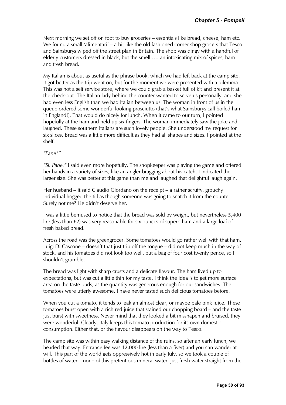Next morning we set off on foot to buy groceries – essentials like bread, cheese, ham etc. We found a small 'alimentari' – a bit like the old fashioned corner shop grocers that Tesco and Sainsburys wiped off the street plan in Britain. The shop was dingy with a handful of elderly customers dressed in black, but the smell …. an intoxicating mix of spices, ham and fresh bread.

My Italian is about as useful as the phrase book, which we had left back at the camp site. It got better as the trip went on, but for the moment we were presented with a dilemma. This was not a self service store, where we could grab a basket full of kit and present it at the check-out. The Italian lady behind the counter wanted to serve us personally, and she had even less English than we had Italian between us. The woman in front of us in the queue ordered some wonderful looking prosciutto (that's what Sainsburys call boiled ham in England!). That would do nicely for lunch. When it came to our turn, I pointed hopefully at the ham and held up six fingers. The woman immediately saw the joke and laughed. These southern Italians are such lovely people. She understood my request for six slices. Bread was a little more difficult as they had all shapes and sizes. I pointed at the shelf.

#### *"Pane?"*

*"Si. Pane."* I said even more hopefully. The shopkeeper was playing the game and offered her hands in a variety of sizes, like an angler bragging about his catch. I indicated the larger size. She was better at this game than me and laughed that delightful laugh again.

Her husband – it said Claudio Giordano on the receipt – a rather scruffy, grouchy individual hogged the till as though someone was going to snatch it from the counter. Surely not me? He didn't deserve her.

I was a little bemused to notice that the bread was sold by weight, but nevertheless 5,400 lire (less than  $£2$ ) was very reasonable for six ounces of superb ham and a large loaf of fresh baked bread.

Across the road was the greengrocer. Some tomatoes would go rather well with that ham. Luigi Di Cascone – doesn't that just trip off the tongue – did not keep much in the way of stock, and his tomatoes did not look too well, but a bag of four cost twenty pence, so I shouldn't grumble.

The bread was light with sharp crusts and a delicate flavour. The ham lived up to expectations, but was cut a little thin for my taste. I think the idea is to get more surface area on the taste buds, as the quantity was generous enough for our sandwiches. The tomatoes were utterly awesome. I have never tasted such delicious tomatoes before.

When you cut a tomato, it tends to leak an almost clear, or maybe pale pink juice. These tomatoes burst open with a rich red juice that stained our chopping board – and the taste just burst with sweetness. Never mind that they looked a bit misshapen and bruised, they were wonderful. Clearly, Italy keeps this tomato production for its own domestic consumption. Either that, or the flavour disappears on the way to Tesco.

The camp site was within easy walking distance of the ruins, so after an early lunch, we headed that way. Entrance fee was 12,000 lire (less than a fiver) and you can wander at will. This part of the world gets oppressively hot in early July, so we took a couple of bottles of water – none of this pretentious mineral water, just fresh water straight from the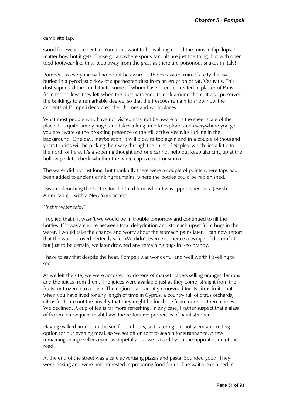camp site tap.

Good footwear is essential. You don't want to be walking round the ruins in flip flops, no matter how hot it gets. Those go anywhere sports sandals are just the thing, but with open toed footwear like this, keep away from the grass as there are poisonous snakes in Italy!

Pompeii, as everyone will no doubt be aware, is the excavated ruin of a city that was buried in a pyroclastic flow of superheated dust from an eruption of Mt. Vesuvius. This dust vaporised the inhabitants, some of whom have been re-created in plaster of Paris from the hollows they left when the dust hardened to rock around them. It also preserved the buildings to a remarkable degree, so that the frescoes remain to show how the ancients of Pompeii decorated their homes and work places.

What most people who have not visited may not be aware of is the sheer scale of the place. It is quite simply huge, and takes a long time to explore; and everywhere you go, you are aware of the brooding presence of the still active Vesuvius lurking in the background. One day, maybe soon, it will blow its top again and in a couple of thousand years tourists will be picking their way through the ruins of Naples, which lies a little to the north of here. It's a sobering thought and one cannot help but keep glancing up at the hollow peak to check whether the white cap is cloud or smoke.

The water did not last long, but thankfully there were a couple of points where taps had been added to ancient drinking fountains, where the bottles could be replenished.

I was replenishing the bottles for the third time when I was approached by a Jewish American girl with a New York accent.

#### *"Is this water safe?"*

I replied that if it wasn't we would be in trouble tomorrow and continued to fill the bottles. If it was a choice between total dehydration and stomach upset from bugs in the water, I would take the chance and worry about the stomach pains later. I can now report that the water proved perfectly safe. We didn't even experience a twinge of discomfort – but just to be certain, we later drowned any remaining bugs in Keo brandy.

I have to say that despite the heat, Pompeii was wonderful and well worth travelling to see.

As we left the site, we were accosted by dozens of market traders selling oranges, lemons and the juices from them. The juices were available just as they come, straight from the fruits, or frozen into a slush. The region is apparently renowned for its citrus fruits, but when you have lived for any length of time in Cyprus, a country full of citrus orchards, citrus fruits are not the novelty that they might be for those from more northern climes. We declined. A cup of tea is far more refreshing. In any case, I rather suspect that a glass of frozen lemon juice might have the restorative properties of paint stripper.

Having walked around in the sun for six hours, self catering did not seem an exciting option for our evening meal, so we set off on foot to search for sustenance. A few remaining orange sellers eyed us hopefully but we passed by on the opposite side of the road.

At the end of the street was a café advertising pizzas and pasta. Sounded good. They were closing and were not interested in preparing food for us. The waiter explained in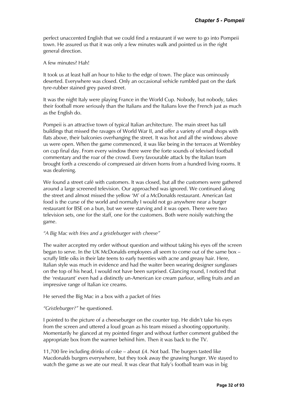perfect unaccented English that we could find a restaurant if we were to go into Pompeii town. He assured us that it was only a few minutes walk and pointed us in the right general direction.

A few minutes? Hah!

It took us at least half an hour to hike to the edge of town. The place was ominously deserted. Everywhere was closed. Only an occasional vehicle rumbled past on the dark tyre-rubber stained grey paved street.

It was the night Italy were playing France in the World Cup. Nobody, but nobody, takes their football more seriously than the Italians and the Italians love the French just as much as the English do.

Pompeii is an attractive town of typical Italian architecture. The main street has tall buildings that missed the ravages of World War II, and offer a variety of small shops with flats above, their balconies overhanging the street. It was hot and all the windows above us were open. When the game commenced, it was like being in the terraces at Wembley on cup final day. From every window there were the forte sounds of televised football commentary and the roar of the crowd. Every favourable attack by the Italian team brought forth a crescendo of compressed air driven horns from a hundred living rooms. It was deafening.

We found a street café with customers. It was closed, but all the customers were gathered around a large screened television. Our approached was ignored. We continued along the street and almost missed the yellow 'M' of a McDonalds restaurant. American fast food is the curse of the world and normally I would not go anywhere near a burger restaurant for BSE on a bun, but we were starving and it was open. There were two television sets, one for the staff, one for the customers. Both were noisily watching the game.

# *"A Big Mac with fries and a gristleburger with cheese"*

The waiter accepted my order without question and without taking his eyes off the screen began to serve. In the UK McDonalds employees all seem to come out of the same box – scruffy little oiks in their late teens to early twenties with acne and greasy hair. Here, Italian style was much in evidence and had the waiter been wearing designer sunglasses on the top of his head, I would not have been surprised. Glancing round, I noticed that the 'restaurant' even had a distinctly un-American ice cream parlour, selling fruits and an impressive range of Italian ice creams.

He served the Big Mac in a box with a packet of fries

# *"Gristleburger?"* he questioned.

I pointed to the picture of a cheeseburger on the counter top. He didn't take his eyes from the screen and uttered a loud groan as his team missed a shooting opportunity. Momentarily he glanced at my pointed finger and without further comment grabbed the appropriate box from the warmer behind him. Then it was back to the TV.

11,700 lire including drinks of coke – about £4. Not bad. The burgers tasted like Macdonalds burgers everywhere, but they took away the gnawing hunger. We stayed to watch the game as we ate our meal. It was clear that Italy's football team was in big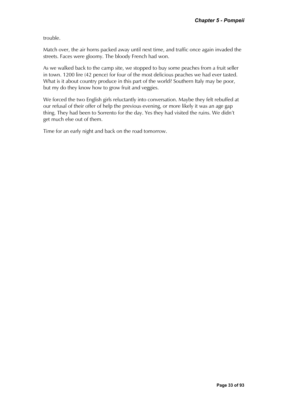trouble.

Match over, the air horns packed away until next time, and traffic once again invaded the streets. Faces were gloomy. The bloody French had won.

As we walked back to the camp site, we stopped to buy some peaches from a fruit seller in town. 1200 lire (42 pence) for four of the most delicious peaches we had ever tasted. What is it about country produce in this part of the world? Southern Italy may be poor, but my do they know how to grow fruit and veggies.

We forced the two English girls reluctantly into conversation. Maybe they felt rebuffed at our refusal of their offer of help the previous evening, or more likely it was an age gap thing. They had been to Sorrento for the day. Yes they had visited the ruins. We didn't get much else out of them.

Time for an early night and back on the road tomorrow.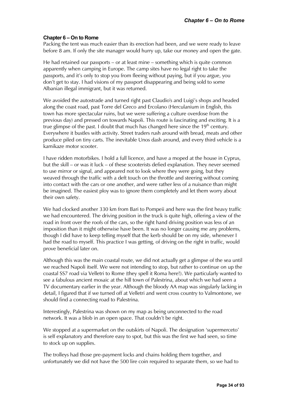# <span id="page-35-0"></span>**Chapter 6 – On to Rome**

Packing the tent was much easier than its erection had been, and we were ready to leave before 8 am. If only the site manager would hurry up, take our money and open the gate.

He had retained our passports – or at least mine – something which is quite common apparently when camping in Europe. The camp sites have no legal right to take the passports, and it's only to stop you from fleeing without paying, but if you argue, you don't get to stay. I had visions of my passport disappearing and being sold to some Albanian illegal immigrant, but it was returned.

We avoided the autostrade and turned right past Claudio's and Luigi's shops and headed along the coast road, past Torre del Greco and Ercolano (Herculanium in English, this town has more spectacular ruins, but we were suffering a culture overdose from the previous day) and pressed on towards Napoli. This route is fascinating and exciting. It is a true glimpse of the past. I doubt that much has changed here since the  $19<sup>th</sup>$  century. Everywhere it bustles with activity. Street traders rush around with bread, meats and other produce piled on tiny carts. The inevitable Unos dash around, and every third vehicle is a kamikaze motor scooter.

I have ridden motorbikes. I hold a full licence, and have a moped at the house in Cyprus, but the skill – or was it luck – of these scooterists defied explanation. They never seemed to use mirror or signal, and appeared not to look where they were going, but they weaved through the traffic with a deft touch on the throttle and steering without coming into contact with the cars or one another, and were rather less of a nuisance than might be imagined. The easiest ploy was to ignore them completely and let them worry about their own safety.

We had clocked another 330 km from Bari to Pompeii and here was the first heavy traffic we had encountered. The driving position in the truck is quite high, offering a view of the road in front over the roofs of the cars, so the right hand driving position was less of an imposition than it might otherwise have been. It was no longer causing me any problems, though I did have to keep telling myself that the kerb should be on my side, whenever I had the road to myself. This practice I was getting, of driving on the right in traffic, would prove beneficial later on.

Although this was the main coastal route, we did not actually get a glimpse of the sea until we reached Napoli itself. We were not intending to stop, but rather to continue on up the coastal SS7 road via Velletri to Rome (they spell it Roma here!). We particularly wanted to see a fabulous ancient mosaic at the hill town of Palestrina, about which we had seen a TV documentary earlier in the year. Although the bloody AA map was singularly lacking in detail, I figured that if we turned off at Velletri and went cross country to Valmontone, we should find a connecting road to Palestrina.

Interestingly, Palestrina was shown on my map as being unconnected to the road network. It was a blob in an open space. That couldn't be right.

We stopped at a supermarket on the outskirts of Napoli. The designation 'supermerceto' is self explanatory and therefore easy to spot, but this was the first we had seen, so time to stock up on supplies.

The trolleys had those pre-payment locks and chains holding them together, and unfortunately we did not have the 500 lire coin required to separate them, so we had to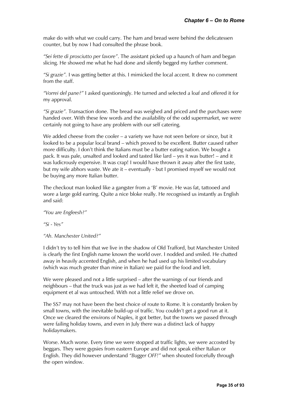make do with what we could carry. The ham and bread were behind the delicatessen counter, but by now I had consulted the phrase book.

*"Sei fette di prosciutto per favore"*. The assistant picked up a haunch of ham and began slicing. He showed me what he had done and silently begged my further comment.

*"Si grazie".* I was getting better at this. I mimicked the local accent. It drew no comment from the staff.

*"Vorrei del pane?"* I asked questioningly. He turned and selected a loaf and offered it for my approval.

*"Si grazie".* Transaction done. The bread was weighed and priced and the purchases were handed over. With these few words and the availability of the odd supermarket, we were certainly not going to have any problem with our self catering.

We added cheese from the cooler – a variety we have not seen before or since, but it looked to be a popular local brand – which proved to be excellent. Butter caused rather more difficulty. I don't think the Italians must be a butter eating nation. We bought a pack. It was pale, unsalted and looked and tasted like lard – yes it was butter! – and it was ludicrously expensive. It was crap! I would have thrown it away after the first taste, but my wife abhors waste. We ate it – eventually - but I promised myself we would not be buying any more Italian butter.

The checkout man looked like a gangster from a 'B' movie. He was fat, tattooed and wore a large gold earring. Quite a nice bloke really. He recognised us instantly as English and said:

*"You are Engleesh?"* 

*"Si - Yes"* 

*"Ah. Manchester United?"*

I didn't try to tell him that we live in the shadow of Old Trafford, but Manchester United is clearly the first English name known the world over. I nodded and smiled. He chatted away in heavily accented English, and when he had used up his limited vocabulary (which was much greater than mine in Italian) we paid for the food and left.

We were pleased and not a little surprised – after the warnings of our friends and neighbours – that the truck was just as we had left it, the sheeted load of camping equipment et al was untouched. With not a little relief we drove on.

The SS7 may not have been the best choice of route to Rome. It is constantly broken by small towns, with the inevitable build-up of traffic. You couldn't get a good run at it. Once we cleared the environs of Naples, it got better, but the towns we passed through were failing holiday towns, and even in July there was a distinct lack of happy holidaymakers.

Worse. Much worse. Every time we were stopped at traffic lights, we were accosted by beggars. They were gypsies from eastern Europe and did not speak either Italian or English. They did however understand *"Bugger OFF!"* when shouted forcefully through the open window.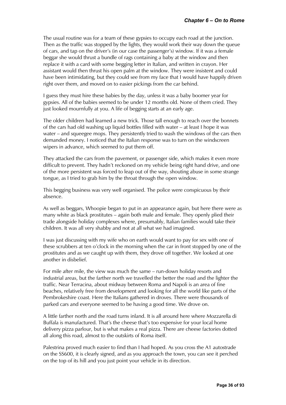The usual routine was for a team of these gypsies to occupy each road at the junction. Then as the traffic was stopped by the lights, they would work their way down the queue of cars, and tap on the driver's (in our case the passenger's) window. If it was a female beggar she would thrust a bundle of rags containing a baby at the window and then replace it with a card with some begging letter in Italian, and written in crayon. Her assistant would then thrust his open palm at the window. They were insistent and could have been intimidating, but they could see from my face that I would have happily driven right over them, and moved on to easier pickings from the car behind.

I guess they must hire these babies by the day, unless it was a baby boomer year for gypsies. All of the babies seemed to be under 12 months old. None of them cried. They just looked mournfully at you. A life of begging starts at an early age.

The older children had learned a new trick. Those tall enough to reach over the bonnets of the cars had old washing up liquid bottles filled with water – at least I hope it was water – and squeegee mops. They persistently tried to wash the windows of the cars then demanded money. I noticed that the Italian response was to turn on the windscreen wipers in advance, which seemed to put them off.

They attacked the cars from the pavement, or passenger side, which makes it even more difficult to prevent. They hadn't reckoned on my vehicle being right hand drive, and one of the more persistent was forced to leap out of the way, shouting abuse in some strange tongue, as I tried to grab him by the throat through the open window.

This begging business was very well organised. The police were conspicuous by their absence.

As well as beggars, Whoopie began to put in an appearance again, but here there were as many white as black prostitutes – again both male and female. They openly plied their trade alongside holiday complexes where, presumably, Italian families would take their children. It was all very shabby and not at all what we had imagined.

I was just discussing with my wife who on earth would want to pay for sex with one of these scrubbers at ten o'clock in the morning when the car in front stopped by one of the prostitutes and as we caught up with them, they drove off together. We looked at one another in disbelief.

For mile after mile, the view was much the same – run-down holiday resorts and industrial areas, but the farther north we travelled the better the road and the lighter the traffic. Near Terracina, about midway between Roma and Napoli is an area of fine beaches, relatively free from development and looking for all the world like parts of the Pembrokeshire coast. Here the Italians gathered in droves. There were thousands of parked cars and everyone seemed to be having a good time. We drove on.

A little farther north and the road turns inland. It is all around here where Mozzarella di Buffala is manufactured. That's the cheese that's too expensive for your local home delivery pizza parlour, but is what makes a real pizza. There are cheese factories dotted all along this road, almost to the outskirts of Roma itself.

Palestrina proved much easier to find than I had hoped. As you cross the A1 autostrade on the SS600, it is clearly signed, and as you approach the town, you can see it perched on the top of its hill and you just point your vehicle in its direction.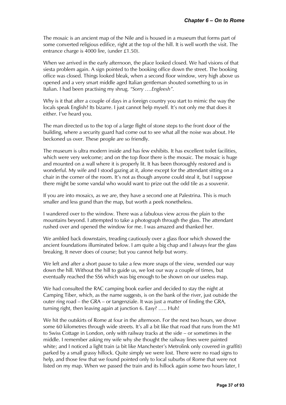The mosaic is an ancient map of the Nile and is housed in a museum that forms part of some converted religious edifice, right at the top of the hill. It is well worth the visit. The entrance charge is 4000 lire, (under £1.50).

When we arrived in the early afternoon, the place looked closed. We had visions of that siesta problem again. A sign pointed to the booking office down the street. The booking office was closed. Things looked bleak, when a second floor window, very high above us opened and a very smart middle aged Italian gentleman shouted something to us in Italian. I had been practising my shrug. *"Sorry ….Engleesh".* 

Why is it that after a couple of days in a foreign country you start to mimic the way the locals speak English? Its bizarre. I just cannot help myself. It's not only me that does it either. I've heard you.

The man directed us to the top of a large flight of stone steps to the front door of the building, where a security guard had come out to see what all the noise was about. He beckoned us over. These people are so friendly.

The museum is ultra modern inside and has few exhibits. It has excellent toilet facilities, which were very welcome; and on the top floor there is the mosaic. The mosaic is huge and mounted on a wall where it is properly lit. It has been thoroughly restored and is wonderful. My wife and I stood gazing at it, alone except for the attendant sitting on a chair in the corner of the room. It's not as though anyone could steal it, but I suppose there might be some vandal who would want to prize out the odd tile as a souvenir.

If you are into mosaics, as we are, they have a second one at Palestrina. This is much smaller and less grand than the map, but worth a peek nonetheless.

I wandered over to the window. There was a fabulous view across the plain to the mountains beyond. I attempted to take a photograph through the glass. The attendant rushed over and opened the window for me. I was amazed and thanked her.

We ambled back downstairs, treading cautiously over a glass floor which showed the ancient foundations illuminated below. I am quite a big chap and I always fear the glass breaking. It never does of course; but you cannot help but worry.

We left and after a short pause to take a few more snaps of the view, wended our way down the hill. Without the hill to guide us, we lost our way a couple of times, but eventually reached the SS6 which was big enough to be shown on our useless map.

We had consulted the RAC camping book earlier and decided to stay the night at Camping Tiber, which, as the name suggests, is on the bank of the river, just outside the outer ring road – the GRA – or tangenziale. It was just a matter of finding the GRA, turning right, then leaving again at junction 6. Easy? ….. Huh!

We hit the outskirts of Rome at four in the afternoon. For the next two hours, we drove some 60 kilometres through wide streets. It's all a bit like that road that runs from the M1 to Swiss Cottage in London, only with railway tracks at the side – or sometimes in the middle. I remember asking my wife why she thought the railway lines were painted white; and I noticed a light train (a bit like Manchester's Metrolink only covered in graffiti) parked by a small grassy hillock. Quite simply we were lost. There were no road signs to help, and those few that we found pointed only to local suburbs of Rome that were not listed on my map. When we passed the train and its hillock again some two hours later, I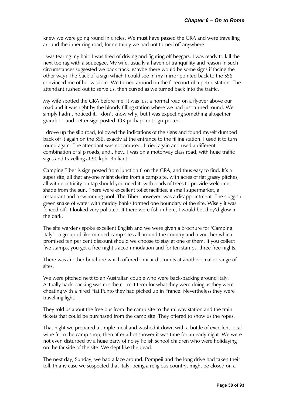knew we were going round in circles. We must have passed the GRA and were travelling around the inner ring road, for certainly we had not turned off anywhere.

I was tearing my hair. I was tired of driving and fighting off beggars. I was ready to kill the next toe rag with a squeegee. My wife, usually a haven of tranquillity and reason in such circumstances suggested we back track. Maybe there would be some signs if facing the other way? The back of a sign which I could see in my mirror pointed back to the SS6 convinced me of her wisdom. We turned around on the forecourt of a petrol station. The attendant rushed out to serve us, then cursed as we turned back into the traffic.

My wife spotted the GRA before me. It was just a normal road on a flyover above our road and it was right by the bloody filling station where we had just turned round. We simply hadn't noticed it. I don't know why, but I was expecting something altogether grander – and better sign-posted. OK perhaps not sign-posted.

I drove up the slip road, followed the indications of the signs and found myself dumped back off it again on the SS6, exactly at the entrance to the filling station. I used it to turn round again. The attendant was not amused. I tried again and used a different combination of slip roads, and.. hey.. I was on a motorway class road, with huge traffic signs and travelling at 90 kph. Brilliant!

Camping Tiber is sign posted from junction 6 on the GRA, and thus easy to find. It's a super site, all that anyone might desire from a camp site, with acres of flat grassy pitches, all with electricity on tap should you need it, with loads of trees to provide welcome shade from the sun. There were excellent toilet facilities, a small supermarket, a restaurant and a swimming pool. The Tiber, however, was a disappointment. The sluggish green snake of water with muddy banks formed one boundary of the site. Wisely it was fenced off. It looked very polluted. If there were fish in here, I would bet they'd glow in the dark.

The site wardens spoke excellent English and we were given a brochure for 'Camping Italy' - a group of like-minded camp sites all around the country and a voucher which promised ten per cent discount should we choose to stay at one of them. If you collect five stamps, you get a free night's accommodation and for ten stamps, three free nights.

There was another brochure which offered similar discounts at another smaller range of sites.

We were pitched next to an Australian couple who were back-packing around Italy. Actually back-packing was not the correct term for what they were doing as they were cheating with a hired Fiat Punto they had picked up in France. Nevertheless they were travelling light.

They told us about the free bus from the camp site to the railway station and the train tickets that could be purchased from the camp site. They offered to show us the ropes.

That night we prepared a simple meal and washed it down with a bottle of excellent local wine from the camp shop, then after a hot shower it was time for an early night. We were not even disturbed by a huge party of noisy Polish school children who were holidaying on the far side of the site. We slept like the dead.

The next day, Sunday, we had a laze around. Pompeii and the long drive had taken their toll. In any case we suspected that Italy, being a religious country, might be closed on a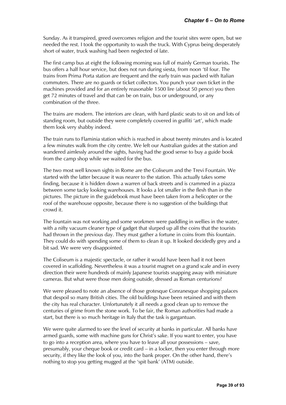Sunday. As it transpired, greed overcomes religion and the tourist sites were open, but we needed the rest. I took the opportunity to wash the truck. With Cyprus being desperately short of water, truck washing had been neglected of late.

The first camp bus at eight the following morning was full of mainly German tourists. The bus offers a half hour service, but does not run during siesta, from noon 'til four. The trains from Prima Porta station are frequent and the early train was packed with Italian commuters. There are no guards or ticket collectors. You punch your own ticket in the machines provided and for an entirely reasonable 1500 lire (about 50 pence) you then get 72 minutes of travel and that can be on train, bus or underground, or any combination of the three.

The trains are modern. The interiors are clean, with hard plastic seats to sit on and lots of standing room, but outside they were completely covered in graffiti 'art', which made them look very shabby indeed.

The train runs to Flaminia station which is reached in about twenty minutes and is located a few minutes walk from the city centre. We left our Australian guides at the station and wandered aimlessly around the sights, having had the good sense to buy a guide book from the camp shop while we waited for the bus.

The two most well known sights in Rome are the Coliseum and the Trevi Fountain. We started with the latter because it was nearer to the station. This actually takes some finding, because it is hidden down a warren of back streets and is crammed in a piazza between some tacky looking warehouses. It looks a lot smaller in the flesh than in the pictures. The picture in the guidebook must have been taken from a helicopter or the roof of the warehouse opposite, because there is no suggestion of the buildings that crowd it.

The fountain was not working and some workmen were paddling in wellies in the water, with a nifty vacuum cleaner type of gadget that slurped up all the coins that the tourists had thrown in the previous day. They must gather a fortune in coins from this fountain. They could do with spending some of them to clean it up. It looked decidedly grey and a bit sad. We were very disappointed.

The Coliseum is a majestic spectacle, or rather it would have been had it not been covered in scaffolding. Nevertheless it was a tourist magnet on a grand scale and in every direction their were hundreds of mainly Japanese tourists snapping away with miniature cameras. But what were those men doing outside, dressed as Roman centurions?

We were pleased to note an absence of those grotesque Conranesque shopping palaces that despoil so many British cities. The old buildings have been retained and with them the city has real character. Unfortunately it all needs a good clean up to remove the centuries of grime from the stone work. To be fair, the Roman authorities had made a start, but there is so much heritage in Italy that the task is gargantuan.

We were quite alarmed to see the level of security at banks in particular. All banks have armed guards, some with machine guns for Christ's sake. If you want to enter, you have to go into a reception area, where you have to leave all your possessions – save, presumably, your cheque book or credit card – in a locker, then you enter through more security, if they like the look of you, into the bank proper. On the other hand, there's nothing to stop you getting mugged at the 'spit bank' (ATM) outside.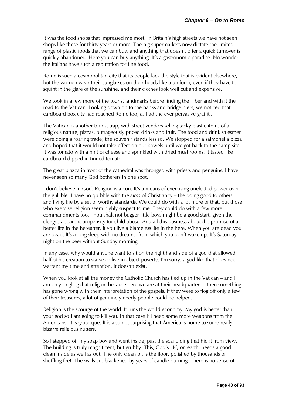It was the food shops that impressed me most. In Britain's high streets we have not seen shops like those for thirty years or more. The big supermarkets now dictate the limited range of plastic foods that we can buy, and anything that doesn't offer a quick turnover is quickly abandoned. Here you can buy anything. It's a gastronomic paradise. No wonder the Italians have such a reputation for fine food.

Rome is such a cosmopolitan city that its people lack the style that is evident elsewhere, but the women wear their sunglasses on their heads like a uniform, even if they have to squint in the glare of the sunshine, and their clothes look well cut and expensive.

We took in a few more of the tourist landmarks before finding the Tiber and with it the road to the Vatican. Looking down on to the banks and bridge piers, we noticed that cardboard box city had reached Rome too, as had the ever pervasive graffiti.

The Vatican is another tourist trap, with street vendors selling tacky plastic items of a religious nature, pizzas, outrageously priced drinks and fruit. The food and drink salesmen were doing a roaring trade; the souvenir stands less so. We stopped for a salmonella pizza and hoped that it would not take effect on our bowels until we got back to the camp site. It was tomato with a hint of cheese and sprinkled with dried mushrooms. It tasted like cardboard dipped in tinned tomato.

The great piazza in front of the cathedral was thronged with priests and penguins. I have never seen so many God botherers in one spot.

I don't believe in God. Religion is a con. It's a means of exercising unelected power over the gullible. I have no quibble with the *aims* of Christianity – the doing good to others, and living life by a set of worthy standards. We could do with a lot more of that, but those who exercise religion seem highly suspect to me. They could do with a few more commandments too. Thou shalt not bugger little boys might be a good start, given the clergy's apparent propensity for child abuse. And all this business about the promise of a better life in the hereafter, if you live a blameless life in the here. When you are dead you are dead. It's a long sleep with no dreams, from which you don't wake up. It's Saturday night on the beer without Sunday morning.

In any case, why would anyone want to sit on the right hand side of a god that allowed half of his creation to starve or live in abject poverty. I'm sorry, a god like that does not warrant my time and attention. It doesn't exist.

When you look at all the money the Catholic Church has tied up in the Vatican – and I am only singling that religion because here we are at their headquarters – then something has gone wrong with their interpretation of the gospels. If they were to flog off only a few of their treasures, a lot of genuinely needy people could be helped.

Religion is the scourge of the world. It runs the world economy. My god is better than your god so I am going to kill you. In that case I'll need some more weapons from the Americans. It is grotesque. It is also not surprising that America is home to some really bizarre religious nutters.

So I stepped off my soap box and went inside, past the scaffolding that hid it from view. The building is truly magnificent, but grubby. This, God's HQ on earth, needs a good clean inside as well as out. The only clean bit is the floor, polished by thousands of shuffling feet. The walls are blackened by years of candle burning. There is no sense of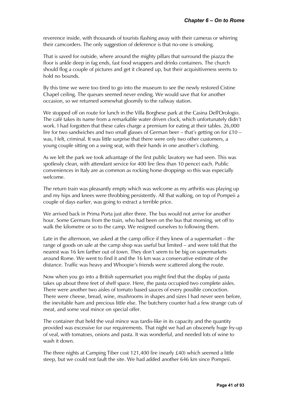reverence inside, with thousands of tourists flashing away with their cameras or whirring their camcorders. The only suggestion of deference is that no-one is smoking.

That is saved for outside, where around the mighty pillars that surround the piazza the floor is ankle deep in fag ends, fast food wrappers and drinks containers. The church should flog a couple of pictures and get it cleaned up, but their acquisitiveness seems to hold no bounds.

By this time we were too tired to go into the museum to see the newly restored Cistine Chapel ceiling. The queues seemed never ending. We would save that for another occasion, so we returned somewhat gloomily to the railway station.

We stopped off on route for lunch in the Villa Borghese park at the Casina Dell'Orologio. The café takes its name from a remarkable water driven clock, which unfortunately didn't work. I had forgotten that these cafes charge a premium for eating at their tables. 26,000 lire for two sandwiches and two small glasses of German beer – that's getting on for £10 – was, I felt, criminal. It was little surprise that there were only two other customers, a young couple sitting on a swing seat, with their hands in one another's clothing.

As we left the park we took advantage of the first public lavatory we had seen. This was spotlessly clean, with attendant service for 400 lire (less than 10 pence) each. Public conveniences in Italy are as common as rocking horse droppings so this was especially welcome.

The return train was pleasantly empty which was welcome as my arthritis was playing up and my hips and knees were throbbing persistently. All that walking, on top of Pompeii a couple of days earlier, was going to extract a terrible price.

We arrived back in Prima Porta just after three. The bus would not arrive for another hour. Some Germans from the train, who had been on the bus that morning, set off to walk the kilometre or so to the camp. We resigned ourselves to following them.

Late in the afternoon, we asked at the camp office if they knew of a supermarket – the range of goods on sale at the camp shop was useful but limited – and were told that the nearest was 16 km farther out of town. They don't seem to be big on supermarkets around Rome. We went to find it and the 16 km was a conservative estimate of the distance. Traffic was heavy and Whoopie's friends were scattered along the route.

Now when you go into a British supermarket you might find that the display of pasta takes up about three feet of shelf space. Here, the pasta occupied two complete aisles. There were another two aisles of tomato based sauces of every possible concoction. There were cheese, bread, wine, mushrooms in shapes and sizes I had never seen before, the inevitable ham and precious little else. The butchery counter had a few strange cuts of meat, and some veal mince on special offer.

The container that held the veal mince was tardis-like in its capacity and the quantity provided was excessive for our requirements. That night we had an obscenely huge fry-up of veal, with tomatoes, onions and pasta. It was wonderful, and needed lots of wine to wash it down.

The three nights at Camping Tiber cost 121,400 lire (nearly £40) which seemed a little steep, but we could not fault the site. We had added another 646 km since Pompeii.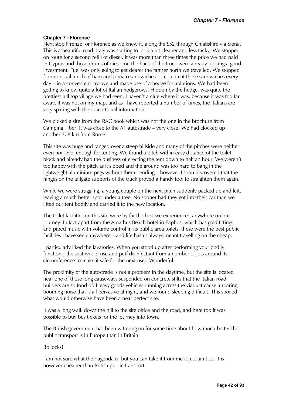# **Chapter 7 - Florence**

Next stop Firenze, or Florence as we knew it, along the SS2 through Chiatishire via Siena. This is a beautiful road. Italy was starting to look a lot cleaner and less tacky. We stopped on route for a second refill of diesel. It was more than three times the price we had paid in Cyprus and those drums of diesel on the back of the truck were already looking a good investment. Fuel was only going to get dearer the farther north we travelled. We stopped for our usual lunch of ham and tomato sandwiches – I could eat those sandwiches every day – in a convenient lay-bye and made use of a hedge for ablutions. We had been getting to know quite a lot of Italian hedgerows. Hidden by the hedge, was quite the prettiest hill top village we had seen. I haven't a clue where it was, because it was too far away, it was not on my map, and as I have reported a number of times, the Italians are very sparing with their directional information.

We picked a site from the RAC book which was not the one in the brochure from Camping Tiber. It was close to the A1 autostrade – very close! We had clocked up another 378 km from Rome.

This site was huge and ranged over a steep hillside and many of the pitches were neither even nor level enough for tenting. We found a pitch within easy distance of the toilet block and already had the business of erecting the tent down to half an hour. We weren't too happy with the pitch as it sloped and the ground was too hard to bang in the lightweight aluminium pegs without them bending – however I soon discovered that the hinges on the tailgate supports of the truck proved a handy tool to straighten them again.

While we were struggling, a young couple on the next pitch suddenly packed up and left, leaving a much better spot under a tree. No sooner had they got into their car than we lifted our tent bodily and carried it to the new location.

The toilet facilities on this site were by far the best we experienced anywhere on our journey. In fact apart from the Amathus Beach hotel in Paphos, which has gold fittings and piped music with volume control in its public area toilets, these were the best public facilities I have seen anywhere – and life hasn't always meant travelling on the cheap.

I particularly liked the lavatories. When you stood up after performing your bodily functions, the seat would rise and puff disinfectant from a number of jets around its circumference to make it safe for the next user. Wonderful!

The proximity of the autostrade is not a problem in the daytime, but the site is located near one of those long causeways suspended on concrete stilts that the Italian road builders are so fond of. Heavy goods vehicles running across the viaduct cause a roaring, booming noise that is all pervasive at night, and we found sleeping difficult. This spoiled what would otherwise have been a near perfect site.

It was a long walk down the hill to the site office and the road, and here too it was possible to buy bus tickets for the journey into town.

The British government has been wittering on for some time about how much better the public transport is in Europe than in Britain.

Bollocks!

I am not sure what their agenda is, but you can take it from me it just ain't so. It is however cheaper than British public transport.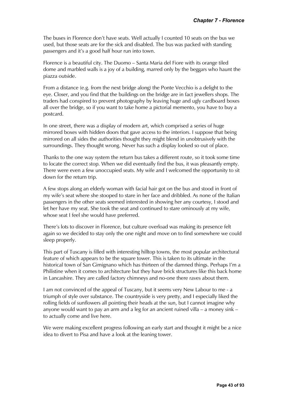The buses in Florence don't have seats. Well actually I counted 10 seats on the bus we used, but those seats are for the sick and disabled. The bus was packed with standing passengers and it's a good half hour run into town.

Florence is a beautiful city. The Duomo – Santa Maria del Fiore with its orange tiled dome and marbled walls is a joy of a building, marred only by the beggars who haunt the piazza outside.

From a distance (e.g. from the next bridge along) the Ponte Vecchio is a delight to the eye. Closer, and you find that the buildings on the bridge are in fact jewellers shops. The traders had conspired to prevent photography by leaving huge and ugly cardboard boxes all over the bridge, so if you want to take home a pictorial memento, you have to buy a postcard.

In one street, there was a display of modern art, which comprised a series of huge mirrored boxes with hidden doors that gave access to the interiors. I suppose that being mirrored on all sides the authorities thought they might blend in unobtrusively with the surroundings. They thought wrong. Never has such a display looked so out of place.

Thanks to the one way system the return bus takes a different route, so it took some time to locate the correct stop. When we did eventually find the bus, it was pleasantly empty. There were even a few unoccupied seats. My wife and I welcomed the opportunity to sit down for the return trip.

A few stops along an elderly woman with facial hair got on the bus and stood in front of my wife's seat where she stooped to stare in her face and dribbled. As none of the Italian passengers in the other seats seemed interested in showing her any courtesy, I stood and let her have my seat. She took the seat and continued to stare ominously at my wife, whose seat I feel she would have preferred.

There's lots to discover in Florence, but culture overload was making its presence felt again so we decided to stay only the one night and move on to find somewhere we could sleep properly.

This part of Tuscany is filled with interesting hilltop towns, the most popular architectural feature of which appears to be the square tower. This is taken to its ultimate in the historical town of San Gimignano which has thirteen of the damned things. Perhaps I'm a Philistine when it comes to architecture but they have brick structures like this back home in Lancashire. They are called factory chimneys and no-one there raves about them.

I am not convinced of the appeal of Tuscany, but it seems very New Labour to me - a triumph of style over substance. The countryside is very pretty, and I especially liked the rolling fields of sunflowers all pointing their heads at the sun, but I cannot imagine why anyone would want to pay an arm and a leg for an ancient ruined villa – a money sink – to actually come and live here.

We were making excellent progress following an early start and thought it might be a nice idea to divert to Pisa and have a look at the leaning tower.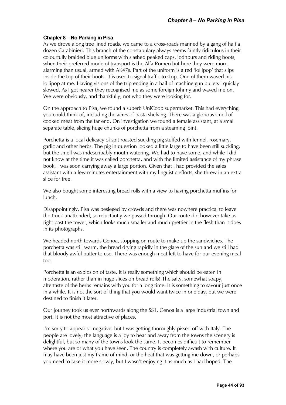# **Chapter 8 – No Parking in Pisa**

As we drove along tree lined roads, we came to a cross-roads manned by a gang of half a dozen Carabinieri. This branch of the constabulary always seems faintly ridiculous in their colourfully braided blue uniforms with slashed peaked caps, jodhpurs and riding boots, when their preferred mode of transport is the Alfa Romeo but here they were more alarming than usual, armed with AK47s. Part of the uniform is a red 'lollipop' that slips inside the top of their boots. It is used to signal traffic to stop. One of them waved his lollipop at me. Having visions of the trip ending in a hail of machine gun bullets I quickly slowed. As I got nearer they recognised me as some foreign Johnny and waved me on. We were obviously, and thankfully, not who they were looking for.

On the approach to Pisa, we found a superb UniCoop supermarket. This had everything you could think of, including the acres of pasta shelving. There was a glorious smell of cooked meat from the far end. On investigation we found a female assistant, at a small separate table, slicing huge chunks of porchetta from a steaming joint.

Porchetta is a local delicacy of spit roasted suckling pig stuffed with fennel, rosemary, garlic and other herbs. The pig in question looked a little large to have been still suckling, but the smell was indescribably mouth watering. We had to have some, and while I did not know at the time it was called porchetta, and with the limited assistance of my phrase book, I was soon carrying away a large portion. Given that I had provided the sales assistant with a few minutes entertainment with my linguistic efforts, she threw in an extra slice for free.

We also bought some interesting bread rolls with a view to having porchetta muffins for lunch.

Disappointingly, Pisa was besieged by crowds and there was nowhere practical to leave the truck unattended, so reluctantly we passed through. Our route did however take us right past the tower, which looks much smaller and much prettier in the flesh than it does in its photographs.

We headed north towards Genoa, stopping on route to make up the sandwiches. The porchetta was still warm, the bread drying rapidly in the glare of the sun and we still had that bloody awful butter to use. There was enough meat left to have for our evening meal too.

Porchetta is an explosion of taste. It is really something which should be eaten in moderation, rather than in huge slices on bread rolls! The salty, somewhat soapy, aftertaste of the herbs remains with you for a long time. It is something to savour just once in a while. It is not the sort of thing that you would want twice in one day, but we were destined to finish it later.

Our journey took us ever northwards along the SS1. Genoa is a large industrial town and port. It is not the most attractive of places.

I'm sorry to appear so negative, but I was getting thoroughly pissed off with Italy. The people are lovely, the language is a joy to hear and away from the towns the scenery is delightful, but so many of the towns look the same. It becomes difficult to remember where you are or what you have seen. The country is completely awash with culture. It may have been just my frame of mind, or the heat that was getting me down, or perhaps you need to take it more slowly, but I wasn't enjoying it as much as I had hoped. The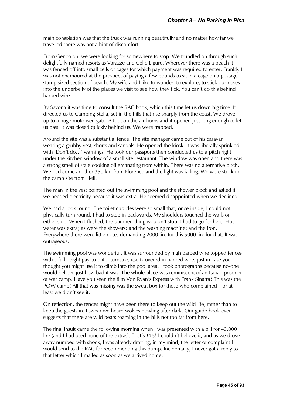main consolation was that the truck was running beautifully and no matter how far we travelled there was not a hint of discomfort.

From Genoa on, we were looking for somewhere to stop. We trundled on through such delightfully named resorts as Varazze and Celle Ligure. Wherever there was a beach it was fenced off into small cells or cages for which payment was required to enter. Frankly I was not enamoured at the prospect of paying a few pounds to sit in a cage on a postage stamp sized section of beach. My wife and I like to wander, to explore, to stick our noses into the underbelly of the places we visit to see how they tick. You can't do this behind barbed wire.

By Savona it was time to consult the RAC book, which this time let us down big time. It directed us to Camping Stella, set in the hills that rise sharply from the coast. We drove up to a huge motorised gate. A toot on the air horns and it opened just long enough to let us past. It was closed quickly behind us. We were trapped.

Around the site was a substantial fence. The site manager came out of his caravan wearing a grubby vest, shorts and sandals. He opened the kiosk. It was liberally sprinkled with 'Don't do…' warnings. He took our passports then conducted us to a pitch right under the kitchen window of a small site restaurant. The window was open and there was a strong smell of stale cooking oil emanating from within. There was no alternative pitch. We had come another 350 km from Florence and the light was failing. We were stuck in the camp site from Hell.

The man in the vest pointed out the swimming pool and the shower block and asked if we needed electricity because it was extra. He seemed disappointed when we declined.

We had a look round. The toilet cubicles were so small that, once inside, I could not physically turn round. I had to step in backwards. My shoulders touched the walls on either side. When I flushed, the damned thing wouldn't stop. I had to go for help. Hot water was extra; as were the showers; and the washing machine; and the iron. Everywhere there were little notes demanding 2000 lire for this 5000 lire for that. It was outrageous.

The swimming pool was wonderful. It was surrounded by high barbed wire topped fences with a full height pay-to-enter turnstile, itself covered in barbed wire, just in case you thought you might use it to climb into the pool area. I took photographs because no-one would believe just how bad it was. The whole place was reminiscent of an Italian prisoner of war camp. Have you seen the film Von Ryan's Express with Frank Sinatra? This was the POW camp! All that was missing was the sweat box for those who complained – or at least we didn't see it.

On reflection, the fences might have been there to keep out the wild life, rather than to keep the guests in. I swear we heard wolves howling after dark. Our guide book even suggests that there are wild bears roaming in the hills not too far from here.

The final insult came the following morning when I was presented with a bill for 43,000 lire (and I had used none of the extras). That's £15! I couldn't believe it, and as we drove away numbed with shock, I was already drafting, in my mind, the letter of complaint I would send to the RAC for recommending this dump. Incidentally, I never got a reply to that letter which I mailed as soon as we arrived home.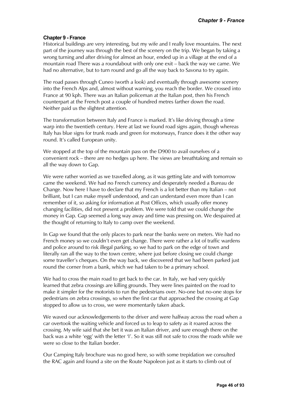# **Chapter 9 - France**

Historical buildings are very interesting, but my wife and I really love mountains. The next part of the journey was through the best of the scenery on the trip. We began by taking a wrong turning and after driving for almost an hour, ended up in a village at the end of a mountain road There was a roundabout with only one exit – back the way we came. We had no alternative, but to turn round and go all the way back to Savona to try again.

The road passes through Cuneo (worth a look) and eventually through awesome scenery into the French Alps and, almost without warning, you reach the border. We crossed into France at 90 kph. There was an Italian policeman at the Italian post, then his French counterpart at the French post a couple of hundred metres farther down the road. Neither paid us the slightest attention.

The transformation between Italy and France is marked. It's like driving through a time warp into the twentieth century. Here at last we found road signs again, though whereas Italy has blue signs for trunk roads and green for motorways, France does it the other way round. It's called European unity.

We stopped at the top of the mountain pass on the D900 to avail ourselves of a convenient rock – there are no hedges up here. The views are breathtaking and remain so all the way down to Gap.

We were rather worried as we travelled along, as it was getting late and with tomorrow came the weekend. We had no French currency and desperately needed a Bureau de Change. Now here I have to declare that my French is a lot better than my Italian – not brilliant, but I can make myself understood, and can understand even more than I can remember of it, so asking for information at Post Offices, which usually offer money changing facilities, did not present a problem. We were told that we could change the money in Gap. Gap seemed a long way away and time was pressing on. We despaired at the thought of returning to Italy to camp over the weekend.

In Gap we found that the only places to park near the banks were on meters. We had no French money so we couldn't even get change. There were rather a lot of traffic wardens and police around to risk illegal parking, so we had to park on the edge of town and literally ran all the way to the town centre, where just before closing we could change some traveller's cheques. On the way back, we discovered that we had been parked just round the corner from a bank, which we had taken to be a primary school.

We had to cross the main road to get back to the car. In Italy, we had very quickly learned that zebra crossings are killing grounds. They were lines painted on the road to make it simpler for the motorists to run the pedestrians over. No-one but no-one stops for pedestrians on zebra crossings, so when the first car that approached the crossing at Gap stopped to allow us to cross, we were momentarily taken aback.

We waved our acknowledgements to the driver and were halfway across the road when a car overtook the waiting vehicle and forced us to leap to safety as it roared across the crossing. My wife said that she bet it was an Italian driver, and sure enough there on the back was a white 'egg' with the letter 'I'. So it was still not safe to cross the roads while we were so close to the Italian border.

Our Camping Italy brochure was no good here, so with some trepidation we consulted the RAC again and found a site on the Route Napoleon just as it starts to climb out of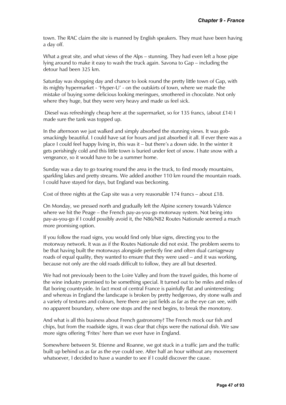town. The RAC claim the site is manned by English speakers. They must have been having a day off.

What a great site, and what views of the Alps – stunning. They had even left a hose pipe lying around to make it easy to wash the truck again. Savona to Gap – including the detour had been 325 km.

Saturday was shopping day and chance to look round the pretty little town of Gap, with its mighty hypermarket - 'Hyper-U' - on the outskirts of town, where we made the mistake of buying some delicious looking meringues, smothered in chocolate. Not only where they huge, but they were very heavy and made us feel sick.

 Diesel was refreshingly cheap here at the supermarket, so for 135 francs, (about £14) I made sure the tank was topped up.

In the afternoon we just walked and simply absorbed the stunning views. It was gobsmackingly beautiful. I could have sat for hours and just absorbed it all. If ever there was a place I could feel happy living in, this was it – but there's a down side. In the winter it gets perishingly cold and this little town is buried under feet of snow. I hate snow with a vengeance, so it would have to be a summer home.

Sunday was a day to go touring round the area in the truck, to find moody mountains, sparkling lakes and pretty streams. We added another 110 km round the mountain roads. I could have stayed for days, but England was beckoning.

Cost of three nights at the Gap site was a very reasonable  $174$  francs – about £18.

On Monday, we pressed north and gradually left the Alpine scenery towards Valence where we hit the Peage – the French pay-as-you-go motorway system. Not being into pay-as-you-go if I could possibly avoid it, the N86/N82 Routes Nationale seemed a much more promising option.

If you follow the road signs, you would find only blue signs, directing you to the motorway network. It was as if the Routes Nationale did not exist. The problem seems to be that having built the motorways alongside perfectly fine and often dual carriageway roads of equal quality, they wanted to ensure that they were used – and it was working, because not only are the old roads difficult to follow, they are all but deserted.

We had not previously been to the Loire Valley and from the travel guides, this home of the wine industry promised to be something special. It turned out to be miles and miles of flat boring countryside. In fact most of central France is painfully flat and uninteresting; and whereas in England the landscape is broken by pretty hedgerows, dry stone walls and a variety of textures and colours, here there are just fields as far as the eye can see, with no apparent boundary, where one stops and the next begins, to break the monotony.

And what is all this business about French gastronomy? The French mock our fish and chips, but from the roadside signs, it was clear that chips were the national dish. We saw more signs offering 'Frites' here than we ever have in England.

Somewhere between St. Etienne and Roanne, we got stuck in a traffic jam and the traffic built up behind us as far as the eye could see. After half an hour without any movement whatsoever, I decided to have a wander to see if I could discover the cause.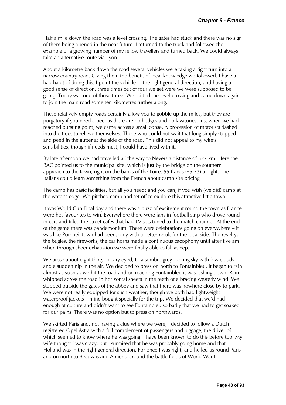Half a mile down the road was a level crossing. The gates had stuck and there was no sign of them being opened in the near future. I returned to the truck and followed the example of a growing number of my fellow travellers and turned back. We could always take an alternative route via Lyon.

About a kilometre back down the road several vehicles were taking a right turn into a narrow country road. Giving them the benefit of local knowledge we followed. I have a bad habit of doing this. I point the vehicle in the right general direction, and having a good sense of direction, three times out of four we get were we were supposed to be going. Today was one of those three. We skirted the level crossing and came down again to join the main road some ten kilometres further along.

These relatively empty roads certainly allow you to gobble up the miles, but they are purgatory if you need a pee, as there are no hedges and no lavatories. Just when we had reached bursting point, we came across a small copse. A procession of motorists dashed into the trees to relieve themselves. Those who could not wait that long simply stopped and peed in the gutter at the side of the road. This did not appeal to my wife's sensibilities, though if needs must, I could have lived with it.

By late afternoon we had travelled all the way to Nevers a distance of 527 km. Here the RAC pointed us to the municipal site, which is just by the bridge on the southern approach to the town, right on the banks of the Loire. 55 francs (£5.73) a night. The Italians could learn something from the French about camp site pricing.

The camp has basic facilities, but all you need; and you can, if you wish (we did) camp at the water's edge. We pitched camp and set off to explore this attractive little town.

It was World Cup Final day and there was a buzz of excitement round the town as France were hot favourites to win. Everywhere there were fans in football strip who drove round in cars and filled the street cafes that had TV sets tuned to the match channel. At the end of the game there was pandemonium. There were celebrations going on everywhere – it was like Pompeii town had been, only with a better result for the local side. The revelry, the bugles, the fireworks, the car horns made a continuous cacophony until after five am when through sheer exhaustion we were finally able to fall asleep.

We arose about eight thirty, bleary eyed, to a sombre grey looking sky with low clouds and a sudden nip in the air. We decided to press on north to Fontainbleu. It began to rain almost as soon as we hit the road and on reaching Fontainbleu it was lashing down. Rain whipped across the road in horizontal sheets in the teeth of a bracing westerly wind. We stopped outside the gates of the abbey and saw that there was nowhere close by to park. We were not really equipped for such weather, though we both had lightweight waterproof jackets – mine bought specially for the trip. We decided that we'd had enough of culture and didn't want to see Fontainbleu so badly that we had to get soaked for our pains, There was no option but to press on northwards.

We skirted Paris and, not having a clue where we were, I decided to follow a Dutch registered Opel Astra with a full complement of passengers and luggage, the driver of which seemed to know where he was going. I have been known to do this before too. My wife thought I was crazy, but I surmised that he was probably going home and that Holland was in the right general direction. For once I was right, and he led us round Paris and on north to Beauvais and Amiens, around the battle fields of World War I.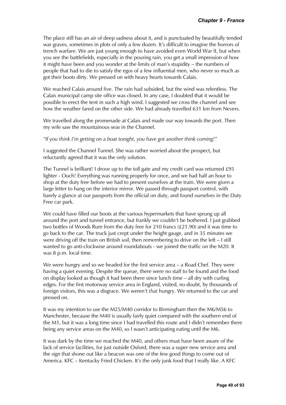The place still has an air of deep sadness about it, and is punctuated by beautifully tended war graves, sometimes in plots of only a few dozen. It's difficult to imagine the horrors of trench warfare. We are just young enough to have avoided even World War II, but when you see the battlefields, especially in the pouring rain, you get a small impression of how it might have been and you wonder at the limits of man's stupidity – the numbers of people that had to die to satisfy the egos of a few influential men, who never so much as got their boots dirty. We pressed on with heavy hearts towards Calais.

We reached Calais around five. The rain had subsided, but the wind was relentless. The Calais municipal camp site office was closed. In any case, I doubted that it would be possible to erect the tent in such a high wind. I suggested we cross the channel and see how the weather fared on the other side. We had already travelled 631 km from Nevers.

We travelled along the promenade at Calais and made our way towards the port. Then my wife saw the mountainous seas in the Channel.

*"If you think I'm getting on a boat tonight, you have got another think coming!"* 

I suggested the Channel Tunnel. She was rather worried about the prospect, but reluctantly agreed that it was the only solution.

The Tunnel is brilliant! I drove up to the toll gate and my credit card was returned £95 lighter - Ouch! Everything was running properly for once, and we had half an hour to shop at the duty free before we had to present ourselves at the train. We were given a large letter to hang on the interior mirror. We passed through passport control, with barely a glance at our passports from the official on duty, and found ourselves in the Duty Free car park.

We could have filled our boots at the various hypermarkets that have sprung up all around the port and tunnel entrance, but frankly we couldn't be bothered. I just grabbed two bottles of Woods Rum from the duty free for 210 francs (£21.90) and it was time to go back to the car. The truck just crept under the height gauge, and in 35 minutes we were driving off the train on British soil, then remembering to drive on the left – I still wanted to go anti-clockwise around roundabouts - we joined the traffic on the M20. It was 8 p.m. local time.

We were hungry and so we headed for the first service area – a Road Chef. They were having a quiet evening. Despite the queue, there were no staff to be found and the food on display looked as though it had been there since lunch time – all dry with curling edges. For the first motorway service area in England, visited, no doubt, by thousands of foreign visitors, this was a disgrace. We weren't *that* hungry. We returned to the car and pressed on.

It was my intention to use the M25/M40 corridor to Birmingham then the M6/M56 to Manchester, because the M40 is usually fairly quiet compared with the southern end of the M1, but it was a long time since I had travelled this route and I didn't remember there being any service areas on the M40, so I wasn't anticipating eating until the M6.

It was dark by the time we reached the M40, and others must have been aware of the lack of service facilities, for just outside Oxford, there was a super new service area and the sign that shone out like a beacon was one of the few good things to come out of America. KFC – Kentucky Fried Chicken. It's the only junk food that I really like. A KFC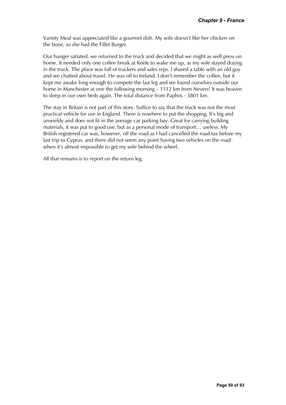Variety Meal was appreciated like a gourmet dish. My wife doesn't like her chicken on the bone, so she had the Fillet Burger.

Our hunger satiated, we returned to the truck and decided that we might as well press on home. It needed only one coffee break at Keele to wake me up, as my wife stayed dozing in the truck. The place was full of truckers and sales reps. I shared a table with an old guy and we chatted about travel. He was off to Ireland. I don't remember the coffee, but it kept me awake long enough to compete the last leg and we found ourselves outside our home in Manchester at one the following morning – 1112 km from Nevers! It was heaven to sleep in our own beds again. The total distance from Paphos - 3801 km.

The stay in Britain is not part of this story. Suffice to say that the truck was not the most practical vehicle for use in England. There is nowhere to put the shopping. It's big and unwieldy and does not fit in the average car parking bay. Great for carrying building materials, it was put to good use, but as a personal mode of transport… useless. My British registered car was, however, off the road as I had cancelled the road tax before my last trip to Cyprus, and there did not seem any point having two vehicles on the road when it's almost impossible to get my wife behind the wheel.

All that remains is to report on the return leg.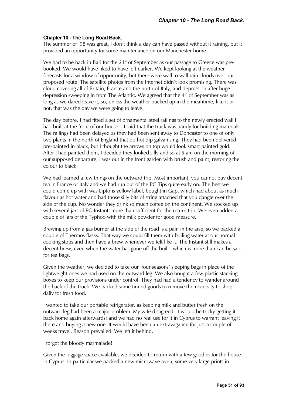### **Chapter 10 - The Long Road Back.**

The summer of '98 was great. I don't think a day can have passed without it raining, but it provided an opportunity for some maintenance on our Manchester home.

We had to be back in Bari for the  $21<sup>st</sup>$  of September as our passage to Greece was prebooked. We would have liked to have left earlier. We kept looking at the weather forecasts for a window of opportunity, but there were wall to wall rain clouds over our proposed route. The satellite photos from the Internet didn't look promising. There was cloud covering all of Britain, France and the north of Italy, and depression after huge depression sweeping in from The Atlantic. We agreed that the  $4<sup>th</sup>$  of September was as long as we dared leave it, so, unless the weather bucked up in the meantime, like it or not, that was the day we were going to leave.

The day before, I had fitted a set of ornamental steel railings to the newly erected wall I had built at the front of our house – I said that the truck was handy for building materials. The railings had been delayed as they had been sent away to Doncaster to one of only two plants in the north of England that do hot dip galvanising. They had been delivered pre-painted in black, but I thought the arrows on top would look smart painted gold. After I had painted them, I decided they looked silly and so at 5 am on the morning of our supposed departure, I was out in the front garden with brush and paint, restoring the colour to black.

We had learned a few things on the outward trip. Most important, you cannot buy decent tea in France or Italy and we had run out of the PG Tips quite early on. The best we could come up with was Liptons yellow label, bought in Gap, which had about as much flavour as hot water and had those silly bits of string attached that you dangle over the side of the cup. No wonder they drink so much coffee on the continent. We stocked up with several jars of PG Instant, more than sufficient for the return trip. We even added a couple of jars of the Typhoo with the milk powder for good measure.

Brewing up from a gas burner at the side of the road is a pain in the arse, so we packed a couple of Thermos flasks. That way we could fill them with boiling water at our normal cooking stops and then have a brew whenever we felt like it. The Instant still makes a decent brew, even when the water has gone off the boil – which is more than can be said for tea bags.

Given the weather, we decided to take our 'four seasons' sleeping bags in place of the lightweight ones we had used on the outward leg. We also bought a few plastic stacking boxes to keep our provisions under control. They had had a tendency to wander around the back of the truck. We packed some tinned goods to remove the necessity to shop daily for fresh food.

I wanted to take our portable refrigerator, as keeping milk and butter fresh on the outward leg had been a major problem. My wife disagreed. It would be tricky getting it back home again afterwards; and we had no real use for it in Cyprus to warrant leaving it there and buying a new one. It would have been an extravagance for just a couple of weeks travel. Reason prevailed. We left it behind.

#### I forgot the bloody marmalade!

Given the luggage space available, we decided to return with a few goodies for the house in Cyprus. In particular we packed a new microwave oven, some very large prints in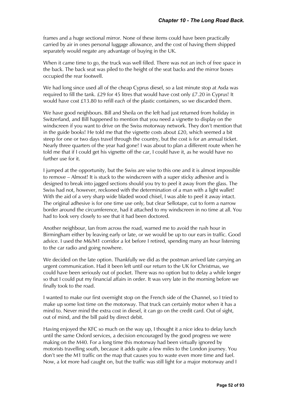frames and a huge sectional mirror. None of these items could have been practically carried by air in ones personal luggage allowance, and the cost of having them shipped separately would negate any advantage of buying in the UK.

When it came time to go, the truck was well filled. There was not an inch of free space in the back. The back seat was piled to the height of the seat backs and the mirror boxes occupied the rear footwell.

We had long since used all of the cheap Cyprus diesel, so a last minute stop at Asda was required to fill the tank. £29 for 45 litres that would have cost only £7.20 in Cyprus! It would have cost £13.80 to refill *each* of the plastic containers, so we discarded them.

We have good neighbours. Bill and Sheila on the left had just returned from holiday in Switzerland, and Bill happened to mention that you need a vignette to display on the windscreen if you want to drive on the Swiss motorway network. They don't mention that in the guide books! He told me that the vignette costs about £20, which seemed a bit steep for one or two days travel through the country, but the cost is for an annual ticket. Nearly three quarters of the year had gone! I was about to plan a different route when he told me that if I could get his vignette off the car, I could have it, as he would have no further use for it.

I jumped at the opportunity, but the Swiss are wise to this one and it is almost impossible to remove – Almost! It is stuck to the windscreen with a super sticky adhesive and is designed to break into jagged sections should you try to peel it away from the glass. The Swiss had not, however, reckoned with the determination of a man with a light wallet! With the aid of a very sharp wide bladed wood chisel, I was able to peel it away intact. The original adhesive is for one time use only, but clear Sellotape, cut to form a narrow border around the circumference, had it attached to my windscreen in no time at all. You had to look very closely to see that it had been doctored.

Another neighbour, Ian from across the road, warned me to avoid the rush hour in Birmingham either by leaving early or late, or we would be up to our ears in traffic. Good advice. I used the M6/M1 corridor a lot before I retired, spending many an hour listening to the car radio and going nowhere.

We decided on the late option. Thankfully we did as the postman arrived late carrying an urgent communication. Had it been left until our return to the UK for Christmas, we could have been seriously out of pocket. There was no option but to delay a while longer so that I could put my financial affairs in order. It was very late in the morning before we finally took to the road.

I wanted to make our first overnight stop on the French side of the Channel, so I tried to make up some lost time on the motorway. That truck can certainly motor when it has a mind to. Never mind the extra cost in diesel, it can go on the credit card. Out of sight, out of mind, and the bill paid by direct debit.

Having enjoyed the KFC so much on the way up, I thought it a nice idea to delay lunch until the same Oxford services, a decision encouraged by the good progress we were making on the M40. For a long time this motorway had been virtually ignored by motorists travelling south, because it adds quite a few miles to the London journey. You don't see the M1 traffic on the map that causes you to waste even more time and fuel. Now, a lot more had caught on, but the traffic was still light for a major motorway and I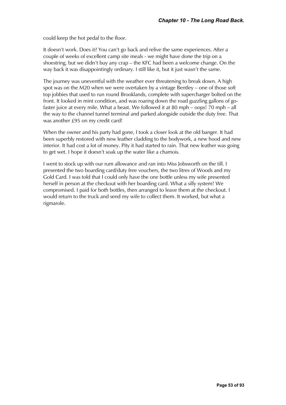could keep the hot pedal to the floor.

It doesn't work. Does it? You can't go back and relive the same experiences. After a couple of weeks of excellent camp site meals - we might have done the trip on a shoestring, but we didn't buy any crap – the KFC had been a welcome change. On the way back it was disappointingly ordinary. I still like it, but it just wasn't the same.

The journey was uneventful with the weather ever threatening to break down. A high spot was on the M20 when we were overtaken by a vintage Bentley – one of those soft top jobbies that used to run round Brooklands, complete with supercharger bolted on the front. It looked in mint condition, and was roaring down the road guzzling gallons of gofaster juice at every mile. What a beast. We followed it at 80 mph – oops! 70 mph – all the way to the channel tunnel terminal and parked alongside outside the duty free. That was another £95 on my credit card!

When the owner and his party had gone, I took a closer look at the old banger. It had been superbly restored with new leather cladding to the bodywork, a new hood and new interior. It had cost a lot of money. Pity it had started to rain. That new leather was going to get wet. I hope it doesn't soak up the water like a chamois.

I went to stock up with our rum allowance and ran into Miss Jobsworth on the till. I presented the two boarding card/duty free vouchers, the two litres of Woods and my Gold Card. I was told that I could only have the one bottle unless my wife presented herself in person at the checkout with her boarding card. What a silly system! We compromised. I paid for both bottles, then arranged to leave them at the checkout. I would return to the truck and send my wife to collect them. It worked, but what a rigmarole.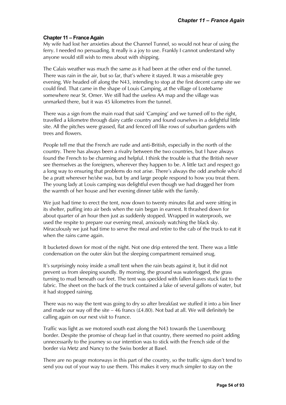# **Chapter 11 – France Again**

My wife had lost her anxieties about the Channel Tunnel, so would not hear of using the ferry. I needed no persuading. It really is a joy to use. Frankly I cannot understand why anyone would still wish to mess about with shipping.

The Calais weather was much the same as it had been at the other end of the tunnel. There was rain in the air, but so far, that's where it stayed. It was a miserable grey evening. We headed off along the N43, intending to stop at the first decent camp site we could find. That came in the shape of Louis Camping, at the village of Lostebarne somewhere near St. Omer. We still had the useless AA map and the village was unmarked there, but it was 45 kilometres from the tunnel.

There was a sign from the main road that said 'Camping' and we turned off to the right, travelled a kilometre through dairy cattle country and found ourselves in a delightful little site. All the pitches were grassed, flat and fenced off like rows of suburban gardens with trees and flowers.

People tell me that the French are rude and anti-British, especially in the north of the country. There has always been a rivalry between the two countries, but I have always found the French to be charming and helpful. I think the trouble is that the British never see themselves as the foreigners, wherever they happen to be. A little tact and respect go a long way to ensuring that problems do not arise. There's always the odd arsehole who'd be a pratt wherever he/she was, but by and large people respond to how you treat them. The young lady at Louis camping was delightful even though we had dragged her from the warmth of her house and her evening dinner table with the family.

We just had time to erect the tent, now down to twenty minutes flat and were sitting in its shelter, puffing into air beds when the rain began in earnest. It thrashed down for about quarter of an hour then just as suddenly stopped. Wrapped in waterproofs, we used the respite to prepare our evening meal, anxiously watching the black sky. Miraculously we just had time to serve the meal and retire to the cab of the truck to eat it when the rains came again.

It bucketed down for most of the night. Not one drip entered the tent. There was a little condensation on the outer skin but the sleeping compartment remained snug.

It's surprisingly noisy inside a small tent when the rain beats against it, but it did not prevent us from sleeping soundly. By morning, the ground was waterlogged, the grass turning to mud beneath our feet. The tent was speckled with fallen leaves stuck fast to the fabric. The sheet on the back of the truck contained a lake of several gallons of water, but it had stopped raining.

There was no way the tent was going to dry so after breakfast we stuffed it into a bin liner and made our way off the site  $-46$  francs (£4.80). Not bad at all. We will definitely be calling again on our next visit to France.

Traffic was light as we motored south east along the N43 towards the Luxembourg border. Despite the promise of cheap fuel in that country, there seemed no point adding unnecessarily to the journey so our intention was to stick with the French side of the border via Metz and Nancy to the Swiss border at Basel.

There are no peage motorways in this part of the country, so the traffic signs don't tend to send you out of your way to use them. This makes it very much simpler to stay on the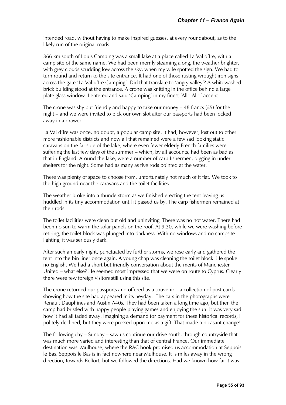intended road, without having to make inspired guesses, at every roundabout, as to the likely run of the original roads.

366 km south of Louis Camping was a small lake at a place called La Val d'Ire, with a camp site of the same name. We had been merrily steaming along, the weather brighter, with grey clouds scudding low across the sky, when my wife spotted the sign. We had to turn round and return to the site entrance. It had one of those rusting wrought iron signs across the gate 'La Val d'Ire Camping'. Did that translate to 'angry valley'? A whitewashed brick building stood at the entrance. A crone was knitting in the office behind a large plate glass window. I entered and said 'Camping' in my finest 'Allo Allo' accent.

The crone was shy but friendly and happy to take our money  $-48$  francs (£5) for the night – and we were invited to pick our own slot after our passports had been locked away in a drawer.

La Val d'Ire was once, no doubt, a popular camp site. It had, however, lost out to other more fashionable districts and now all that remained were a few sad looking static caravans on the far side of the lake, where even fewer elderly French families were suffering the last few days of the summer – which, by all accounts, had been as bad as that in England. Around the lake, were a number of carp fishermen, digging in under shelters for the night. Some had as many as five rods pointed at the water.

There was plenty of space to choose from, unfortunately not much of it flat. We took to the high ground near the caravans and the toilet facilities.

The weather broke into a thunderstorm as we finished erecting the tent leaving us huddled in its tiny accommodation until it passed us by. The carp fishermen remained at their rods.

The toilet facilities were clean but old and uninviting. There was no hot water. There had been no sun to warm the solar panels on the roof. At 9.30, while we were washing before retiring, the toilet block was plunged into darkness. With no windows and no campsite lighting, it was seriously dark.

After such an early night, punctuated by further storms, we rose early and gathered the tent into the bin liner once again. A young chap was cleaning the toilet block. He spoke no English. We had a short but friendly conversation about the merits of Manchester United – what else? He seemed most impressed that we were on route to Cyprus. Clearly there were few foreign visitors still using this site.

The crone returned our passports and offered us a souvenir – a collection of post cards showing how the site had appeared in its heyday. The cars in the photographs were Renault Dauphines and Austin A40s. They had been taken a long time ago, but then the camp had bristled with happy people playing games and enjoying the sun. It was very sad how it had all faded away. Imagining a demand for payment for these historical records, I politely declined, but they were pressed upon me as a gift. That made a pleasant change!

The following day – Sunday – saw us continue our drive south, through countryside that was much more varied and interesting than that of central France. Our immediate destination was Mulhouse, where the RAC book promised us accommodation at Seppois le Bas. Seppois le Bas is in fact nowhere near Mulhouse. It is miles away in the wrong direction, towards Belfort, but we followed the directions. Had we known how far it was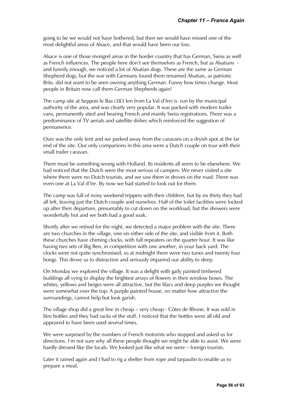going to be we would not have bothered, but then we would have missed one of the most delightful areas of Alsace, and that would have been our loss.

Alsace is one of those mongrel areas in the border country that has German, Swiss as well as French influences. The people here don't see themselves as French, but as Alsatians and funnily enough, we noticed a lot of Alsatian dogs. These are the same as German Shepherd dogs, but the war with Germany found them renamed Alsatian, as patriotic Brits. did not want to be seen owning anything German. Funny how times change. Most people in Britain now call them German Shepherds again!

The camp site at Seppois le Bas (383 km from La Val d'Ire) is run by the municipal authority of the area, and was clearly very popular. It was packed with modern trailer vans, permanently sited and bearing French and mainly Swiss registrations. There was a predominance of TV aerials and satellite dishes which reinforced the suggestion of permanence.

Ours was the only tent and we parked away from the caravans on a dryish spot at the far end of the site. Our only companions in this area were a Dutch couple on tour with their small trailer caravan.

There must be something wrong with Holland. Its residents all seem to be elsewhere. We had noticed that the Dutch were the most serious of campers. We never visited a site where there were no Dutch tourists, and we saw them in droves on the road. There was even one at La Val d'Ire. By now we had started to look out for them.

The camp was full of noisy weekend trippers with their children, but by six thirty they had all left, leaving just the Dutch couple and ourselves. Half of the toilet facilities were locked up after their departure, presumably to cut down on the workload, but the showers were wonderfully hot and we both had a good soak.

Shortly after we retired for the night, we detected a major problem with the site. There are two churches in the village, one on either side of the site, and visible from it. Both these churches have chiming clocks, with full repeaters on the quarter hour. It was like having two sets of Big Ben, in competition with one another, in your back yard. The clocks were not quite synchronised, so at midnight there were two tunes and twenty four bongs. This drove us to distraction and seriously impaired our ability to sleep.

On Monday we explored the village. It was a delight with gaily painted timbered buildings all vying to display the brightest arrays of flowers in their window boxes. The whites, yellows and beiges were all attractive, but the lilacs and deep purples we thought were somewhat over the top. A purple painted house, no matter how attractive the surroundings, cannot help but look garish.

The village shop did a great line in cheap – very cheap - Côtes de Rhone. It was sold in litre bottles and they had racks of the stuff. I noticed that the bottles were all old and appeared to have been used several times.

We were surprised by the numbers of French motorists who stopped and asked us for directions. I'm not sure why all these people thought we might be able to assist. We were hardly dressed like the locals. We looked just like what we were – foreign tourists.

Later it rained again and I had to rig a shelter from rope and tarpaulin to enable us to prepare a meal.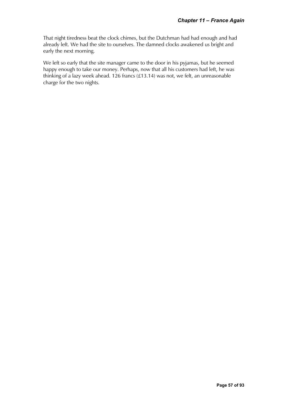That night tiredness beat the clock chimes, but the Dutchman had had enough and had already left. We had the site to ourselves. The damned clocks awakened us bright and early the next morning.

We left so early that the site manager came to the door in his pyjamas, but he seemed happy enough to take our money. Perhaps, now that all his customers had left, he was thinking of a lazy week ahead. 126 francs (£13.14) was not, we felt, an unreasonable charge for the two nights.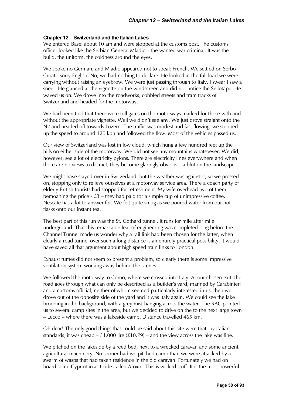#### **Chapter 12 – Switzerland and the Italian Lakes**

We entered Basel about 10 am and were stopped at the customs post. The customs officer looked like the Serbian General Mladic – the wanted war criminal. It was the build, the uniform, the coldness around the eyes.

We spoke no German, and Mladic appeared not to speak French. We settled on Serbo Croat - sorry English. No, we had nothing to declare. He looked at the full load we were carrying without raising an eyebrow. We were just passing through to Italy. I swear I saw a sneer. He glanced at the vignette on the windscreen and did not notice the Sellotape. He waved us on. We drove into the roadworks, cobbled streets and tram tracks of Switzerland and headed for the motorway.

We had been told that there were toll gates on the motorways marked for those with and without the appropriate vignette. Well we didn't see any. We just drove straight onto the N2 and headed off towards Luzern. The traffic was modest and fast flowing, we stepped up the speed to around 120 kph and followed the flow. Most of the vehicles passed us.

Our view of Switzerland was lost in low cloud, which hung a few hundred feet up the hills on either side of the motorway. We did not see any mountains whatsoever. We did, however, see a lot of electricity pylons. There are electricity lines everywhere and when there are no views to distract, they become glaringly obvious – a blot on the landscape.

We might have stayed over in Switzerland, but the weather was against it, so we pressed on, stopping only to relieve ourselves at a motorway service area. There a coach party of elderly British tourists had stopped for refreshment. My wife overhead two of them bemoaning the price  $- E_3$  – they had paid for a simple cup of unimpressive coffee. Nescafe has a lot to answer for. We felt quite smug as we poured water from our hot flasks onto our instant tea.

The best part of this run was the St. Gothard tunnel. It runs for mile after mile underground. That this remarkable feat of engineering was completed long before the Channel Tunnel made us wonder why a rail link had been chosen for the latter, when clearly a road tunnel over such a long distance is an entirely practical possibility. It would have saved all that argument about high speed train links to London.

Exhaust fumes did not seem to present a problem, so clearly there is some impressive ventilation system working away behind the scenes.

We followed the motorway to Como, where we crossed into Italy. At our chosen exit, the road goes through what can only be described as a builder's yard, manned by Carabinieri and a customs official, neither of whom seemed particularly interested in us, then we drove out of the opposite side of the yard and it was Italy again. We could see the lake brooding in the background, with a grey mist hanging across the water. The RAC pointed us to several camp sites in the area, but we decided to drive on the to the next large town – Lecco – where there was a lakeside camp. Distance travelled 465 km.

Oh dear! The only good things that could be said about this site were that, by Italian standards, it was cheap  $-31,000$  lire (£10.79) – and the view across the lake was fine.

We pitched on the lakeside by a reed bed, next to a wrecked caravan and some ancient agricultural machinery. No sooner had we pitched camp than we were attacked by a swarm of wasps that had taken residence in the old caravan. Fortunately we had on board some Cypriot insecticide called Aroxol. This is wicked stuff. It is the most powerful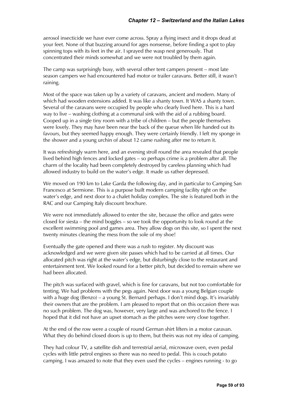aerosol insecticide we have ever come across. Spray a flying insect and it drops dead at your feet. None of that buzzing around for ages nonsense, before finding a spot to play spinning tops with its feet in the air. I sprayed the wasp nest generously. That concentrated their minds somewhat and we were not troubled by them again.

The camp was surprisingly busy, with several other tent campers present – most late season campers we had encountered had motor or trailer caravans. Better still, it wasn't raining.

Most of the space was taken up by a variety of caravans, ancient and modern. Many of which had wooden extensions added. It was like a shanty town. It WAS a shanty town. Several of the caravans were occupied by people who clearly lived here. This is a hard way to live – washing clothing at a communal sink with the aid of a rubbing board. Cooped up in a single tiny room with a tribe of children – but the people themselves were lovely. They may have been near the back of the queue when life handed out its favours, but they seemed happy enough. They were certainly friendly. I left my sponge in the shower and a young urchin of about 12 came rushing after me to return it.

It was refreshingly warm here, and an evening stroll round the area revealed that people lived behind high fences and locked gates – so perhaps crime is a problem after all. The charm of the locality had been completely destroyed by careless planning which had allowed industry to build on the water's edge. It made us rather depressed.

We moved on 190 km to Lake Garda the following day, and in particular to Camping San Francesco at Sermione. This is a purpose built modern camping facility right on the water's edge, and next door to a chalet holiday complex. The site is featured both in the RAC and our Camping Italy discount brochure.

We were not immediately allowed to enter the site, because the office and gates were closed for siesta – the mind boggles – so we took the opportunity to look round at the excellent swimming pool and games area. They allow dogs on this site, so I spent the next twenty minutes cleaning the mess from the sole of my shoe!

Eventually the gate opened and there was a rush to register. My discount was acknowledged and we were given site passes which had to be carried at all times. Our allocated pitch was right at the water's edge, but disturbingly close to the restaurant and entertainment tent. We looked round for a better pitch, but decided to remain where we had been allocated.

The pitch was surfaced with gravel, which is fine for caravans, but not too comfortable for tenting. We had problems with the pegs again. Next door was a young Belgian couple with a huge dog (Benzo) – a young St. Bernard perhaps. I don't mind dogs. It's invariably their owners that are the problem. I am pleased to report that on this occasion there was no such problem. The dog was, however, very large and was anchored to the fence. I hoped that it did not have an upset stomach as the pitches were very close together.

At the end of the row were a couple of round German shirt lifters in a motor caravan. What they do behind closed doors is up to them, but theirs was not my idea of camping.

They had colour TV, a satellite dish and terrestrial aerial, microwave oven, even pedal cycles with little petrol engines so there was no need to pedal. This is couch potato camping. I was amazed to note that they even used the cycles – engines running - to go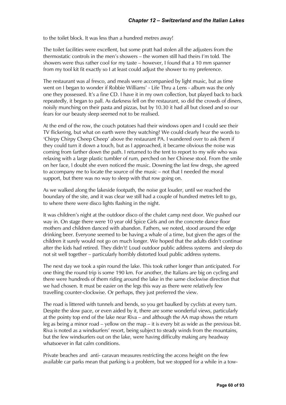to the toilet block. It was less than a hundred metres away!

The toilet facilities were excellent, but some pratt had stolen all the adjusters from the thermostatic controls in the men's showers – the women still had theirs I'm told. The showers were thus rather cool for my taste – however, I found that a 10 mm spanner from my tool kit fit exactly so I at least could adjust the shower to my preference.

The restaurant was al fresco, and meals were accompanied by light music, but as time went on I began to wonder if Robbie Williams' - Life Thru a Lens - album was the only one they possessed. It's a fine CD. I have it in my own collection, but played back to back repeatedly, it began to pall. As darkness fell on the restaurant, so did the crowds of diners, noisily munching on their pasta and pizzas, but by 10.30 it had all but closed and so our fears for our beauty sleep seemed not to be realised.

At the end of the row, the couch potatoes had their windows open and I could see their TV flickering, but what on earth were they watching? We could clearly hear the words to 'Chirpy Chirpy Cheep Cheep' above the restaurant PA. I wandered over to ask them if they could turn it down a touch, but as I approached, it became obvious the noise was coming from farther down the path. I returned to the tent to report to my wife who was relaxing with a large plastic tumbler of rum, perched on her Chinese stool. From the smile on her face, I doubt she even noticed the music. Downing the last few dregs, she agreed to accompany me to locate the source of the music – not that I needed the moral support, but there was no way to sleep with that row going on.

As we walked along the lakeside footpath, the noise got louder, until we reached the boundary of the site, and it was clear we still had a couple of hundred metres left to go, to where there were disco lights flashing in the night.

It was children's night at the outdoor disco of the chalet camp next door. We pushed our way in. On stage there were 10 year old Spice Girls and on the concrete dance floor mothers and children danced with abandon. Fathers, we noted, stood around the edge drinking beer. Everyone seemed to be having a whale of a time, but given the ages of the children it surely would not go on much longer. We hoped that the adults didn't continue after the kids had retired. They didn't! Loud outdoor public address systems and sleep do not sit well together – particularly horribly distorted loud public address systems.

The next day we took a spin round the lake. This took rather longer than anticipated. For one thing the round trip is some 190 km. For another, the Italians are big on cycling and there were hundreds of them riding around the lake in the same clockwise direction that we had chosen. It must be easier on the legs this way as there were relatively few travelling counter-clockwise. Or perhaps, they just preferred the view.

The road is littered with tunnels and bends, so you get baulked by cyclists at every turn. Despite the slow pace, or even aided by it, there are some wonderful views, particularly at the pointy top end of the lake near Riva – and although the AA map shows the return leg as being a minor road – yellow on the map – it is every bit as wide as the previous bit. Riva is noted as a windsurfers' resort, being subject to steady winds from the mountains, but the few windsurfers out on the lake, were having difficulty making any headway whatsoever in flat calm conditions.

Private beaches and anti- caravan measures restricting the access height on the few available car parks mean that parking is a problem, but we stopped for a while in a tow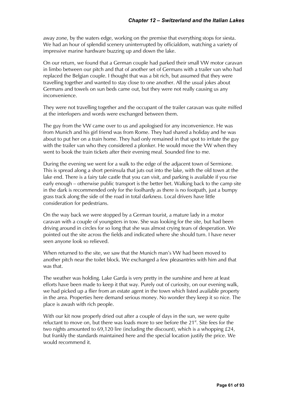away zone, by the waters edge, working on the premise that everything stops for siesta. We had an hour of splendid scenery uninterrupted by officialdom, watching a variety of impressive marine hardware buzzing up and down the lake.

On our return, we found that a German couple had parked their small VW motor caravan in limbo between our pitch and that of another set of Germans with a trailer van who had replaced the Belgian couple. I thought that was a bit rich, but assumed that they were travelling together and wanted to stay close to one another. All the usual jokes about Germans and towels on sun beds came out, but they were not really causing us any inconvenience.

They were not travelling together and the occupant of the trailer caravan was quite miffed at the interlopers and words were exchanged between them.

The guy from the VW came over to us and apologised for any inconvenience. He was from Munich and his girl friend was from Rome. They had shared a holiday and he was about to put her on a train home. They had only remained in that spot to irritate the guy with the trailer van who they considered a plonker. He would move the VW when they went to book the train tickets after their evening meal. Sounded fine to me.

During the evening we went for a walk to the edge of the adjacent town of Sermione. This is spread along a short peninsula that juts out into the lake, with the old town at the lake end. There is a fairy tale castle that you can visit, and parking is available if you rise early enough – otherwise public transport is the better bet. Walking back to the camp site in the dark is recommended only for the foolhardy as there is no footpath, just a bumpy grass track along the side of the road in total darkness. Local drivers have little consideration for pedestrians.

On the way back we were stopped by a German tourist, a mature lady in a motor caravan with a couple of youngsters in tow. She was looking for the site, but had been driving around in circles for so long that she was almost crying tears of desperation. We pointed out the site across the fields and indicated where she should turn. I have never seen anyone look so relieved.

When returned to the site, we saw that the Munich man's VW had been moved to another pitch near the toilet block. We exchanged a few pleasantries with him and that was that.

The weather was holding. Lake Garda is very pretty in the sunshine and here at least efforts have been made to keep it that way. Purely out of curiosity, on our evening walk, we had picked up a flier from an estate agent in the town which listed available property in the area. Properties here demand serious money. No wonder they keep it so nice. The place is awash with rich people.

With our kit now properly dried out after a couple of days in the sun, we were quite reluctant to move on, but there was loads more to see before the  $21<sup>st</sup>$ . Site fees for the two nights amounted to 69,120 lire (including the discount), which is a whopping £24, but frankly the standards maintained here and the special location justify the price. We would recommend it.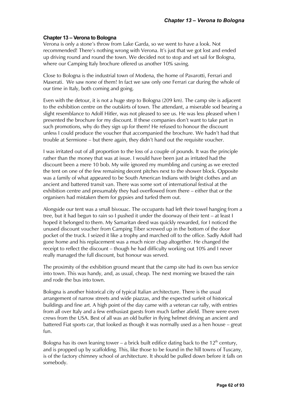## **Chapter 13 – Verona to Bologna**

Verona is only a stone's throw from Lake Garda, so we went to have a look. Not recommended! There's nothing wrong with Verona. It's just that we got lost and ended up driving round and round the town. We decided not to stop and set sail for Bologna, where our Camping Italy brochure offered us another 10% saving.

Close to Bologna is the industrial town of Modena, the home of Pavarotti, Ferrari and Maserati. We saw none of them! In fact we saw only one Ferrari car during the whole of our time in Italy, both coming and going.

Even with the detour, it is not a huge step to Bologna (209 km). The camp site is adjacent to the exhibition centre on the outskirts of town. The attendant, a miserable sod bearing a slight resemblance to Adolf Hitler, was not pleased to see us. He was less pleased when I presented the brochure for my discount. If these companies don't want to take part in such promotions, why do they sign up for them? He refused to honour the discount unless I could produce the voucher that accompanied the brochure. We hadn't had that trouble at Sermione – but there again, they didn't hand out the requisite voucher.

I was irritated out of all proportion to the loss of a couple of pounds. It was the principle rather than the money that was at issue. I would have been just as irritated had the discount been a mere 10 bob. My wife ignored my mumbling and cursing as we erected the tent on one of the few remaining decent pitches next to the shower block. Opposite was a family of what appeared to be South American Indians with bright clothes and an ancient and battered transit van. There was some sort of international festival at the exhibition centre and presumably they had overflowed from there – either that or the organisers had mistaken them for gypsies and turfed them out.

Alongside our tent was a small bivouac. The occupants had left their towel hanging from a tree, but it had begun to rain so I pushed it under the doorway of their tent – at least I hoped it belonged to them. My Samaritan deed was quickly rewarded, for I noticed the unused discount voucher from Camping Tiber screwed up in the bottom of the door pocket of the truck. I seized it like a trophy and marched off to the office. Sadly Adolf had gone home and his replacement was a much nicer chap altogether. He changed the receipt to reflect the discount – though he had difficulty working out 10% and I never really managed the full discount, but honour was served.

The proximity of the exhibition ground meant that the camp site had its own bus service into town. This was handy, and, as usual, cheap. The next morning we braved the rain and rode the bus into town.

Bologna is another historical city of typical Italian architecture. There is the usual arrangement of narrow streets and wide piazzas, and the expected surfeit of historical buildings and fine art. A high point of the day came with a veteran car rally, with entries from all over Italy and a few enthusiast guests from much farther afield. There were even crews from the USA. Best of all was an old buffer in flying helmet driving an ancient and battered Fiat sports car, that looked as though it was normally used as a hen house – great fun.

Bologna has its own leaning tower – a brick built edifice dating back to the  $12<sup>th</sup>$  century, and is propped up by scaffolding. This, like those to be found in the hill towns of Tuscany, is of the factory chimney school of architecture. It should be pulled down before it falls on somebody.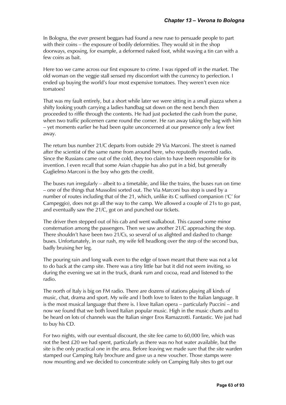In Bologna, the ever present beggars had found a new ruse to persuade people to part with their coins – the exposure of bodily deformities. They would sit in the shop doorways, exposing, for example, a deformed naked foot, whilst waving a tin can with a few coins as bait.

Here too we came across our first exposure to crime. I was ripped off in the market. The old woman on the veggie stall sensed my discomfort with the currency to perfection. I ended up buying the world's four most expensive tomatoes. They weren't even nice tomatoes!

That was my fault entirely, but a short while later we were sitting in a small piazza when a shifty looking youth carrying a ladies handbag sat down on the next bench then proceeded to riffle through the contents. He had just pocketed the cash from the purse, when two traffic policemen came round the corner. He ran away taking the bag with him – yet moments earlier he had been quite unconcerned at our presence only a few feet away.

The return bus number 21/C departs from outside 29 Via Marconi. The street is named after the scientist of the same name from around here, who reputedly invented radio. Since the Russians came out of the cold, they too claim to have been responsible for its invention. I even recall that some Asian chappie has also put in a bid, but generally Guglielmo Marconi is the boy who gets the credit.

The buses run irregularly – albeit to a timetable, and like the trains, the buses run on time – one of the things that Mussolini sorted out. The Via Marconi bus stop is used by a number of routes including that of the 21, which, unlike its C suffixed companion ('C' for Campeggio), does not go all the way to the camp. We allowed a couple of 21s to go past, and eventually saw the 21/C, got on and punched our tickets.

The driver then stepped out of his cab and went walkabout. This caused some minor consternation among the passengers. Then we saw another 21/C approaching the stop. There shouldn't have been two 21/Cs, so several of us alighted and dashed to change buses. Unfortunately, in our rush, my wife fell headlong over the step of the second bus, badly bruising her leg.

The pouring rain and long walk even to the edge of town meant that there was not a lot to do back at the camp site. There was a tiny little bar but it did not seem inviting, so during the evening we sat in the truck, drank rum and cocoa, read and listened to the radio.

The north of Italy is big on FM radio. There are dozens of stations playing all kinds of music, chat, drama and sport. My wife and I both love to listen to the Italian language. It is the most musical language that there is. I love Italian opera – particularly Puccini – and now we found that we both loved Italian popular music. High in the music charts and to be heard on lots of channels was the Italian singer Eros Ramazzotti. Fantastic. We just had to buy his CD.

For two nights, with our eventual discount, the site fee came to 60,000 lire, which was not the best £20 we had spent, particularly as there was no hot water available, but the site is the only practical one in the area. Before leaving we made sure that the site warden stamped our Camping Italy brochure and gave us a new voucher. Those stamps were now mounting and we decided to concentrate solely on Camping Italy sites to get our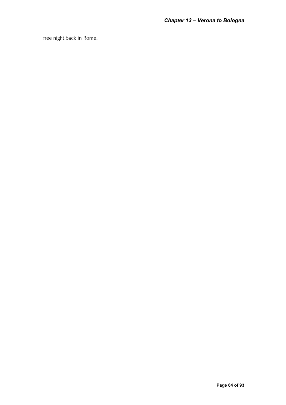free night back in Rome.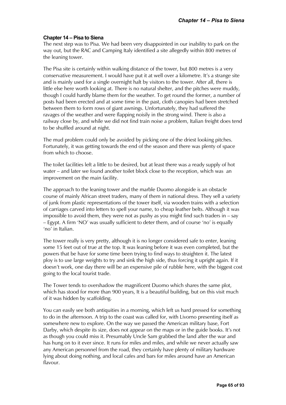### **Chapter 14 – Pisa to Siena**

The next step was to Pisa. We had been very disappointed in our inability to park on the way out, but the RAC and Camping Italy identified a site allegedly within 800 metres of the leaning tower.

The Pisa site is certainly within walking distance of the tower, but 800 metres is a very conservative measurement. I would have put it at well over a kilometre. It's a strange site and is mainly used for a single overnight halt by visitors to the tower. After all, there is little else here worth looking at. There is no natural shelter, and the pitches were muddy, though I could hardly blame them for the weather. To get round the former, a number of posts had been erected and at some time in the past, cloth canopies had been stretched between them to form rows of giant awnings. Unfortunately, they had suffered the ravages of the weather and were flapping noisily in the strong wind. There is also a railway close by, and while we did not find train noise a problem, Italian freight does tend to be shuffled around at night.

The mud problem could only be avoided by picking one of the driest looking pitches. Fortunately, it was getting towards the end of the season and there was plenty of space from which to choose.

The toilet facilities left a little to be desired, but at least there was a ready supply of hot water – and later we found another toilet block close to the reception, which was an improvement on the main facility.

The approach to the leaning tower and the marble Duomo alongside is an obstacle course of mainly African street traders, many of them in national dress. They sell a variety of junk from plastic representations of the tower itself, via wooden trains with a selection of carriages carved into letters to spell your name, to cheap leather belts. Although it was impossible to avoid them, they were not as pushy as you might find such traders in – say – Egypt. A firm 'NO' was usually sufficient to deter them, and of course 'no' is equally 'no' in Italian.

The tower really is very pretty, although it is no longer considered safe to enter, leaning some 15 feet out of true at the top. It was leaning before it was even completed, but the powers that be have for some time been trying to find ways to straighten it. The latest ploy is to use large weights to try and sink the high side, thus forcing it upright again. If it doesn't work, one day there will be an expensive pile of rubble here, with the biggest cost going to the local tourist trade.

The Tower tends to overshadow the magnificent Duomo which shares the same plot, which has stood for more than 900 years, It is a beautiful building, but on this visit much of it was hidden by scaffolding.

You can easily see both antiquities in a morning, which left us hard pressed for something to do in the afternoon. A trip to the coast was called for, with Livorno presenting itself as somewhere new to explore. On the way we passed the American military base, Fort Darby, which despite its size, does not appear on the maps or in the guide books. It's not as though you could miss it. Presumably Uncle Sam grabbed the land after the war and has hung on to it ever since. It runs for miles and miles, and while we never actually saw any American personnel from the road, they certainly have plenty of military hardware lying about doing nothing, and local cafes and bars for miles around have an American flavour.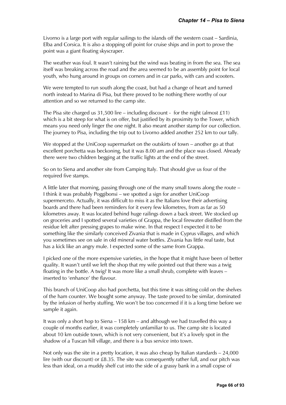Livorno is a large port with regular sailings to the islands off the western coast – Sardinia, Elba and Corsica. It is also a stopping off point for cruise ships and in port to prove the point was a giant floating skyscraper.

The weather was foul. It wasn't raining but the wind was beating in from the sea. The sea itself was breaking across the road and the area seemed to be an assembly point for local youth, who hung around in groups on corners and in car parks, with cars and scooters.

We were tempted to run south along the coast, but had a change of heart and turned north instead to Marina di Pisa, but there proved to be nothing there worthy of our attention and so we returned to the camp site.

The Pisa site charged us 31,500 lire – including discount - for the night (almost £11) which is a bit steep for what is on offer, but justified by its proximity to the Tower, which means you need only linger the one night. It also meant another stamp for our collection. The journey to Pisa, including the trip out to Livorno added another 252 km to our tally.

We stopped at the UniCoop supermarket on the outskirts of town – another go at that excellent porchetta was beckoning, but it was 8.00 am and the place was closed. Already there were two children begging at the traffic lights at the end of the street.

So on to Siena and another site from Camping Italy. That should give us four of the required five stamps.

A little later that morning, passing through one of the many small towns along the route – I think it was probably Poggibonsi – we spotted a sign for another UniCoop supermerceto. Actually, it was difficult to miss it as the Italians love their advertising boards and there had been reminders for it every few kilometres, from as far as 50 kilometres away. It was located behind huge railings down a back street. We stocked up on groceries and I spotted several varieties of Grappa, the local firewater distilled from the residue left after pressing grapes to make wine. In that respect I expected it to be something like the similarly conceived Zivania that is made in Cyprus villages, and which you sometimes see on sale in old mineral water bottles. Zivania has little real taste, but has a kick like an angry mule. I expected some of the same from Grappa.

I picked one of the more expensive varieties, in the hope that it might have been of better quality. It wasn't until we left the shop that my wife pointed out that there was a twig floating in the bottle. A twig? It was more like a small shrub, complete with leaves – inserted to 'enhance' the flavour.

This branch of UniCoop also had porchetta, but this time it was sitting cold on the shelves of the ham counter. We bought some anyway. The taste proved to be similar, dominated by the infusion of herby stuffing. We won't be too concerned if it is a long time before we sample it again.

It was only a short hop to Siena – 158 km – and although we had travelled this way a couple of months earlier, it was completely unfamiliar to us. The camp site is located about 10 km outside town, which is not very convenient, but it's a lovely spot in the shadow of a Tuscan hill village, and there is a bus service into town.

Not only was the site in a pretty location, it was also cheap by Italian standards – 24,000 lire (with our discount) or £8.35. The site was consequently rather full, and our pitch was less than ideal, on a muddy shelf cut into the side of a grassy bank in a small copse of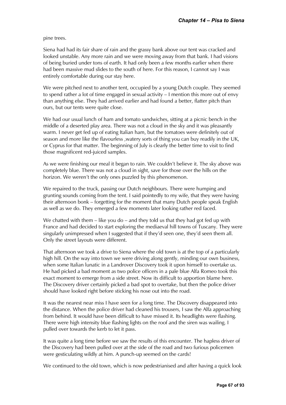pine trees.

Siena had had its fair share of rain and the grassy bank above our tent was cracked and looked unstable. Any more rain and we were moving away from that bank. I had visions of being buried under tons of earth. It had only been a few months earlier when there had been massive mud slides to the south of here. For this reason, I cannot say I was entirely comfortable during our stay here.

We were pitched next to another tent, occupied by a young Dutch couple. They seemed to spend rather a lot of time engaged in sexual activity – I mention this more out of envy than anything else. They had arrived earlier and had found a better, flatter pitch than ours, but our tents were quite close.

We had our usual lunch of ham and tomato sandwiches, sitting at a picnic bench in the middle of a deserted play area. There was not a cloud in the sky and it was pleasantly warm. I never get fed up of eating Italian ham, but the tomatoes were definitely out of season and more like the flavourless ,watery sorts of thing you can buy readily in the UK, or Cyprus for that matter. The beginning of July is clearly the better time to visit to find those magnificent red-juiced samples.

As we were finishing our meal it began to rain. We couldn't believe it. The sky above was completely blue. There was not a cloud in sight, save for those over the hills on the horizon. We weren't the only ones puzzled by this phenomenon.

We repaired to the truck, passing our Dutch neighbours. There were humping and grunting sounds coming from the tent. I said pointedly to my wife, that they were having their afternoon bonk – forgetting for the moment that many Dutch people speak English as well as we do. They emerged a few moments later looking rather red faced.

We chatted with them – like you do – and they told us that they had got fed up with France and had decided to start exploring the mediaeval hill towns of Tuscany. They were singularly unimpressed when I suggested that if they'd seen one, they'd seen them all. Only the street layouts were different.

That afternoon we took a drive to Siena where the old town is at the top of a particularly high hill. On the way into town we were driving along gently, minding our own business, when some Italian lunatic in a Landrover Discovery took it upon himself to overtake us. He had picked a bad moment as two police officers in a pale blue Alfa Romeo took this exact moment to emerge from a side street. Now its difficult to apportion blame here. The Discovery driver certainly picked a bad spot to overtake, but then the police driver should have looked right before sticking his nose out into the road.

It was the nearest near miss I have seen for a long time. The Discovery disappeared into the distance. When the police driver had cleaned his trousers, I saw the Alfa approaching from behind. It would have been difficult to have missed it. Its headlights were flashing. There were high intensity blue flashing lights on the roof and the siren was wailing. I pulled over towards the kerb to let it pass.

It was quite a long time before we saw the results of this encounter. The hapless driver of the Discovery had been pulled over at the side of the road and two furious policemen were gesticulating wildly at him. A punch-up seemed on the cards!

We continued to the old town, which is now pedestrianised and after having a quick look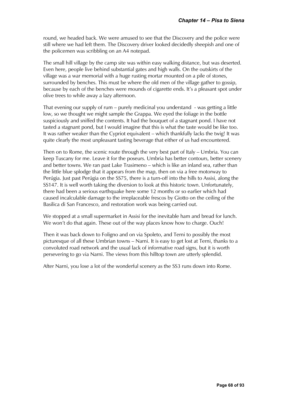round, we headed back. We were amused to see that the Discovery and the police were still where we had left them. The Discovery driver looked decidedly sheepish and one of the policemen was scribbling on an A4 notepad.

The small hill village by the camp site was within easy walking distance, but was deserted. Even here, people live behind substantial gates and high walls. On the outskirts of the village was a war memorial with a huge rusting mortar mounted on a pile of stones, surrounded by benches. This must be where the old men of the village gather to gossip, because by each of the benches were mounds of cigarette ends. It's a pleasant spot under olive trees to while away a lazy afternoon.

That evening our supply of rum – purely medicinal you understand - was getting a little low, so we thought we might sample the Grappa. We eyed the foliage in the bottle suspiciously and sniffed the contents. It had the bouquet of a stagnant pond. I have not tasted a stagnant pond, but I would imagine that this is what the taste would be like too. It was rather weaker than the Cypriot equivalent – which thankfully lacks the twig! It was quite clearly the most unpleasant tasting beverage that either of us had encountered.

Then on to Rome, the scenic route through the very best part of Italy – Umbria. You can keep Tuscany for me. Leave it for the poseurs. Umbria has better contours, better scenery and better towns. We ran past Lake Trasimeno – which is like an inland sea, rather than the little blue splodge that it appears from the map, then on via a free motorway to Perúgia. Just past Perúgia on the SS75, there is a turn-off into the hills to Assisi, along the SS147. It is well worth taking the diversion to look at this historic town. Unfortunately, there had been a serious earthquake here some 12 months or so earlier which had caused incalculable damage to the irreplaceable frescos by Giotto on the ceiling of the Basilica di San Francesco, and restoration work was being carried out.

We stopped at a small supermarket in Assisi for the inevitable ham and bread for lunch. We won't do that again. These out of the way places know how to charge. Ouch!

Then it was back down to Foligno and on via Spoleto, and Terni to possibly the most picturesque of all these Umbrian towns – Narni. It is easy to get lost at Terni, thanks to a convoluted road network and the usual lack of informative road signs, but it is worth persevering to go via Narni. The views from this hilltop town are utterly splendid.

After Narni, you lose a lot of the wonderful scenery as the SS3 runs down into Rome.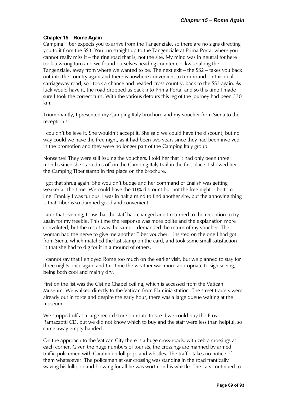# **Chapter 15 – Rome Again**

Camping Tiber expects you to arrive from the Tangenziale, so there are no signs directing you to it from the SS3. You run straight up to the Tangenziale at Prima Porta, where you cannot really miss it – the ring road that is, not the site. My mind was in neutral for here I took a wrong turn and we found ourselves heading counter clockwise along the Tangenziale, away from where we wanted to be. The next exit – the SS2 – takes you back out into the country again and there is nowhere convenient to turn round on this dual carriageway road, so I took a chance and headed cross country, back to the SS3 again. As luck would have it, the road dropped us back into Prima Porta, and so this time I made sure I took the correct turn. With the various detours this leg of the journey had been 330 km.

Triumphantly, I presented my Camping Italy brochure and my voucher from Siena to the receptionist.

I couldn't believe it. She wouldn't accept it. She said we could have the discount, but no way could we have the free night, as it had been two years since they had been involved in the promotion and they were no longer part of the Camping Italy group.

Nonsense! They were still issuing the vouchers. I told her that it had only been three months since she started us off on the Camping Italy trail in the first place. I showed her the Camping Tiber stamp in first place on the brochure.

I got that shrug again. She wouldn't budge and her command of English was getting weaker all the time. We could have the 10% discount but not the free night - bottom line. Frankly I was furious. I was in half a mind to find another site, but the annoying thing is that Tiber is so damned good and convenient.

Later that evening, I saw that the staff had changed and I returned to the reception to try again for my freebie. This time the response was more polite and the explanation more convoluted, but the result was the same. I demanded the return of my voucher. The woman had the nerve to give me another Tiber voucher. I insisted on the one I had got from Siena, which matched the last stamp on the card, and took some small satisfaction in that she had to dig for it in a mound of others.

I cannot say that I enjoyed Rome too much on the earlier visit, but we planned to stay for three nights once again and this time the weather was more appropriate to sightseeing, being both cool and mainly dry.

First on the list was the Cistine Chapel ceiling, which is accessed from the Vatican Museum. We walked directly to the Vatican from Flaminia station. The street traders were already out in force and despite the early hour, there was a large queue waiting at the museum.

We stopped off at a large record store on route to see if we could buy the Eros Ramazzotti CD, but we did not know which to buy and the staff were less than helpful, so came away empty handed.

On the approach to the Vatican City there is a huge cross-roads, with zebra crossings at each corner. Given the huge numbers of tourists, the crossings are manned by armed traffic policemen with Carabinieri lollipops and whistles. The traffic takes no notice of them whatsoever. The policeman at our crossing was standing in the road frantically waving his lollipop and blowing for all he was worth on his whistle. The cars continued to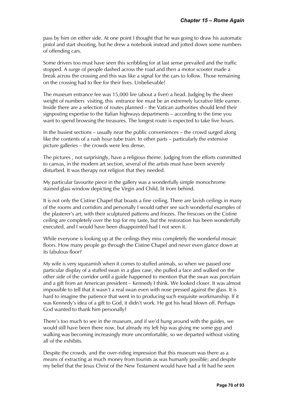pass by him on either side. At one point I thought that he was going to draw his automatic pistol and start shooting, but he drew a notebook instead and jotted down some numbers of offending cars.

Some drivers too must have seen this scribbling for at last sense prevailed and the traffic stopped. A surge of people dashed across the road and then a motor scooter made a break across the crossing and this was like a signal for the cars to follow. Those remaining on the crossing had to flee for their lives. Unbelievable!

The museum entrance fee was 15,000 lire (about a fiver) a head. Judging by the sheer weight of numbers visiting, this entrance fee must be an extremely lucrative little earner. Inside there are a selection of routes planned – the Vatican authorities should lend their signposting expertise to the Italian highways departments – according to the time you want to spend browsing the treasures. The longest route is expected to take five hours.

In the busiest sections – usually near the public conveniences – the crowd surged along like the contents of a rush hour tube train. In other parts – particularly the extensive picture galleries – the crowds were less dense.

The pictures , not surprisingly, have a religious theme. Judging from the efforts committed to canvas, in the modern art section, several of the artists must have been severely disturbed. It was therapy not religion that they needed.

My particular favourite piece in the gallery was a wonderfully simple monochrome stained glass window depicting the Virgin and Child, lit from behind.

It is not only the Cistine Chapel that boasts a fine ceiling. There are lavish ceilings in many of the rooms and corridors and personally I would rather see such wonderful examples of the plasterer's art, with their sculptured patterns and friezes. The frescoes on the Cistine ceiling are completely over the top for my taste, but the restoration has been wonderfully executed, and I would have been disappointed had I not seen it.

While everyone is looking up at the ceilings they miss completely the wonderful mosaic floors. How many people go through the Cistine Chapel and never even glance down at its fabulous floor?

My wife is very squeamish when it comes to stuffed animals, so when we passed one particular display of a stuffed swan in a glass case, she pulled a face and walked on the other side of the corridor until a guide happened to mention that the swan was porcelain and a gift from an American president – Kennedy I think. We looked closer. It was almost impossible to tell that it wasn't a real swan even with nose pressed against the glass. It is hard to imagine the patience that went in to producing such exquisite workmanship. If it was Kennedy's idea of a gift to God, it didn't work. He got his head blown off. Perhaps God wanted to thank him personally?

There's too much to see in the museum, and if we'd hung around with the guides, we would still have been there now, but already my left hip was giving me some gyp and walking was becoming increasingly more uncomfortable, so we departed without visiting all of the exhibits.

Despite the crowds, and the over-riding impression that this museum was there as a means of extracting as much money from tourists as was humanly possible; and despite my belief that the Jesus Christ of the New Testament would have had a fit had he seen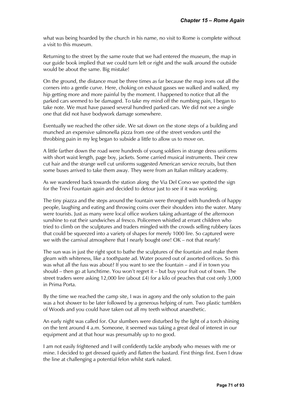what was being hoarded by the church in his name, no visit to Rome is complete without a visit to this museum.

Returning to the street by the same route that we had entered the museum, the map in our guide book implied that we could turn left or right and the walk around the outside would be about the same. Big mistake!

On the ground, the distance must be three times as far because the map irons out all the corners into a gentle curve. Here, choking on exhaust gasses we walked and walked, my hip getting more and more painful by the moment. I happened to notice that all the parked cars seemed to be damaged. To take my mind off the numbing pain, I began to take note. We must have passed several hundred parked cars. We did not see a single one that did not have bodywork damage somewhere.

Eventually we reached the other side. We sat down on the stone steps of a building and munched an expensive salmonella pizza from one of the street vendors until the throbbing pain in my leg began to subside a little to allow us to move on.

A little farther down the road were hundreds of young soldiers in strange dress uniforms with short waist length, page boy, jackets. Some carried musical instruments. Their crew cut hair and the strange well cut uniforms suggested American service recruits, but then some buses arrived to take them away. They were from an Italian military academy.

As we wandered back towards the station along the Via Del Corso we spotted the sign for the Trevi Fountain again and decided to detour just to see if it was working.

The tiny piazza and the steps around the fountain were thronged with hundreds of happy people, laughing and eating and throwing coins over their shoulders into the water. Many were tourists. Just as many were local office workers taking advantage of the afternoon sunshine to eat their sandwiches al fresco. Policemen whistled at errant children who tried to climb on the sculptures and traders mingled with the crowds selling rubbery faces that could be squeezed into a variety of shapes for merely 1000 lire. So captured were we with the carnival atmosphere that I nearly bought one! OK – not that nearly!

The sun was in just the right spot to bathe the sculptures of the fountain and make them gleam with whiteness, like a toothpaste ad. Water poured out of assorted orifices. So this was what all the fuss was about? If you want to see the fountain – and if in town you should – then go at lunchtime. You won't regret it – but buy your fruit out of town. The street traders were asking 12,000 lire (about £4) for a kilo of peaches that cost only 3,000 in Prima Porta.

By the time we reached the camp site, I was in agony and the only solution to the pain was a hot shower to be later followed by a generous helping of rum. Two plastic tumblers of Woods and you could have taken out all my teeth without anaesthetic.

An early night was called for. Our slumbers were disturbed by the light of a torch shining on the tent around 4 a.m. Someone, it seemed was taking a great deal of interest in our equipment and at that hour was presumably up to no good.

I am not easily frightened and I will confidently tackle anybody who messes with me or mine. I decided to get dressed quietly and flatten the bastard. First things first. Even I draw the line at challenging a potential felon whilst stark naked.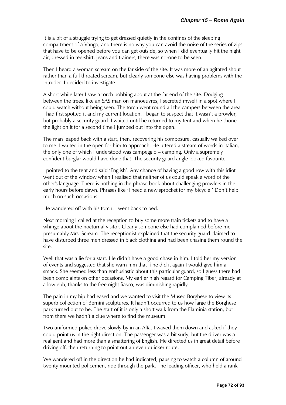It is a bit of a struggle trying to get dressed quietly in the confines of the sleeping compartment of a Vango, and there is no way you can avoid the noise of the series of zips that have to be opened before you can get outside, so when I did eventually hit the night air, dressed in tee-shirt, jeans and trainers, there was no-one to be seen.

Then I heard a woman scream on the far side of the site. It was more of an agitated shout rather than a full throated scream, but clearly someone else was having problems with the intruder. I decided to investigate.

A short while later I saw a torch bobbing about at the far end of the site. Dodging between the trees, like an SAS man on manoeuvres, I secreted myself in a spot where I could watch without being seen. The torch went round all the campers between the area I had first spotted it and my current location. I began to suspect that it wasn't a prowler, but probably a security guard. I waited until he returned to my tent and when he shone the light on it for a second time I jumped out into the open.

The man leaped back with a start, then, recovering his composure, casually walked over to me. I waited in the open for him to approach. He uttered a stream of words in Italian, the only one of which I understood was campeggio – camping. Only a supremely confident burglar would have done that. The security guard angle looked favourite.

I pointed to the tent and said 'English'. Any chance of having a good row with this idiot went out of the window when I realised that neither of us could speak a word of the other's language. There is nothing in the phrase book about challenging prowlers in the early hours before dawn. Phrases like 'I need a new sprocket for my bicycle.' Don't help much on such occasions.

He wandered off with his torch. I went back to bed.

Next morning I called at the reception to buy some more train tickets and to have a whinge about the nocturnal visitor. Clearly someone else had complained before me – presumably Mrs. Scream. The receptionist explained that the security guard claimed to have disturbed three men dressed in black clothing and had been chasing them round the site.

Well that was a lie for a start. He didn't have a good chase in him. I told her my version of events and suggested that she warn him that if he did it again I would give him a smack. She seemed less than enthusiastic about this particular guard, so I guess there had been complaints on other occasions. My earlier high regard for Camping Tiber, already at a low ebb, thanks to the free night fiasco, was diminishing rapidly.

The pain in my hip had eased and we wanted to visit the Museo Borghese to view its superb collection of Bernini sculptures. It hadn't occurred to us how large the Borghese park turned out to be. The start of it is only a short walk from the Flaminia station, but from there we hadn't a clue where to find the museum.

Two uniformed police drove slowly by in an Alfa. I waved them down and asked if they could point us in the right direction. The passenger was a bit surly, but the driver was a real gent and had more than a smattering of English. He directed us in great detail before driving off, then returning to point out an even quicker route.

We wandered off in the direction he had indicated, pausing to watch a column of around twenty mounted policemen, ride through the park. The leading officer, who held a rank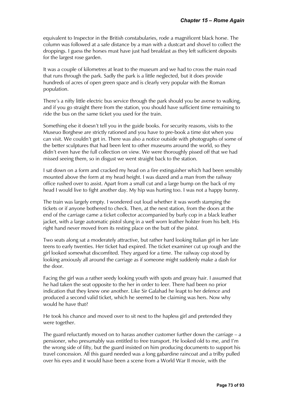equivalent to Inspector in the British constabularies, rode a magnificent black horse. The column was followed at a safe distance by a man with a dustcart and shovel to collect the droppings. I guess the horses must have just had breakfast as they left sufficient deposits for the largest rose garden.

It was a couple of kilometres at least to the museum and we had to cross the main road that runs through the park. Sadly the park is a little neglected, but it does provide hundreds of acres of open green space and is clearly very popular with the Roman population.

There's a nifty little electric bus service through the park should you be averse to walking, and if you go straight there from the station, you should have sufficient time remaining to ride the bus on the same ticket you used for the train.

Something else it doesn't tell you in the guide books. For security reasons, visits to the Museuo Borghese are strictly rationed and you have to pre-book a time slot when you can visit. We couldn't get in. There was also a notice outside with photographs of some of the better sculptures that had been lent to other museums around the world, so they didn't even have the full collection on view. We were thoroughly pissed off that we had missed seeing them, so in disgust we went straight back to the station.

I sat down on a form and cracked my head on a fire extinguisher which had been sensibly mounted above the form at my head height. I was dazed and a man from the railway office rushed over to assist. Apart from a small cut and a large bump on the back of my head I would live to fight another day. My hip was hurting too. I was not a happy bunny.

The train was largely empty. I wondered out loud whether it was worth stamping the tickets or if anyone bothered to check. Then, at the next station, from the doors at the end of the carriage came a ticket collector accompanied by burly cop in a black leather jacket, with a large automatic pistol slung in a well worn leather holster from his belt. His right hand never moved from its resting place on the butt of the pistol.

Two seats along sat a moderately attractive, but rather hard looking Italian girl in her late teens to early twenties. Her ticket had expired. The ticket examiner cut up rough and the girl looked somewhat discomfited. They argued for a time. The railway cop stood by looking anxiously all around the carriage as if someone might suddenly make a dash for the door.

Facing the girl was a rather seedy looking youth with spots and greasy hair. I assumed that he had taken the seat opposite to the her in order to leer. There had been no prior indication that they knew one another. Like Sir Galahad he leapt to her defence and produced a second valid ticket, which he seemed to be claiming was hers. Now why would he have that?

He took his chance and moved over to sit next to the hapless girl and pretended they were together.

The guard reluctantly moved on to harass another customer further down the carriage – a pensioner, who presumably was entitled to free transport. He looked old to me, and I'm the wrong side of fifty, but the guard insisted on him producing documents to support his travel concession. All this guard needed was a long gabardine raincoat and a trilby pulled over his eyes and it would have been a scene from a World War II movie, with the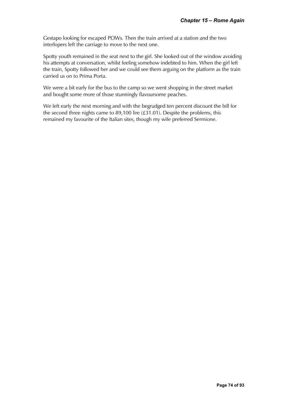Gestapo looking for escaped POWs. Then the train arrived at a station and the two interlopers left the carriage to move to the next one.

Spotty youth remained in the seat next to the girl. She looked out of the window avoiding his attempts at conversation, whilst feeling somehow indebted to him. When the girl left the train, Spotty followed her and we could see them arguing on the platform as the train carried us on to Prima Porta.

We were a bit early for the bus to the camp so we went shopping in the street market and bought some more of those stunningly flavoursome peaches.

We left early the next morning and with the begrudged ten percent discount the bill for the second three nights came to 89,100 lire (£31.01). Despite the problems, this remained my favourite of the Italian sites, though my wife preferred Sermione.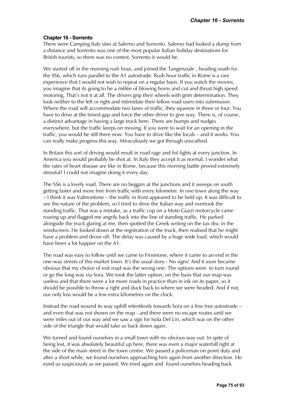# **Chapter 16 - Sorrento**

There were Camping Italy sites at Salerno and Sorrento. Salerno had looked a dump from a distance and Sorrento was one of the most popular Italian holiday destinations for British tourists, so there was no contest. Sorrento it would be.

We started off in the morning rush hour, and joined the Tangenziale , heading south for the SS6, which runs parallel to the A1 autostrade. Rush hour traffic in Rome is a rare experience that I would not wish to repeat on a regular basis. If you watch the movies, you imagine that its going to be a mêlée of blowing horns and cut and thrust high speed motoring. That's not it at all. The drivers grip their wheels with grim determination. They look neither to the left or right and intimidate their fellow road users into submission. Where the road will accommodate two lanes of traffic, they squeeze in three or four. You have to drive at the tiniest gap and force the other driver to give way. There is, of course, a distinct advantage in having a large truck here. There are bumps and nudges everywhere, but the traffic keeps on moving. If you were to wait for an opening in the traffic, you would be still there now. You have to drive like the locals – and it works. You can really make progress this way. Miraculously we got through unscathed.

In Britain this sort of driving would result in road rage and fist fights at every junction. In America you would probably be shot at. In Italy they accept it as normal. I wonder what the rates of heart disease are like in Rome, because this morning battle proved extremely stressful? I could not imagine doing it every day.

The SS6 is a lovely road. There are no beggars at the junctions and it sweeps on south getting faster and more free from traffic with every kilometre. In one town along the way – I think it was Valmontone – the traffic in front appeared to be held up. It was difficult to see the nature of the problem, so I tried to drive the Italian way and overtook the standing traffic. That was a mistake, as a traffic cop on a Moto Guzzi motorcycle came roaring up and flagged me angrily back into the line of standing traffic. He parked alongside the truck glaring at me, then spotted the Greek writing on the tax disc in the windscreen. He looked down at the registration of the truck, then realised that he might have a problem and drove off. The delay was caused by a huge wide load, which would have been a lot happier on the A1.

The road was easy to follow until we came to Frosinone, where it came to an end in the one-way streets of this market town. It's the usual story - No signs! And it soon became obvious that my choice of exit road was the wrong one. The options were to turn round or go the long way via Sora. We took the latter option, on the basis that our map was useless and that there were a lot more roads in practice than in ink on its paper, so it should be possible to throw a right and duck back to where we were headed. And if not, our only loss would be a few extra kilometres on the clock.

Instead the road wound its way uphill relentlessly towards Sora on a fine free autostrade – and even that was not shown on the map - and there were no escape routes until we were miles out of our way and we saw a sign for Isola Del Liri, which was on the other side of the triangle that would take us back down again.

We turned and found ourselves in a small town with no obvious way out. In spite of being lost, it was absolutely beautiful up here, there was even a major waterfall right at the side of the main street in the town centre. We passed a policeman on point duty and after a short while, we found ourselves approaching him again from another direction. He eyed us suspiciously as we passed. We tried again and found ourselves heading back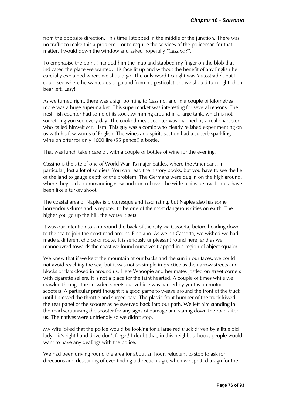from the opposite direction. This time I stopped in the middle of the junction. There was no traffic to make this a problem – or to require the services of the policeman for that matter. I would down the window and asked hopefully *"Cassino?".* 

To emphasise the point I handed him the map and stabbed my finger on the blob that indicated the place we wanted. His face lit up and without the benefit of any English he carefully explained where we should go. The only word I caught was 'autostrade', but I could see where he wanted us to go and from his gesticulations we should turn right, then bear left. Easy!

As we turned right, there was a sign pointing to Cassino, and in a couple of kilometres more was a huge supermarket. This supermarket was interesting for several reasons. The fresh fish counter had some of its stock swimming around in a large tank, which is not something you see every day. The cooked meat counter was manned by a real character who called himself Mr. Ham. This guy was a comic who clearly relished experimenting on us with his few words of English. The wines and spirits section had a superb sparkling wine on offer for only 1600 lire (55 pence!) a bottle.

That was lunch taken care of, with a couple of bottles of wine for the evening.

Cassino is the site of one of World War II's major battles, where the Americans, in particular, lost a lot of soldiers. You can read the history books, but you have to see the lie of the land to gauge depth of the problem. The Germans were dug in on the high ground, where they had a commanding view and control over the wide plains below. It must have been like a turkey shoot.

The coastal area of Naples is picturesque and fascinating, but Naples also has some horrendous slums and is reputed to be one of the most dangerous cities on earth. The higher you go up the hill, the worse it gets.

It was our intention to skip round the back of the City via Casserta, before heading down to the sea to join the coast road around Ercolano. As we hit Casserta, we wished we had made a different choice of route. It is seriously unpleasant round here, and as we manoeuvred towards the coast we found ourselves trapped in a region of abject squalor.

We knew that if we kept the mountain at our backs and the sun in our faces, we could not avoid reaching the sea, but it was not so simple in practice as the narrow streets and blocks of flats closed in around us. Here Whoopie and her mates jostled on street corners with cigarette sellers. It is not a place for the faint hearted. A couple of times while we crawled through the crowded streets our vehicle was harried by youths on motor scooters. A particular pratt thought it a good game to weave around the front of the truck until I pressed the throttle and surged past. The plastic front bumper of the truck kissed the rear panel of the scooter as he swerved back into our path. We left him standing in the road scrutinising the scooter for any signs of damage and staring down the road after us. The natives were unfriendly so we didn't stop.

My wife joked that the police would be looking for a large red truck driven by a little old lady – it's right hand drive don't forget! I doubt that, in this neighbourhood, people would want to have any dealings with the police.

We had been driving round the area for about an hour, reluctant to stop to ask for directions and despairing of ever finding a direction sign, when we spotted a sign for the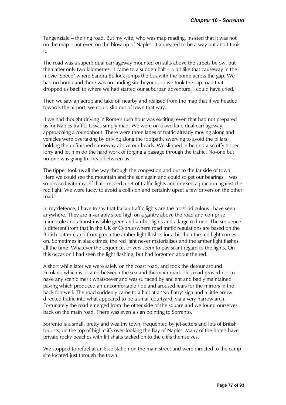Tangenziale – the ring road. But my wife, who was map reading, insisted that it was not on the map – not even on the blow up of Naples. It appeared to be a way out and I took it.

The road was a superb dual carriageway mounted on stilts above the streets below, but then after only two kilometres, it came to a sudden halt – a bit like that causeway in the movie 'Speed' where Sandra Bullock jumps the bus with the bomb across the gap. We had no bomb and there was no landing site beyond, so we took the slip road that dropped us back to where we had started our suburban adventure. I could have cried.

Then we saw an aeroplane take off nearby and realised from the map that if we headed towards the airport, we could slip out of town that way.

If we had thought driving in Rome's rush hour was exciting, even that had not prepared us for Naples traffic. It was simply mad. We were on a two lane dual carriageway, approaching a roundabout. There were three lanes of traffic already moving along and vehicles were overtaking by driving along the footpath, swerving to avoid the pillars holding the unfinished causeway above our heads. We slipped in behind a scruffy tipper lorry and let him do the hard work of forging a passage through the traffic. No-one but no-one was going to sneak between us.

The tipper took us all the way through the congestion and out to the far side of town. Here we could see the mountain and the sun again and could so get our bearings. I was so pleased with myself that I missed a set of traffic lights and crossed a junction against the red light. We were lucky to avoid a collision and certainly upset a few drivers on the other road.

In my defence, I have to say that Italian traffic lights are the most ridiculous I have seen anywhere. They are invariably sited high on a gantry above the road and comprise minuscule and almost invisible green and amber lights and a large red one. The sequence is different from that in the UK or Cyprus (where road traffic regulations are based on the British pattern) and from green the amber light flashes for a bit then the red light comes on. Sometimes in slack times, the red light never materialises and the amber light flashes all the time. Whatever the sequence, drivers seem to pay scant regard to the lights. On this occasion I had seen the light flashing, but had forgotten about the red.

A short while later we were safely on the coast road, and took the detour around Ercolano which is located between the sea and the main road. This road proved not to have any scenic merit whatsoever and was surfaced by ancient and badly maintained paving which produced an uncomfortable ride and aroused fears for the mirrors in the back footwell. The road suddenly came to a halt at a 'No Entry' sign and a little arrow directed traffic into what appeared to be a small courtyard, via a very narrow arch. Fortunately the road emerged from the other side of the square and we found ourselves back on the main road. There was even a sign pointing to Sorrento.

Sorrento is a small, pretty and wealthy town, frequented by jet-setters and lots of British tourists, on the top of high cliffs over-looking the Bay of Naples. Many of the hotels have private rocky beaches with lift shafts tacked on to the cliffs themselves.

We stopped to refuel at an Esso station on the main street and were directed to the camp site located just through the town.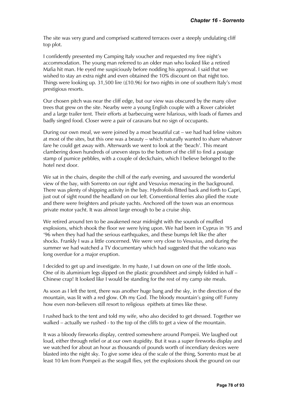The site was very grand and comprised scattered terraces over a steeply undulating cliff top plot.

I confidently presented my Camping Italy voucher and requested my free night's accommodation. The young man referred to an older man who looked like a retired Mafia hit man. He eyed me suspiciously before nodding his approval. I said that we wished to stay an extra night and even obtained the 10% discount on that night too. Things were looking up. 31,500 lire (£10.96) for two nights in one of southern Italy's most prestigious resorts.

Our chosen pitch was near the cliff edge, but our view was obscured by the many olive trees that grew on the site. Nearby were a young English couple with a Rover cabriolet and a large trailer tent. Their efforts at barbecuing were hilarious, with loads of flames and badly singed food. Closer were a pair of caravans but no sign of occupants.

During our own meal, we were joined by a most beautiful cat – we had had feline visitors at most of the sites, but this one was a beauty – which naturally wanted to share whatever fare he could get away with. Afterwards we went to look at the 'beach'. This meant clambering down hundreds of uneven steps to the bottom of the cliff to find a postage stamp of pumice pebbles, with a couple of deckchairs, which I believe belonged to the hotel next door.

We sat in the chairs, despite the chill of the early evening, and savoured the wonderful view of the bay, with Sorrento on our right and Vesuvius menacing in the background. There was plenty of shipping activity in the bay. Hydrofoils flitted back and forth to Capri, just out of sight round the headland on our left. Conventional ferries also plied the route and there were freighters and private yachts. Anchored off the town was an enormous private motor yacht. It was almost large enough to be a cruise ship.

We retired around ten to be awakened near midnight with the sounds of muffled explosions, which shook the floor we were lying upon. We had been in Cyprus in '95 and '96 when they had had the serious earthquakes, and these bumps felt like the after shocks. Frankly I was a little concerned. We were very close to Vesuvius, and during the summer we had watched a TV documentary which had suggested that the volcano was long overdue for a major eruption.

I decided to get up and investigate. In my haste, I sat down on one of the little stools. One of its aluminium legs slipped on the plastic groundsheet and simply folded in half – Chinese crap! It looked like I would be standing for the rest of my camp site meals.

As soon as I left the tent, there was another huge bang and the sky, in the direction of the mountain, was lit with a red glow. Oh my God. The bloody mountain's going off! Funny how even non-believers still resort to religious epithets at times like these.

I rushed back to the tent and told my wife, who also decided to get dressed. Together we walked – actually we rushed - to the top of the cliffs to get a view of the mountain.

It was a bloody fireworks display, centred somewhere around Pompeii. We laughed out loud, either through relief or at our own stupidity. But it was a super fireworks display and we watched for about an hour as thousands of pounds worth of incendiary devices were blasted into the night sky. To give some idea of the scale of the thing, Sorrento must be at least 10 km from Pompeii as the seagull flies, yet the explosions shook the ground on our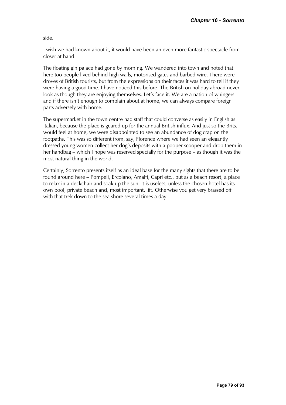side.

I wish we had known about it, it would have been an even more fantastic spectacle from closer at hand.

The floating gin palace had gone by morning. We wandered into town and noted that here too people lived behind high walls, motorised gates and barbed wire. There were droves of British tourists, but from the expressions on their faces it was hard to tell if they were having a good time. I have noticed this before. The British on holiday abroad never look as though they are enjoying themselves. Let's face it. We are a nation of whingers and if there isn't enough to complain about at home, we can always compare foreign parts adversely with home.

The supermarket in the town centre had staff that could converse as easily in English as Italian, because the place is geared up for the annual British influx. And just so the Brits. would feel at home, we were disappointed to see an abundance of dog crap on the footpaths. This was so different from, say, Florence where we had seen an elegantly dressed young women collect her dog's deposits with a pooper scooper and drop them in her handbag – which I hope was reserved specially for the purpose – as though it was the most natural thing in the world.

Certainly, Sorrento presents itself as an ideal base for the many sights that there are to be found around here – Pompeii, Ercolano, Amalfi, Capri etc., but as a beach resort, a place to relax in a deckchair and soak up the sun, it is useless, unless the chosen hotel has its own pool, private beach and, most important, lift. Otherwise you get very brassed off with that trek down to the sea shore several times a day.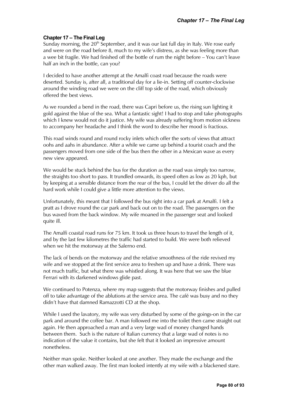# **Chapter 17 – The Final Leg**

Sunday morning, the  $20<sup>th</sup>$  September, and it was our last full day in Italy. We rose early and were on the road before 8, much to my wife's distress, as she was feeling more than a wee bit fragile. We had finished off the bottle of rum the night before – You can't leave half an inch in the bottle, can you?

I decided to have another attempt at the Amalfi coast road because the roads were deserted. Sunday is, after all, a traditional day for a lie-in. Setting off counter-clockwise around the winding road we were on the cliff top side of the road, which obviously offered the best views.

As we rounded a bend in the road, there was Capri before us, the rising sun lighting it gold against the blue of the sea. What a fantastic sight! I had to stop and take photographs which I knew would not do it justice. My wife was already suffering from motion sickness to accompany her headache and I think the word to describe her mood is fractious.

This road winds round and round rocky inlets which offer the sorts of views that attract oohs and aahs in abundance. After a while we came up behind a tourist coach and the passengers moved from one side of the bus then the other in a Mexican wave as every new view appeared.

We would be stuck behind the bus for the duration as the road was simply too narrow, the straights too short to pass. It trundled onwards, its speed often as low as 20 kph, but by keeping at a sensible distance from the rear of the bus, I could let the driver do all the hard work while I could give a little more attention to the views.

Unfortunately, this meant that I followed the bus right into a car park at Amalfi. I felt a pratt as I drove round the car park and back out on to the road. The passengers on the bus waved from the back window. My wife moaned in the passenger seat and looked quite ill.

The Amalfi coastal road runs for 75 km. It took us three hours to travel the length of it, and by the last few kilometres the traffic had started to build. We were both relieved when we hit the motorway at the Salerno end.

The lack of bends on the motorway and the relative smoothness of the ride revived my wife and we stopped at the first service area to freshen up and have a drink. There was not much traffic, but what there was whistled along. It was here that we saw the blue Ferrari with its darkened windows glide past.

We continued to Potenza, where my map suggests that the motorway finishes and pulled off to take advantage of the ablutions at the service area. The café was busy and no they didn't have that damned Ramazzotti CD at the shop.

While I used the lavatory, my wife was very disturbed by some of the goings-on in the car park and around the coffee bar. A man followed me into the toilet then came straight out again. He then approached a man and a very large wad of money changed hands between them. Such is the nature of Italian currency that a large wad of notes is no indication of the value it contains, but she felt that it looked an impressive amount nonetheless.

Neither man spoke. Neither looked at one another. They made the exchange and the other man walked away. The first man looked intently at my wife with a blackened stare.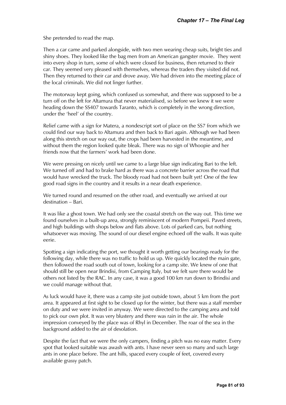She pretended to read the map.

Then a car came and parked alongside, with two men wearing cheap suits, bright ties and shiny shoes. They looked like the bag men from an American gangster movie. They went into every shop in turn, some of which were closed for business, then returned to their car. They seemed very pleased with themselves, whereas the traders they visited did not. Then they returned to their car and drove away. We had driven into the meeting place of the local criminals. We did not linger further.

The motorway kept going, which confused us somewhat, and there was supposed to be a turn off on the left for Altamura that never materialised, so before we knew it we were heading down the SS407 towards Taranto, which is completely in the wrong direction, under the 'heel' of the country.

Relief came with a sign for Matera, a nondescript sort of place on the SS7 from which we could find our way back to Altamura and then back to Bari again. Although we had been along this stretch on our way out, the crops had been harvested in the meantime, and without them the region looked quite bleak. There was no sign of Whoopie and her friends now that the farmers' work had been done.

We were pressing on nicely until we came to a large blue sign indicating Bari to the left. We turned off and had to brake hard as there was a concrete barrier across the road that would have wrecked the truck. The bloody road had not been built yet! One of the few good road signs in the country and it results in a near death experience.

We turned round and resumed on the other road, and eventually we arrived at our destination – Bari.

It was like a ghost town. We had only see the coastal stretch on the way out. This time we found ourselves in a built-up area, strongly reminiscent of modern Pompeii. Paved streets, and high buildings with shops below and flats above. Lots of parked cars, but nothing whatsoever was moving. The sound of our diesel engine echoed off the walls. It was quite eerie.

Spotting a sign indicating the port, we thought it worth getting our bearings ready for the following day, while there was no traffic to hold us up. We quickly located the main gate, then followed the road south out of town, looking for a camp site. We knew of one that should still be open near Brindisi, from Camping Italy, but we felt sure there would be others not listed by the RAC. In any case, it was a good 100 km run down to Brindisi and we could manage without that.

As luck would have it, there was a camp site just outside town, about 5 km from the port area. It appeared at first sight to be closed up for the winter, but there was a staff member on duty and we were invited in anyway. We were directed to the camping area and told to pick our own plot. It was very blustery and there was rain in the air. The whole impression conveyed by the place was of Rhyl in December. The roar of the sea in the background added to the air of desolation.

Despite the fact that we were the only campers, finding a pitch was no easy matter. Every spot that looked suitable was awash with ants. I have never seen so many and such large ants in one place before. The ant hills, spaced every couple of feet, covered every available grassy patch.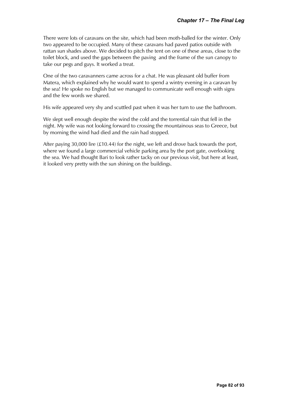There were lots of caravans on the site, which had been moth-balled for the winter. Only two appeared to be occupied. Many of these caravans had paved patios outside with rattan sun shades above. We decided to pitch the tent on one of these areas, close to the toilet block, and used the gaps between the paving and the frame of the sun canopy to take our pegs and guys. It worked a treat.

One of the two caravanners came across for a chat. He was pleasant old buffer from Matera, which explained why he would want to spend a wintry evening in a caravan by the sea! He spoke no English but we managed to communicate well enough with signs and the few words we shared.

His wife appeared very shy and scuttled past when it was her turn to use the bathroom.

We slept well enough despite the wind the cold and the torrential rain that fell in the night. My wife was not looking forward to crossing the mountainous seas to Greece, but by morning the wind had died and the rain had stopped.

After paying 30,000 lire (£10.44) for the night, we left and drove back towards the port, where we found a large commercial vehicle parking area by the port gate, overlooking the sea. We had thought Bari to look rather tacky on our previous visit, but here at least, it looked very pretty with the sun shining on the buildings.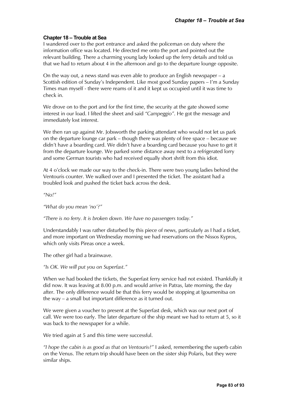## **Chapter 18 – Trouble at Sea**

I wandered over to the port entrance and asked the policeman on duty where the information office was located. He directed me onto the port and pointed out the relevant building. There a charming young lady looked up the ferry details and told us that we had to return about 4 in the afternoon and go to the departure lounge opposite.

On the way out, a news stand was even able to produce an English newspaper – a Scottish edition of Sunday's Independent. Like most good Sunday papers – I'm a Sunday Times man myself - there were reams of it and it kept us occupied until it was time to check in.

We drove on to the port and for the first time, the security at the gate showed some interest in our load. I lifted the sheet and said *"Campeggio"*. He got the message and immediately lost interest.

We then ran up against Mr. Jobsworth the parking attendant who would not let us park on the departure lounge car park – though there was plenty of free space – because we didn't have a boarding card. We didn't have a boarding card because you have to get it from the departure lounge. We parked some distance away next to a refrigerated lorry and some German tourists who had received equally short shrift from this idiot.

At 4 o'clock we made our way to the check-in. There were two young ladies behind the Ventouris counter. We walked over and I presented the ticket. The assistant had a troubled look and pushed the ticket back across the desk.

*"No!"* 

*"What do you mean 'no'?"* 

*"There is no ferry. It is broken down. We have no passengers today."* 

Understandably I was rather disturbed by this piece of news, particularly as I had a ticket, and more important on Wednesday morning we had reservations on the Nissos Kypros, which only visits Pireas once a week.

The other girl had a brainwave.

*"Is OK. We will put you on Superfast."* 

When we had booked the tickets, the Superfast ferry service had not existed. Thankfully it did now. It was leaving at 8.00 p.m. and would arrive in Patras, late morning, the day after. The only difference would be that this ferry would be stopping at Igoumenitsa on the way – a small but important difference as it turned out.

We were given a voucher to present at the Superfast desk, which was our next port of call. We were too early. The later departure of the ship meant we had to return at 5, so it was back to the newspaper for a while.

We tried again at 5 and this time were successful.

*"I hope the cabin is as good as that on Ventouris?"* I asked, remembering the superb cabin on the Venus. The return trip should have been on the sister ship Polaris, but they were similar ships.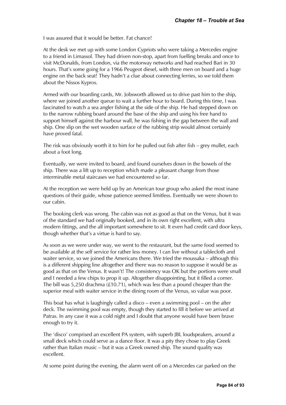I was assured that it would be better. Fat chance!

At the desk we met up with some London Cypriots who were taking a Mercedes engine to a friend in Limassol. They had driven non-stop, apart from fuelling breaks and once to visit McDonalds, from London, via the motorway networks and had reached Bari in 30 hours. That's some going for a 1966 Peugeot diesel, with three men on board and a huge engine on the back seat! They hadn't a clue about connecting ferries, so we told them about the Nissos Kypros.

Armed with our boarding cards, Mr. Jobsworth allowed us to drive past him to the ship, where we joined another queue to wait a further hour to board. During this time, I was fascinated to watch a sea angler fishing at the side of the ship. He had stepped down on to the narrow rubbing board around the base of the ship and using his free hand to support himself against the harbour wall, he was fishing in the gap between the wall and ship. One slip on the wet wooden surface of the rubbing strip would almost certainly have proved fatal.

The risk was obviously worth it to him for he pulled out fish after fish – grey mullet, each about a foot long.

Eventually, we were invited to board, and found ourselves down in the bowels of the ship. There was a lift up to reception which made a pleasant change from those interminable metal staircases we had encountered so far.

At the reception we were held up by an American tour group who asked the most inane questions of their guide, whose patience seemed limitless. Eventually we were shown to our cabin.

The booking clerk was wrong. The cabin was not as good as that on the Venus, but it was of the standard we had originally booked, and in its own right excellent, with ultra modern fittings, and the all important somewhere to sit. It even had credit card door keys, though whether that's a virtue is hard to say.

As soon as we were under way, we went to the restaurant, but the same food seemed to be available at the self service for rather less money. I can live without a tablecloth and waiter service, so we joined the Americans there. We tried the moussaka – although this is a different shipping line altogether and there was no reason to suppose it would be as good as that on the Venus. It wasn't! The consistency was OK but the portions were small and I needed a few chips to prop it up. Altogether disappointing, but it filled a corner. The bill was 5,250 drachma (£10.71), which was less than a pound cheaper than the superior meal with waiter service in the dining room of the Venus, so value was poor.

This boat has what is laughingly called a disco – even a swimming pool – on the after deck. The swimming pool was empty, though they started to fill it before we arrived at Patras. In any case it was a cold night and I doubt that anyone would have been brave enough to try it.

The 'disco' comprised an excellent PA system, with superb JBL loudspeakers, around a small deck which could serve as a dance floor. It was a pity they chose to play Greek rather than Italian music – but it was a Greek owned ship. The sound quality was excellent.

At some point during the evening, the alarm went off on a Mercedes car parked on the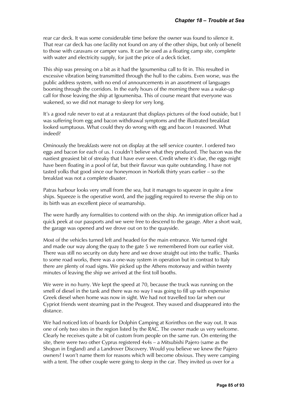rear car deck. It was some considerable time before the owner was found to silence it. That rear car deck has one facility not found on any of the other ships, but only of benefit to those with caravans or camper vans. It can be used as a floating camp site, complete with water and electricity supply, for just the price of a deck ticket.

This ship was pressing on a bit as it had the Igoumenitsa call to fit in. This resulted in excessive vibration being transmitted through the hull to the cabins. Even worse, was the public address system, with no end of announcements in an assortment of languages booming through the corridors. In the early hours of the morning there was a wake-up call for those leaving the ship at Igoumenitsa. This of course meant that everyone was wakened, so we did not manage to sleep for very long.

It's a good rule never to eat at a restaurant that displays pictures of the food outside, but I was suffering from egg and bacon withdrawal symptoms and the illustrated breakfast looked sumptuous. What could they do wrong with egg and bacon I reasoned. What indeed?

Ominously the breakfasts were not on display at the self service counter. I ordered two eggs and bacon for each of us. I couldn't believe what they produced. The bacon was the nastiest greasiest bit of streaky that I have ever seen. Credit where it's due, the eggs might have been floating in a pool of fat, but their flavour was quite outstanding. I have not tasted yolks that good since our honeymoon in Norfolk thirty years earlier – so the breakfast was not a complete disaster.

Patras harbour looks very small from the sea, but it manages to squeeze in quite a few ships. Squeeze is the operative word, and the juggling required to reverse the ship on to its birth was an excellent piece of seamanship.

The were hardly any formalities to contend with on the ship. An immigration officer had a quick peek at our passports and we were free to descend to the garage. After a short wait, the garage was opened and we drove out on to the quayside.

Most of the vehicles turned left and headed for the main entrance. We turned right and made our way along the quay to the gate 5 we remembered from our earlier visit. There was still no security on duty here and we drove straight out into the traffic. Thanks to some road works, there was a one-way system in operation but in contrast to Italy there are plenty of road signs. We picked up the Athens motorway and within twenty minutes of leaving the ship we arrived at the first toll booths.

We were in no hurry. We kept the speed at 70, because the truck was running on the smell of diesel in the tank and there was no way I was going to fill up with expensive Greek diesel when home was now in sight. We had not travelled too far when our Cypriot friends went steaming past in the Peugeot. They waved and disappeared into the distance.

We had noticed lots of boards for Dolphin Camping at Korinthos on the way out. It was one of only two sites in the region listed by the RAC. The owner made us very welcome. Clearly he receives quite a bit of custom from people on the same run. On entering the site, there were two other Cyprus registered 4x4s – a Mitsubishi Pajero (same as the Shogun in England) and a Landrover Discovery. Would you believe we knew the Pajero owners? I won't name them for reasons which will become obvious. They were camping with a tent. The other couple were going to sleep in the car. They invited us over for a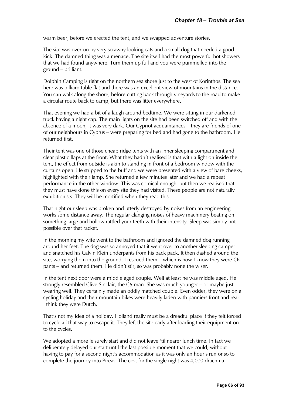warm beer, before we erected the tent, and we swapped adventure stories.

The site was overrun by very scrawny looking cats and a small dog that needed a good kick. The damned thing was a menace. The site itself had the most powerful hot showers that we had found anywhere. Turn them up full and you were pummelled into the ground – brilliant.

Dolphin Camping is right on the northern sea shore just to the west of Korinthos. The sea here was billiard table flat and there was an excellent view of mountains in the distance. You can walk along the shore, before cutting back through vineyards to the road to make a circular route back to camp, but there was litter everywhere.

That evening we had a bit of a laugh around bedtime. We were sitting in our darkened truck having a night cap. The main lights on the site had been switched off and with the absence of a moon, it was very dark. Our Cypriot acquaintances – they are friends of one of our neighbours in Cyprus – were preparing for bed and had gone to the bathroom. He returned first.

Their tent was one of those cheap ridge tents with an inner sleeping compartment and clear plastic flaps at the front. What they hadn't realised is that with a light on inside the tent, the effect from outside is akin to standing in front of a bedroom window with the curtains open. He stripped to the buff and we were presented with a view of bare cheeks, highlighted with their lamp. She returned a few minutes later and we had a repeat performance in the other window. This was comical enough, but then we realised that they must have done this on every site they had visited. These people are not naturally exhibitionists. They will be mortified when they read this.

That night our sleep was broken and utterly destroyed by noises from an engineering works some distance away. The regular clanging noises of heavy machinery beating on something large and hollow rattled your teeth with their intensity. Sleep was simply not possible over that racket.

In the morning my wife went to the bathroom and ignored the damned dog running around her feet. The dog was so annoyed that it went over to another sleeping camper and snatched his Calvin Klein underpants from his back pack. It then dashed around the site, worrying them into the ground. I rescued them – which is how I know they were CK pants – and returned them. He didn't stir, so was probably none the wiser.

In the tent next door were a middle aged couple. Well at least he was middle aged. He strongly resembled Clive Sinclair, the C5 man. She was much younger – or maybe just wearing well. They certainly made an oddly matched couple. Even odder, they were on a cycling holiday and their mountain bikes were heavily laden with panniers front and rear. I think they were Dutch.

That's not my idea of a holiday. Holland really must be a dreadful place if they felt forced to cycle all that way to escape it. They left the site early after loading their equipment on to the cycles.

We adopted a more leisurely start and did not leave 'til nearer lunch time. In fact we deliberately delayed our start until the last possible moment that we could, without having to pay for a second night's accommodation as it was only an hour's run or so to complete the journey into Pireas. The cost for the single night was 4,000 drachma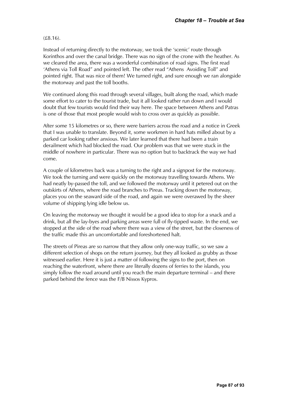### (£8.16).

Instead of returning directly to the motorway, we took the 'scenic' route through Korinthos and over the canal bridge. There was no sign of the crone with the heather. As we cleared the area, there was a wonderful combination of road signs. The first read 'Athens via Toll Road" and pointed left. The other read "Athens Avoiding Toll" and pointed right. That was nice of them! We turned right, and sure enough we ran alongside the motorway and past the toll booths.

We continued along this road through several villages, built along the road, which made some effort to cater to the tourist trade, but it all looked rather run down and I would doubt that few tourists would find their way here. The space between Athens and Patras is one of those that most people would wish to cross over as quickly as possible.

After some 15 kilometres or so, there were barriers across the road and a notice in Greek that I was unable to translate. Beyond it, some workmen in hard hats milled about by a parked car looking rather anxious. We later learned that there had been a train derailment which had blocked the road. Our problem was that we were stuck in the middle of nowhere in particular. There was no option but to backtrack the way we had come.

A couple of kilometres back was a turning to the right and a signpost for the motorway. We took the turning and were quickly on the motorway travelling towards Athens. We had neatly by-passed the toll, and we followed the motorway until it petered out on the outskirts of Athens, where the road branches to Pireas. Tracking down the motorway, places you on the seaward side of the road, and again we were overawed by the sheer volume of shipping lying idle below us.

On leaving the motorway we thought it would be a good idea to stop for a snack and a drink, but all the lay-byes and parking areas were full of fly-tipped waste. In the end, we stopped at the side of the road where there was a view of the street, but the closeness of the traffic made this an uncomfortable and foreshortened halt.

The streets of Pireas are so narrow that they allow only one-way traffic, so we saw a different selection of shops on the return journey, but they all looked as grubby as those witnessed earlier. Here it is just a matter of following the signs to the port, then on reaching the waterfront, where there are literally dozens of ferries to the islands, you simply follow the road around until you reach the main departure terminal – and there parked behind the fence was the F/B Nissos Kypros.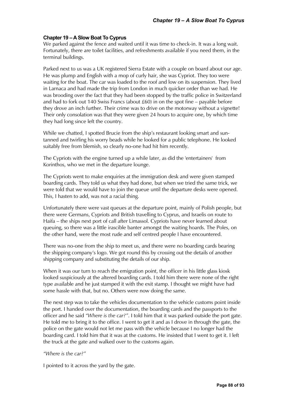## **Chapter 19 – A Slow Boat To Cyprus**

We parked against the fence and waited until it was time to check-in. It was a long wait. Fortunately, there are toilet facilities, and refreshments available if you need them, in the terminal buildings.

Parked next to us was a UK registered Sierra Estate with a couple on board about our age. He was plump and English with a mop of curly hair, she was Cypriot. They too were waiting for the boat. The car was loaded to the roof and low on its suspension. They lived in Larnaca and had made the trip from London in much quicker order than we had. He was brooding over the fact that they had been stopped by the traffic police in Switzerland and had to fork out 140 Swiss Francs (about £60) in on the spot fine – payable before they drove an inch further. Their crime was to drive on the motorway without a vignette! Their only consolation was that they were given 24 hours to acquire one, by which time they had long since left the country.

While we chatted, I spotted Brucie from the ship's restaurant looking smart and suntanned and twirling his worry beads while he looked for a public telephone. He looked suitably free from blemish, so clearly no-one had hit him recently.

The Cypriots with the engine turned up a while later, as did the 'entertainers' from Korinthos, who we met in the departure lounge.

The Cypriots went to make enquiries at the immigration desk and were given stamped boarding cards. They told us what they had done, but when we tried the same trick, we were told that we would have to join the queue until the departure desks were opened. This, I hasten to add, was not a racial thing.

Unfortunately there were vast queues at the departure point, mainly of Polish people, but there were Germans, Cypriots and British travelling to Cyprus, and Israelis on route to Haifa – the ships next port of call after Limassol. Cypriots have never learned about queuing, so there was a little irascible banter amongst the waiting hoards. The Poles, on the other hand, were the most rude and self centred people I have encountered.

There was no-one from the ship to meet us, and there were no boarding cards bearing the shipping company's logo. We got round this by crossing out the details of another shipping company and substituting the details of our ship.

When it was our turn to reach the emigration point, the officer in his little glass kiosk looked suspiciously at the altered boarding cards. I told him there were none of the right type available and he just stamped it with the exit stamp. I thought we might have had some hassle with that, but no. Others were now doing the same.

The next step was to take the vehicles documentation to the vehicle customs point inside the port. I handed over the documentation, the boarding cards and the passports to the officer and he said *"Where is the car?"*. I told him that it was parked outside the port gate. He told me to bring it to the office. I went to get it and as I drove in through the gate, the police on the gate would not let me pass with the vehicle because I no longer had the boarding card. I told him that it was at the customs. He insisted that I went to get it. I left the truck at the gate and walked over to the customs again.

### *"Where is the car?"*

I pointed to it across the yard by the gate.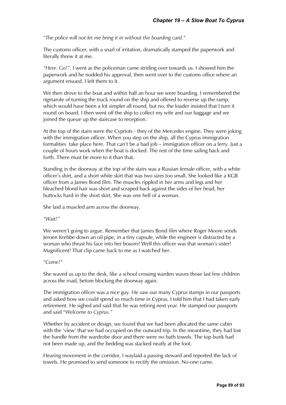*"The police will not let me bring it in without the boarding card."*

The customs officer, with a snarl of irritation, dramatically stamped the paperwork and literally threw it at me.

*"Here. Go!".* I went as the policeman came striding over towards us. I showed him the paperwork and he nodded his approval, then went over to the customs office where an argument ensued. I left them to it.

We then drove to the boat and within half an hour we were boarding. I remembered the rigmarole of turning the truck round on the ship and offered to reverse up the ramp, which would have been a lot simpler all round, but no, the loader insisted that I turn it round on board. I then went off the ship to collect my wife and our baggage and we joined the queue up the staircase to reception.

At the top of the stairs were the Cypriots - they of the Mercedes engine. They were joking with the immigration officer. When you step on the ship, all the Cyprus immigration formalities take place here. That can't be a bad job – immigration officer on a ferry. Just a couple of hours work when the boat is docked. The rest of the time sailing back and forth. There must be more to it than that.

Standing in the doorway at the top of the stairs was a Russian female officer, with a white officer's shirt, and a short white skirt that was two sizes too small. She looked like a KGB officer from a James Bond film. The muscles rippled in her arms and legs and her bleached blond hair was short and scraped back against the sides of her head, her buttocks hard in the short skirt. She was one hell of a woman.

She laid a muscled arm across the doorway.

*"Wait!"*

We weren't going to argue. Remember that James Bond film where Roger Moore sends Jeroen Krebbe down an oil pipe, in a tiny capsule, while the engineer is distracted by a woman who thrust his face into her bosom? Well this officer was that woman's sister! Magnificent! That clip came back to me as I watched her.

### *"Come!"*

She waved us up to the desk, like a school crossing warden waves those last few children across the road, before blocking the doorway again.

The immigration officer was a nice guy. He saw our many Cyprus stamps in our passports and asked how we could spend so much time in Cyprus. I told him that I had taken early retirement. He sighed and said that he was retiring next year. He stamped our passports and said "*Welcome to Cyprus."*

Whether by accident or design, we found that we had been allocated the same cabin with the 'view' that we had occupied on the outward trip. In the meantime, they had lost the handle from the wardrobe door and there were no bath towels. The top bunk had not been made up, and the bedding was stacked neatly at the foot.

Hearing movement in the corridor, I waylaid a passing steward and reported the lack of towels. He promised to send someone to rectify the omission. No-one came.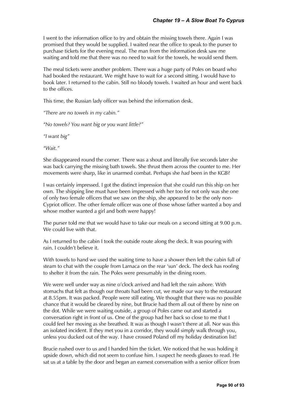I went to the information office to try and obtain the missing towels there. Again I was promised that they would be supplied. I waited near the office to speak to the purser to purchase tickets for the evening meal. The man from the information desk saw me waiting and told me that there was no need to wait for the towels, he would send them.

The meal tickets were another problem. There was a huge party of Poles on board who had booked the restaurant. We might have to wait for a second sitting. I would have to book later. I returned to the cabin. Still no bloody towels. I waited an hour and went back to the offices.

This time, the Russian lady officer was behind the information desk.

*"There are no towels in my cabin."* 

*"No towels? You want big or you want little?"* 

*"I want big"* 

*"Wait."* 

She disappeared round the corner. There was a shout and literally five seconds later she was back carrying the missing bath towels. She thrust them across the counter to me. Her movements were sharp, like in unarmed combat. Perhaps she *had* been in the KGB?

I was certainly impressed. I got the distinct impression that she could run this ship on her own. The shipping line must have been impressed with her too for not only was she one of only two female officers that we saw on the ship, she appeared to be the only non-Cypriot officer. The other female officer was one of those whose father wanted a boy and whose mother wanted a girl and both were happy!

The purser told me that we would have to take our meals on a second sitting at 9.00 p.m. We could live with that.

As I returned to the cabin I took the outside route along the deck. It was pouring with rain. I couldn't believe it.

With towels to hand we used the waiting time to have a shower then left the cabin full of steam to chat with the couple from Larnaca on the rear 'sun' deck. The deck has roofing to shelter it from the rain. The Poles were presumably in the dining room.

We were well under way as nine o'clock arrived and had left the rain ashore. With stomachs that felt as though our throats had been cut, we made our way to the restaurant at 8.55pm. It was packed. People were still eating. We thought that there was no possible chance that it would be cleared by nine, but Brucie had them all out of there by nine on the dot. While we were waiting outside, a group of Poles came out and started a conversation right in front of us. One of the group had her back so close to me that I could feel her moving as she breathed. It was as though I wasn't there at all. Nor was this an isolated incident. If they met you in a corridor, they would simply walk through you, unless you ducked out of the way. I have crossed Poland off my holiday destination list!

Brucie rushed over to us and I handed him the ticket. We noticed that he was holding it upside down, which did not seem to confuse him. I suspect he needs glasses to read. He sat us at a table by the door and began an earnest conversation with a senior officer from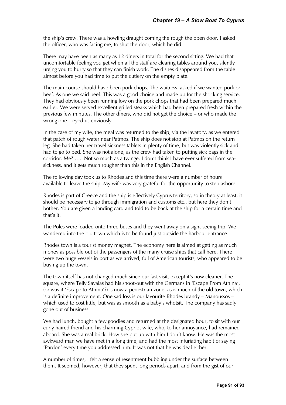the ship's crew. There was a howling draught coming the rough the open door. I asked the officer, who was facing me, to shut the door, which he did.

There may have been as many as 12 diners in total for the second sitting. We had that uncomfortable feeling you get when all the staff are clearing tables around you, silently urging you to hurry so that they can finish work. The dishes disappeared from the table almost before you had time to put the cutlery on the empty plate.

The main course should have been pork chops. The waitress asked if we wanted pork or beef. As one we said beef. This was a good choice and made up for the shocking service. They had obviously been running low on the pork chops that had been prepared much earlier. We were served excellent grilled steaks which had been prepared fresh within the previous few minutes. The other diners, who did not get the choice – or who made the wrong one – eyed us enviously.

In the case of my wife, the meal was returned to the ship, via the lavatory, as we entered that patch of rough water near Patmos. The ship does not stop at Patmos on the return leg. She had taken her travel sickness tablets in plenty of time, but was violently sick and had to go to bed. She was not alone, as the crew had taken to putting sick bags in the corridor. Me? …. Not so much as a twinge. I don't think I have ever suffered from seasickness, and it gets much rougher than this in the English Channel.

The following day took us to Rhodes and this time there were a number of hours available to leave the ship. My wife was very grateful for the opportunity to step ashore.

Rhodes is part of Greece and the ship is effectively Cyprus territory, so in theory at least, it should be necessary to go through immigration and customs etc., but here they don't bother. You are given a landing card and told to be back at the ship for a certain time and that's it.

The Poles were loaded onto three buses and they went away on a sight-seeing trip. We wandered into the old town which is to be found just outside the harbour entrance.

Rhodes town is a tourist money magnet. The economy here is aimed at getting as much money as possible out of the passengers of the many cruise ships that call here. There were two huge vessels in port as we arrived, full of American tourists, who appeared to be buying up the town.

The town itself has not changed much since our last visit, except it's now cleaner. The square, where Telly Savalas had his shoot-out with the Germans in 'Escape From Athina', (or was it 'Escape to Athina'?) is now a pedestrian zone, as is much of the old town, which is a definite improvement. One sad loss is our favourite Rhodes brandy – Manoussos – which used to cost little, but was as smooth as a baby's whotsit. The company has sadly gone out of business.

We had lunch, bought a few goodies and returned at the designated hour, to sit with our curly haired friend and his charming Cypriot wife, who, to her annoyance, had remained aboard. She was a real brick. How she put up with him I don't know. He was the most awkward man we have met in a long time, and had the most infuriating habit of saying 'Pardon' every time you addressed him. It was not that he was deaf either.

A number of times, I felt a sense of resentment bubbling under the surface between them. It seemed, however, that they spent long periods apart, and from the gist of our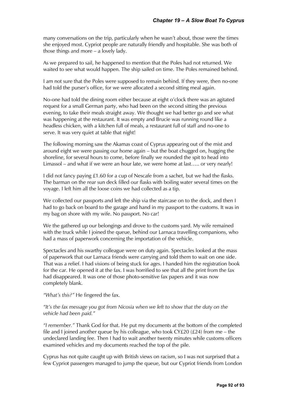many conversations on the trip, particularly when he wasn't about, those were the times she enjoyed most. Cypriot people are naturally friendly and hospitable. She was both of those things and more – a lovely lady.

As we prepared to sail, he happened to mention that the Poles had not returned. We waited to see what would happen. The ship sailed on time. The Poles remained behind.

I am not sure that the Poles were supposed to remain behind. If they were, then no-one had told the purser's office, for we were allocated a second sitting meal again.

No-one had told the dining room either because at eight o'clock there was an agitated request for a small German party, who had been on the second sitting the previous evening, to take their meals straight away. We thought we had better go and see what was happening at the restaurant. It was empty and Brucie was running round like a headless chicken, with a kitchen full of meals, a restaurant full of staff and no-one to serve. It was very quiet at table that night!

The following morning saw the Akamas coast of Cyprus appearing out of the mist and around eight we were passing our home again – but the boat chugged on, hugging the shoreline, for several hours to come, before finally we rounded the spit to head into Limassol – and what if we were an hour late, we were home at last….. or very nearly!

I did not fancy paying  $£1.60$  for a cup of Nescafe from a sachet, but we had the flasks. The barman on the rear sun deck filled our flasks with boiling water several times on the voyage. I left him all the loose coins we had collected as a tip.

We collected our passports and left the ship via the staircase on to the dock, and then I had to go back on board to the garage and hand in my passport to the customs. It was in my bag on shore with my wife. No passport. No car!

We the gathered up our belongings and drove to the customs yard. My wife remained with the truck while I joined the queue, behind our Larnaca travelling companions, who had a mass of paperwork concerning the importation of the vehicle.

Spectacles and his swarthy colleague were on duty again. Spectacles looked at the mass of paperwork that our Larnaca friends were carrying and told them to wait on one side. That was a relief. I had visions of being stuck for ages. I handed him the registration book for the car. He opened it at the fax. I was horrified to see that all the print from the fax had disappeared. It was one of those photo-sensitive fax papers and it was now completely blank.

*"What's this?"* He fingered the fax.

## *"It's the fax message you got from Nicosia when we left to show that the duty on the vehicle had been paid."*

*"I remember."* Thank God for that. He put my documents at the bottom of the completed file and I joined another queue by his colleague, who took  $CYE20$  ( $E24$ ) from me – the undeclared landing fee. Then I had to wait another twenty minutes while customs officers examined vehicles and my documents reached the top of the pile.

Cyprus has not quite caught up with British views on racism, so I was not surprised that a few Cypriot passengers managed to jump the queue, but our Cypriot friends from London